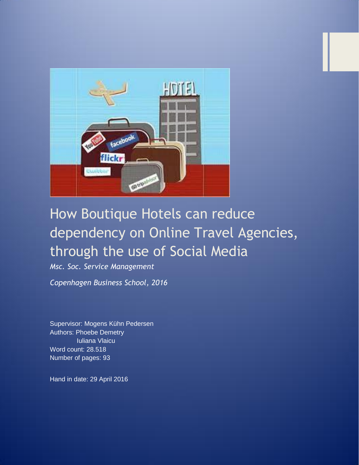

# How Boutique Hotels can reduce dependency on Online Travel Agencies, through the use of Social Media

*Msc. Soc. Service Management*

*Copenhagen Business School, 2016*

Supervisor: Mogens Kühn Pedersen Authors: Phoebe Demetry Iuliana Vlaicu Word count: 28.518 Number of pages: 93

Hand in date: 29 April 2016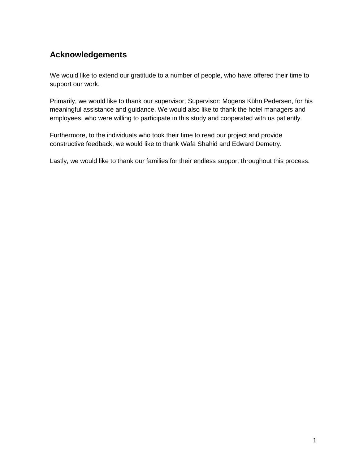## **Acknowledgements**

We would like to extend our gratitude to a number of people, who have offered their time to support our work.

Primarily, we would like to thank our supervisor, Supervisor: Mogens Kühn Pedersen, for his meaningful assistance and guidance. We would also like to thank the hotel managers and employees, who were willing to participate in this study and cooperated with us patiently.

Furthermore, to the individuals who took their time to read our project and provide constructive feedback, we would like to thank Wafa Shahid and Edward Demetry.

Lastly, we would like to thank our families for their endless support throughout this process.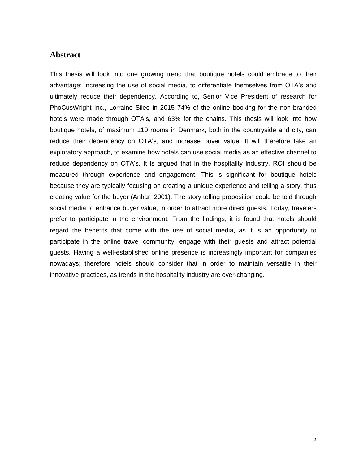#### **Abstract**

This thesis will look into one growing trend that boutique hotels could embrace to their advantage: increasing the use of social media, to differentiate themselves from OTA's and ultimately reduce their dependency. According to, Senior Vice President of research for [PhoCusWright Inc.](http://www.phocuswright.com/), Lorraine Sileo in 2015 74% of the online booking for the non-branded hotels were made through OTA's, and 63% for the chains. This thesis will look into how boutique hotels, of maximum 110 rooms in Denmark, both in the countryside and city, can reduce their dependency on OTA's, and increase buyer value. It will therefore take an exploratory approach, to examine how hotels can use social media as an effective channel to reduce dependency on OTA's. It is argued that in the hospitality industry, ROI should be measured through experience and engagement. This is significant for boutique hotels because they are typically focusing on creating a unique experience and telling a story, thus creating value for the buyer (Anhar, 2001). The story telling proposition could be told through social media to enhance buyer value, in order to attract more direct guests. Today, travelers prefer to participate in the environment. From the findings, it is found that hotels should regard the benefits that come with the use of social media, as it is an opportunity to participate in the online travel community, engage with their guests and attract potential guests. Having a well-established online presence is increasingly important for companies nowadays; therefore hotels should consider that in order to maintain versatile in their innovative practices, as trends in the hospitality industry are ever-changing.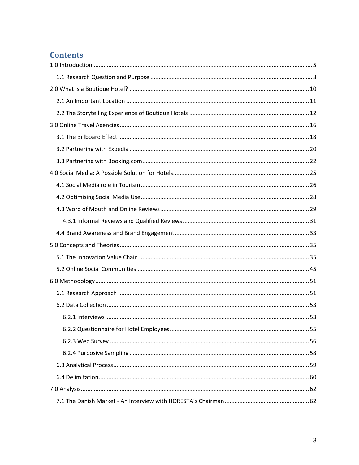## **Contents**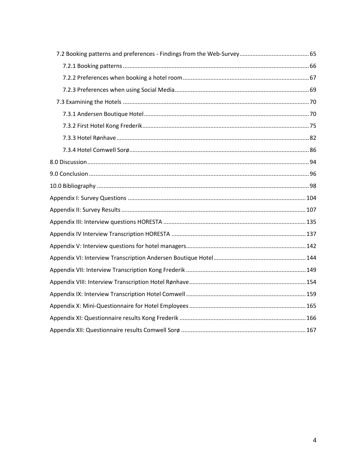<span id="page-4-0"></span>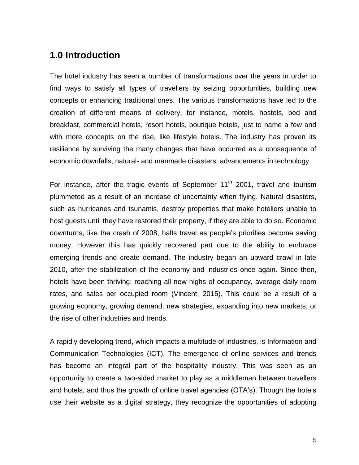## **1.0 Introduction**

The hotel industry has seen a number of transformations over the years in order to find ways to satisfy all types of travellers by seizing opportunities, building new concepts or enhancing traditional ones. The various transformations have led to the creation of different means of delivery, for instance, motels, hostels, bed and breakfast, commercial hotels, resort hotels, boutique hotels, just to name a few and with more concepts on the rise, like lifestyle hotels. The industry has proven its resilience by surviving the many changes that have occurred as a consequence of economic downfalls, natural- and manmade disasters, advancements in technology.

For instance, after the tragic events of September  $11<sup>th</sup>$  2001, travel and tourism plummeted as a result of an increase of uncertainty when flying. Natural disasters, such as hurricanes and tsunamis, destroy properties that make hoteliers unable to host guests until they have restored their property, if they are able to do so. Economic downturns, like the crash of 2008, halts travel as people's priorities become saving money. However this has quickly recovered part due to the ability to embrace emerging trends and create demand. The industry began an upward crawl in late 2010, after the stabilization of the economy and industries once again. Since then, hotels have been thriving; reaching all new highs of occupancy, average daily room rates, and sales per occupied room (Vincent, 2015). This could be a result of a growing economy, growing demand, new strategies, expanding into new markets, or the rise of other industries and trends.

A rapidly developing trend, which impacts a multitude of industries, is Information and Communication Technologies (ICT). The emergence of online services and trends has become an integral part of the hospitality industry. This was seen as an opportunity to create a two-sided market to play as a middleman between travellers and hotels, and thus the growth of online travel agencies (OTA's). Though the hotels use their website as a digital strategy, they recognize the opportunities of adopting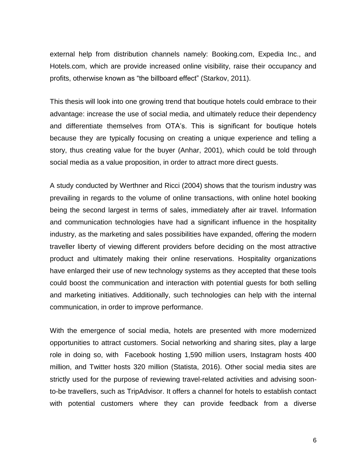external help from distribution channels namely: Booking.com, Expedia Inc., and Hotels.com, which are provide increased online visibility, raise their occupancy and profits, otherwise known as "the billboard effect" (Starkov, 2011).

This thesis will look into one growing trend that boutique hotels could embrace to their advantage: increase the use of social media, and ultimately reduce their dependency and differentiate themselves from OTA's. This is significant for boutique hotels because they are typically focusing on creating a unique experience and telling a story, thus creating value for the buyer (Anhar, 2001), which could be told through social media as a value proposition, in order to attract more direct guests.

A study conducted by Werthner and Ricci (2004) shows that the tourism industry was prevailing in regards to the volume of online transactions, with online hotel booking being the second largest in terms of sales, immediately after air travel. Information and communication technologies have had a significant influence in the hospitality industry, as the marketing and sales possibilities have expanded, offering the modern traveller liberty of viewing different providers before deciding on the most attractive product and ultimately making their online reservations. Hospitality organizations have enlarged their use of new technology systems as they accepted that these tools could boost the communication and interaction with potential guests for both selling and marketing initiatives. Additionally, such technologies can help with the internal communication, in order to improve performance.

With the emergence of social media, hotels are presented with more modernized opportunities to attract customers. Social networking and sharing sites, play a large role in doing so, with Facebook hosting 1,590 million users, Instagram hosts 400 million, and Twitter hosts 320 million (Statista, 2016). Other social media sites are strictly used for the purpose of reviewing travel-related activities and advising soonto-be travellers, such as TripAdvisor. It offers a channel for hotels to establish contact with potential customers where they can provide feedback from a diverse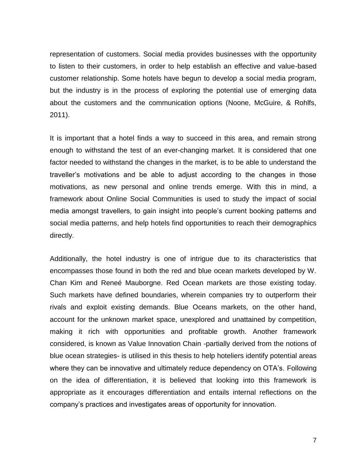representation of customers. Social media provides businesses with the opportunity to listen to their customers, in order to help establish an effective and value-based customer relationship. Some hotels have begun to develop a social media program, but the industry is in the process of exploring the potential use of emerging data about the customers and the communication options (Noone, McGuire, & Rohlfs, 2011).

It is important that a hotel finds a way to succeed in this area, and remain strong enough to withstand the test of an ever-changing market. It is considered that one factor needed to withstand the changes in the market, is to be able to understand the traveller's motivations and be able to adjust according to the changes in those motivations, as new personal and online trends emerge. With this in mind, a framework about Online Social Communities is used to study the impact of social media amongst travellers, to gain insight into people's current booking patterns and social media patterns, and help hotels find opportunities to reach their demographics directly.

Additionally, the hotel industry is one of intrigue due to its characteristics that encompasses those found in both the red and blue ocean markets developed by W. Chan Kim and Reneé Mauborgne. Red Ocean markets are those existing today. Such markets have defined boundaries, wherein companies try to outperform their rivals and exploit existing demands. Blue Oceans markets, on the other hand, account for the unknown market space, unexplored and unattained by competition, making it rich with opportunities and profitable growth. Another framework considered, is known as Value Innovation Chain -partially derived from the notions of blue ocean strategies- is utilised in this thesis to help hoteliers identify potential areas where they can be innovative and ultimately reduce dependency on OTA's. Following on the idea of differentiation, it is believed that looking into this framework is appropriate as it encourages differentiation and entails internal reflections on the company's practices and investigates areas of opportunity for innovation.

7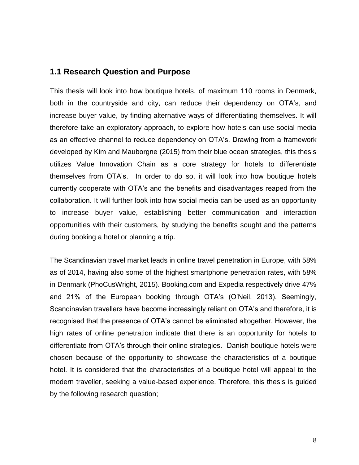#### <span id="page-8-0"></span>**1.1 Research Question and Purpose**

This thesis will look into how boutique hotels, of maximum 110 rooms in Denmark, both in the countryside and city, can reduce their dependency on OTA's, and increase buyer value, by finding alternative ways of differentiating themselves. It will therefore take an exploratory approach, to explore how hotels can use social media as an effective channel to reduce dependency on OTA's. Drawing from a framework developed by Kim and Mauborgne (2015) from their blue ocean strategies, this thesis utilizes Value Innovation Chain as a core strategy for hotels to differentiate themselves from OTA's. In order to do so, it will look into how boutique hotels currently cooperate with OTA's and the benefits and disadvantages reaped from the collaboration. It will further look into how social media can be used as an opportunity to increase buyer value, establishing better communication and interaction opportunities with their customers, by studying the benefits sought and the patterns during booking a hotel or planning a trip.

The Scandinavian travel market leads in online travel penetration in Europe, with 58% as of 2014, having also some of the highest smartphone penetration rates, with 58% in Denmark (PhoCusWright, 2015). Booking.com and Expedia respectively drive 47% and 21% of the European booking through OTA's (O'Neil, 2013). Seemingly, Scandinavian travellers have become increasingly reliant on OTA's and therefore, it is recognised that the presence of OTA's cannot be eliminated altogether. However, the high rates of online penetration indicate that there is an opportunity for hotels to differentiate from OTA's through their online strategies. Danish boutique hotels were chosen because of the opportunity to showcase the characteristics of a boutique hotel. It is considered that the characteristics of a boutique hotel will appeal to the modern traveller, seeking a value-based experience. Therefore, this thesis is guided by the following research question;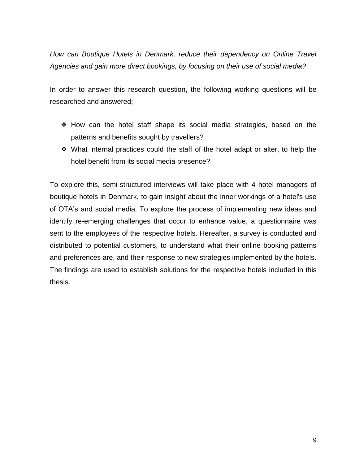*How can Boutique Hotels in Denmark, reduce their dependency on Online Travel Agencies and gain more direct bookings, by focusing on their use of social media?* 

In order to answer this research question, the following working questions will be researched and answered;

- ❖ How can the hotel staff shape its social media strategies, based on the patterns and benefits sought by travellers?
- ❖ What internal practices could the staff of the hotel adapt or alter, to help the hotel benefit from its social media presence?

To explore this, semi-structured interviews will take place with 4 hotel managers of boutique hotels in Denmark, to gain insight about the inner workings of a hotel's use of OTA's and social media. To explore the process of implementing new ideas and identify re-emerging challenges that occur to enhance value, a questionnaire was sent to the employees of the respective hotels. Hereafter, a survey is conducted and distributed to potential customers, to understand what their online booking patterns and preferences are, and their response to new strategies implemented by the hotels. The findings are used to establish solutions for the respective hotels included in this thesis.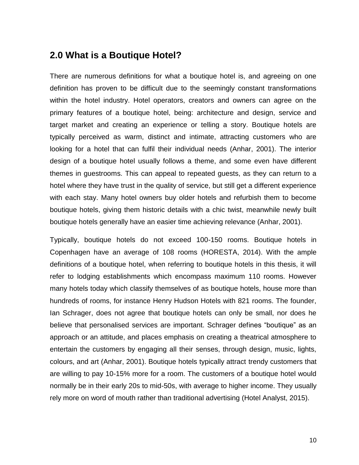## <span id="page-10-0"></span>**2.0 What is a Boutique Hotel?**

There are numerous definitions for what a boutique hotel is, and agreeing on one definition has proven to be difficult due to the seemingly constant transformations within the hotel industry. Hotel operators, creators and owners can agree on the primary features of a boutique hotel, being: architecture and design, service and target market and creating an experience or telling a story. Boutique hotels are typically perceived as warm, distinct and intimate, attracting customers who are looking for a hotel that can fulfil their individual needs (Anhar, 2001). The interior design of a boutique hotel usually follows a theme, and some even have different themes in guestrooms. This can appeal to repeated guests, as they can return to a hotel where they have trust in the quality of service, but still get a different experience with each stay. Many hotel owners buy older hotels and refurbish them to become boutique hotels, giving them historic details with a chic twist, meanwhile newly built boutique hotels generally have an easier time achieving relevance (Anhar, 2001).

Typically, boutique hotels do not exceed 100-150 rooms. Boutique hotels in Copenhagen have an average of 108 rooms (HORESTA, 2014). With the ample definitions of a boutique hotel, when referring to boutique hotels in this thesis, it will refer to lodging establishments which encompass maximum 110 rooms. However many hotels today which classify themselves of as boutique hotels, house more than hundreds of rooms, for instance Henry Hudson Hotels with 821 rooms. The founder, Ian Schrager, does not agree that boutique hotels can only be small, nor does he believe that personalised services are important. Schrager defines "boutique" as an approach or an attitude, and places emphasis on creating a theatrical atmosphere to entertain the customers by engaging all their senses, through design, music, lights, colours, and art (Anhar, 2001). Boutique hotels typically attract trendy customers that are willing to pay 10-15% more for a room. The customers of a boutique hotel would normally be in their early 20s to mid-50s, with average to higher income. They usually rely more on word of mouth rather than traditional advertising (Hotel Analyst, 2015).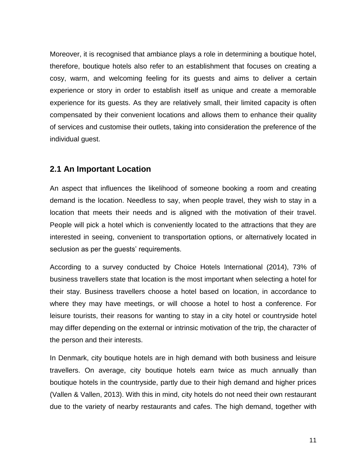Moreover, it is recognised that ambiance plays a role in determining a boutique hotel, therefore, boutique hotels also refer to an establishment that focuses on creating a cosy, warm, and welcoming feeling for its guests and aims to deliver a certain experience or story in order to establish itself as unique and create a memorable experience for its guests. As they are relatively small, their limited capacity is often compensated by their convenient locations and allows them to enhance their quality of services and customise their outlets, taking into consideration the preference of the individual guest.

#### <span id="page-11-0"></span>**2.1 An Important Location**

An aspect that influences the likelihood of someone booking a room and creating demand is the location. Needless to say, when people travel, they wish to stay in a location that meets their needs and is aligned with the motivation of their travel. People will pick a hotel which is conveniently located to the attractions that they are interested in seeing, convenient to transportation options, or alternatively located in seclusion as per the guests' requirements.

According to a survey conducted by Choice Hotels International (2014), 73% of business travellers state that location is the most important when selecting a hotel for their stay. Business travellers choose a hotel based on location, in accordance to where they may have meetings, or will choose a hotel to host a conference. For leisure tourists, their reasons for wanting to stay in a city hotel or countryside hotel may differ depending on the external or intrinsic motivation of the trip, the character of the person and their interests.

In Denmark, city boutique hotels are in high demand with both business and leisure travellers. On average, city boutique hotels earn twice as much annually than boutique hotels in the countryside, partly due to their high demand and higher prices (Vallen & Vallen, 2013). With this in mind, city hotels do not need their own restaurant due to the variety of nearby restaurants and cafes. The high demand, together with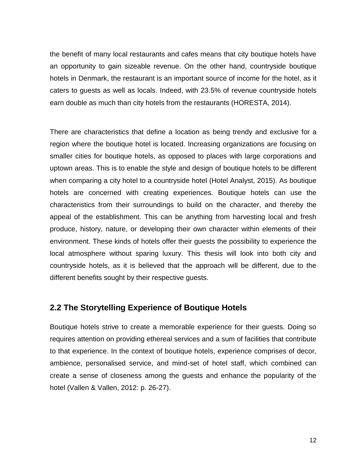the benefit of many local restaurants and cafes means that city boutique hotels have an opportunity to gain sizeable revenue. On the other hand, countryside boutique hotels in Denmark, the restaurant is an important source of income for the hotel, as it caters to guests as well as locals. Indeed, with 23.5% of revenue countryside hotels earn double as much than city hotels from the restaurants (HORESTA, 2014).

There are characteristics that define a location as being trendy and exclusive for a region where the boutique hotel is located. Increasing organizations are focusing on smaller cities for boutique hotels, as opposed to places with large corporations and uptown areas. This is to enable the style and design of boutique hotels to be different when comparing a city hotel to a countryside hotel (Hotel Analyst, 2015). As boutique hotels are concerned with creating experiences. Boutique hotels can use the characteristics from their surroundings to build on the character, and thereby the appeal of the establishment. This can be anything from harvesting local and fresh produce, history, nature, or developing their own character within elements of their environment. These kinds of hotels offer their guests the possibility to experience the local atmosphere without sparing luxury. This thesis will look into both city and countryside hotels, as it is believed that the approach will be different, due to the different benefits sought by their respective guests.

#### <span id="page-12-0"></span>**2.2 The Storytelling Experience of Boutique Hotels**

Boutique hotels strive to create a memorable experience for their guests. Doing so requires attention on providing ethereal services and a sum of facilities that contribute to that experience. In the context of boutique hotels, experience comprises of decor, ambience, personalised service, and mind-set of hotel staff, which combined can create a sense of closeness among the guests and enhance the popularity of the hotel (Vallen & Vallen, 2012: p. 26-27).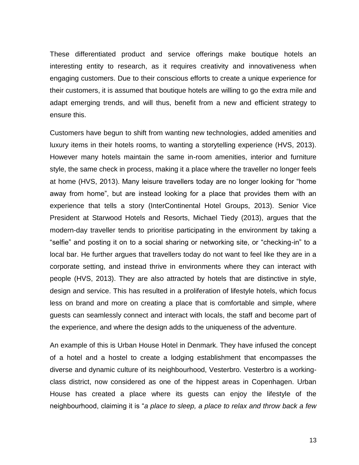These differentiated product and service offerings make boutique hotels an interesting entity to research, as it requires creativity and innovativeness when engaging customers. Due to their conscious efforts to create a unique experience for their customers, it is assumed that boutique hotels are willing to go the extra mile and adapt emerging trends, and will thus, benefit from a new and efficient strategy to ensure this.

Customers have begun to shift from wanting new technologies, added amenities and luxury items in their hotels rooms, to wanting a storytelling experience (HVS, 2013). However many hotels maintain the same in-room amenities, interior and furniture style, the same check in process, making it a place where the traveller no longer feels at home (HVS, 2013). Many leisure travellers today are no longer looking for "home away from home", but are instead looking for a place that provides them with an experience that tells a story (InterContinental Hotel Groups, 2013). Senior Vice President at Starwood Hotels and Resorts, Michael Tiedy (2013), argues that the modern-day traveller tends to prioritise participating in the environment by taking a "selfie" and posting it on to a social sharing or networking site, or "checking-in" to a local bar. He further argues that travellers today do not want to feel like they are in a corporate setting, and instead thrive in environments where they can interact with people (HVS, 2013). They are also attracted by hotels that are distinctive in style, design and service. This has resulted in a proliferation of lifestyle hotels, which focus less on brand and more on creating a place that is comfortable and simple, where guests can seamlessly connect and interact with locals, the staff and become part of the experience, and where the design adds to the uniqueness of the adventure.

An example of this is Urban House Hotel in Denmark. They have infused the concept of a hotel and a hostel to create a lodging establishment that encompasses the diverse and dynamic culture of its neighbourhood, Vesterbro. Vesterbro is a workingclass district, now considered as one of the hippest areas in Copenhagen. Urban House has created a place where its guests can enjoy the lifestyle of the neighbourhood, claiming it is "*a place to sleep, a place to relax and throw back a few*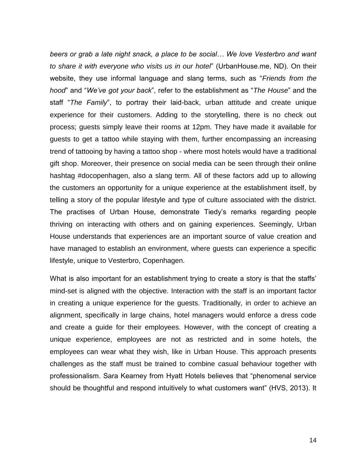*beers or grab a late night snack, a place to be social… We love Vesterbro and want to share it with everyone who visits us in our hotel*" (UrbanHouse.me, ND). On their website, they use informal language and slang terms, such as "*Friends from the hood*" and "*We've got your back*", refer to the establishment as "*The House*" and the staff "*The Family*", to portray their laid-back, urban attitude and create unique experience for their customers. Adding to the storytelling, there is no check out process; guests simply leave their rooms at 12pm. They have made it available for guests to get a tattoo while staying with them, further encompassing an increasing trend of tattooing by having a tattoo shop - where most hotels would have a traditional gift shop. Moreover, their presence on social media can be seen through their online hashtag #docopenhagen, also a slang term. All of these factors add up to allowing the customers an opportunity for a unique experience at the establishment itself, by telling a story of the popular lifestyle and type of culture associated with the district. The practises of Urban House, demonstrate Tiedy's remarks regarding people thriving on interacting with others and on gaining experiences. Seemingly, Urban House understands that experiences are an important source of value creation and have managed to establish an environment, where guests can experience a specific lifestyle, unique to Vesterbro, Copenhagen.

What is also important for an establishment trying to create a story is that the staffs' mind-set is aligned with the objective. Interaction with the staff is an important factor in creating a unique experience for the guests. Traditionally, in order to achieve an alignment, specifically in large chains, hotel managers would enforce a dress code and create a guide for their employees. However, with the concept of creating a unique experience, employees are not as restricted and in some hotels, the employees can wear what they wish, like in Urban House. This approach presents challenges as the staff must be trained to combine casual behaviour together with professionalism. Sara Kearney from Hyatt Hotels believes that "phenomenal service should be thoughtful and respond intuitively to what customers want" (HVS, 2013). It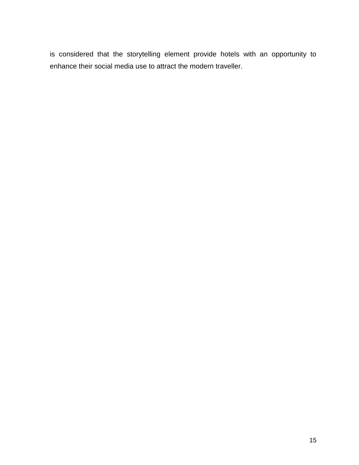is considered that the storytelling element provide hotels with an opportunity to enhance their social media use to attract the modern traveller.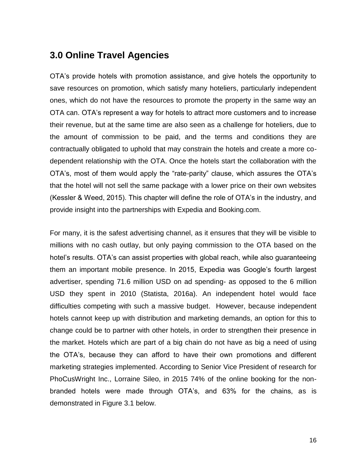# <span id="page-16-0"></span>**3.0 Online Travel Agencies**

OTA's provide hotels with promotion assistance, and give hotels the opportunity to save resources on promotion, which satisfy many hoteliers, particularly independent ones, which do not have the resources to promote the property in the same way an OTA can. OTA's represent a way for hotels to attract more customers and to increase their revenue, but at the same time are also seen as a challenge for hoteliers, due to the amount of commission to be paid, and the terms and conditions they are contractually obligated to uphold that may constrain the hotels and create a more codependent relationship with the OTA. Once the hotels start the collaboration with the OTA's, most of them would apply the "rate-parity" clause, which assures the OTA's that the hotel will not sell the same package with a lower price on their own websites (Kessler & Weed, 2015). This chapter will define the role of OTA's in the industry, and provide insight into the partnerships with Expedia and Booking.com.

For many, it is the safest advertising channel, as it ensures that they will be visible to millions with no cash outlay, but only paying commission to the OTA based on the hotel's results. OTA's can assist properties with global reach, while also guaranteeing them an important mobile presence. In 2015, Expedia was Google's fourth largest advertiser, spending 71.6 million USD on ad spending- as opposed to the 6 million USD they spent in 2010 (Statista, 2016a). An independent hotel would face difficulties competing with such a massive budget. However, because independent hotels cannot keep up with distribution and marketing demands, an option for this to change could be to partner with other hotels, in order to strengthen their presence in the market. Hotels which are part of a big chain do not have as big a need of using the OTA's, because they can afford to have their own promotions and different marketing strategies implemented. According to Senior Vice President of research for [PhoCusWright Inc.](http://www.phocuswright.com/), Lorraine Sileo, in 2015 74% of the online booking for the nonbranded hotels were made through OTA's, and 63% for the chains, as is demonstrated in Figure 3.1 below.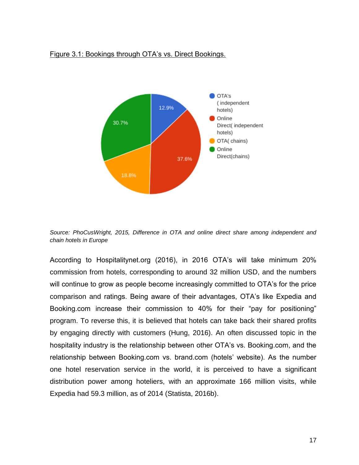#### Figure 3.1: Bookings through OTA's vs. Direct Bookings.



*Source: PhoCusWright, 2015, Difference in OTA and online direct share among independent and chain hotels in Europe*

According to Hospitalitynet.org (2016), in 2016 OTA's will take minimum 20% commission from hotels, corresponding to around 32 million USD, and the numbers will continue to grow as people become increasingly committed to OTA's for the price comparison and ratings. Being aware of their advantages, OTA's like Expedia and Booking.com increase their commission to 40% for their "pay for positioning" program. To reverse this, it is believed that hotels can take back their shared profits by engaging directly with customers (Hung, 2016). An often discussed topic in the hospitality industry is the relationship between other OTA's vs. Booking.com, and the relationship between Booking.com vs. brand.com (hotels' website). As the number one hotel reservation service in the world, it is perceived to have a significant distribution power among hoteliers, with an approximate 166 million visits, while Expedia had 59.3 million, as of 2014 (Statista, 2016b).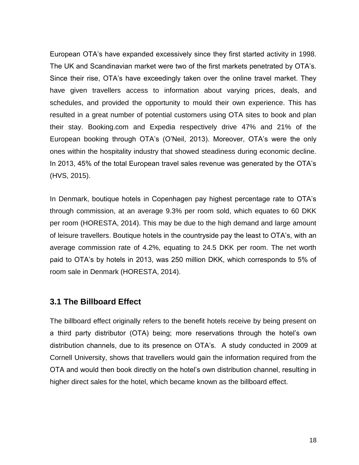European OTA's have expanded excessively since they first started activity in 1998. The UK and Scandinavian market were two of the first markets penetrated by OTA's. Since their rise, OTA's have exceedingly taken over the online travel market. They have given travellers access to information about varying prices, deals, and schedules, and provided the opportunity to mould their own experience. This has resulted in a great number of potential customers using OTA sites to book and plan their stay. Booking.com and Expedia respectively drive 47% and 21% of the European booking through OTA's (O'Neil, 2013). Moreover, OTA's were the only ones within the hospitality industry that showed steadiness during economic decline. In 2013, 45% of the total European travel sales revenue was generated by the OTA's (HVS, 2015).

In Denmark, boutique hotels in Copenhagen pay highest percentage rate to OTA's through commission, at an average 9.3% per room sold, which equates to 60 DKK per room (HORESTA, 2014). This may be due to the high demand and large amount of leisure travellers. Boutique hotels in the countryside pay the least to OTA's, with an average commission rate of 4.2%, equating to 24.5 DKK per room. The net worth paid to OTA's by hotels in 2013, was 250 million DKK, which corresponds to 5% of room sale in Denmark (HORESTA, 2014).

### <span id="page-18-0"></span>**3.1 The Billboard Effect**

The billboard effect originally refers to the benefit hotels receive by being present on a third party distributor (OTA) being; more reservations through the hotel's own distribution channels, due to its presence on OTA's. A study conducted in 2009 at Cornell University, shows that travellers would gain the information required from the OTA and would then book directly on the hotel's own distribution channel, resulting in higher direct sales for the hotel, which became known as the billboard effect.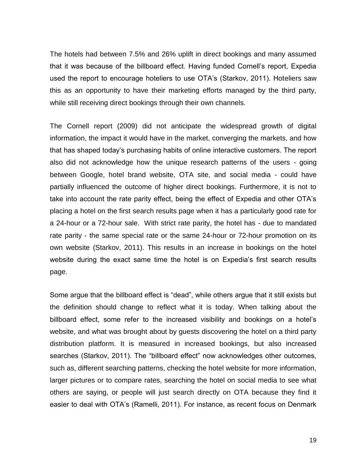The hotels had between 7.5% and 26% uplift in direct bookings and many assumed that it was because of the billboard effect. Having funded Cornell's report, Expedia used the report to encourage hoteliers to use OTA's (Starkov, 2011). Hoteliers saw this as an opportunity to have their marketing efforts managed by the third party, while still receiving direct bookings through their own channels.

The Cornell report (2009) did not anticipate the widespread growth of digital information, the impact it would have in the market, converging the markets, and how that has shaped today's purchasing habits of online interactive customers. The report also did not acknowledge how the unique research patterns of the users - going between Google, hotel brand website, OTA site, and social media - could have partially influenced the outcome of higher direct bookings. Furthermore, it is not to take into account the rate parity effect, being the effect of Expedia and other OTA's placing a hotel on the first search results page when it has a particularly good rate for a 24-hour or a 72-hour sale. With strict rate parity, the hotel has - due to mandated rate parity - the same special rate or the same 24-hour or 72-hour promotion on its own website (Starkov, 2011). This results in an increase in bookings on the hotel website during the exact same time the hotel is on Expedia's first search results page.

Some argue that the billboard effect is "dead", while others argue that it still exists but the definition should change to reflect what it is today. When talking about the billboard effect, some refer to the increased visibility and bookings on a hotel's website, and what was brought about by guests discovering the hotel on a third party distribution platform. It is measured in increased bookings, but also increased searches (Starkov, 2011). The "billboard effect" now acknowledges other outcomes, such as, different searching patterns, checking the hotel website for more information, larger pictures or to compare rates, searching the hotel on social media to see what others are saying, or people will just search directly on OTA because they find it easier to deal with OTA's (Ramelli, 2011). For instance, as recent focus on Denmark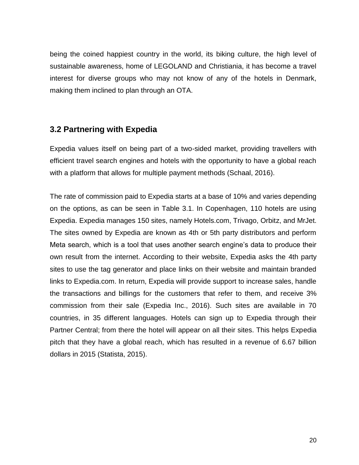being the coined happiest country in the world, its biking culture, the high level of sustainable awareness, home of LEGOLAND and Christiania, it has become a travel interest for diverse groups who may not know of any of the hotels in Denmark, making them inclined to plan through an OTA.

### <span id="page-20-0"></span>**3.2 Partnering with Expedia**

Expedia values itself on being part of a two-sided market, providing travellers with efficient travel search engines and hotels with the opportunity to have a global reach with a platform that allows for multiple payment methods (Schaal, 2016).

The rate of commission paid to Expedia starts at a base of 10% and varies depending on the options, as can be seen in Table 3.1. In Copenhagen, 110 hotels are using Expedia. Expedia manages 150 sites, namely Hotels.com, Trivago, Orbitz, and MrJet. The sites owned by Expedia are known as 4th or 5th party distributors and perform Meta search, which is a tool that uses another search engine's data to produce their own result from the internet. According to their website, Expedia asks the 4th party sites to use the tag generator and place links on their website and maintain branded links to Expedia.com. In return, Expedia will provide support to increase sales, handle the transactions and billings for the customers that refer to them, and receive 3% commission from their sale (Expedia Inc., 2016). Such sites are available in 70 countries, in 35 different languages. Hotels can sign up to Expedia through their Partner Central; from there the hotel will appear on all their sites. This helps Expedia pitch that they have a global reach, which has resulted in a revenue of 6.67 billion dollars in 2015 (Statista, 2015).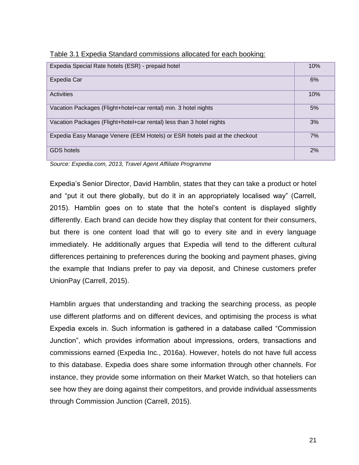| Expedia Special Rate hotels (ESR) - prepaid hotel                          | 10% |
|----------------------------------------------------------------------------|-----|
|                                                                            |     |
| Expedia Car                                                                | 6%  |
|                                                                            |     |
| Activities                                                                 | 10% |
|                                                                            |     |
| Vacation Packages (Flight+hotel+car rental) min. 3 hotel nights            | 5%  |
|                                                                            |     |
| Vacation Packages (Flight+hotel+car rental) less than 3 hotel nights       | 3%  |
|                                                                            |     |
| Expedia Easy Manage Venere (EEM Hotels) or ESR hotels paid at the checkout | 7%  |
|                                                                            |     |
| <b>GDS</b> hotels                                                          | 2%  |
|                                                                            |     |

Table 3.1 Expedia Standard commissions allocated for each booking:

*Source: Expedia.com, 2013, Travel Agent Affiliate Programme*

Expedia's Senior Director, David Hamblin, states that they can take a product or hotel and "put it out there globally, but do it in an appropriately localised way" (Carrell, 2015). Hamblin goes on to state that the hotel's content is displayed slightly differently. Each brand can decide how they display that content for their consumers, but there is one content load that will go to every site and in every language immediately. He additionally argues that Expedia will tend to the different cultural differences pertaining to preferences during the booking and payment phases, giving the example that Indians prefer to pay via deposit, and Chinese customers prefer UnionPay (Carrell, 2015).

Hamblin argues that understanding and tracking the searching process, as people use different platforms and on different devices, and optimising the process is what Expedia excels in. Such information is gathered in a database called "Commission Junction", which provides information about impressions, orders, transactions and commissions earned (Expedia Inc., 2016a). However, hotels do not have full access to this database. Expedia does share some information through other channels. For instance, they provide some information on their Market Watch, so that hoteliers can see how they are doing against their competitors, and provide individual assessments through Commission Junction (Carrell, 2015).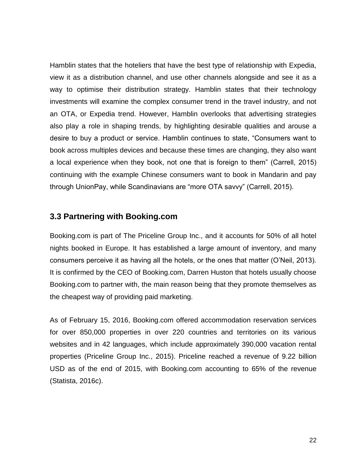Hamblin states that the hoteliers that have the best type of relationship with Expedia, view it as a distribution channel, and use other channels alongside and see it as a way to optimise their distribution strategy. Hamblin states that their technology investments will examine the complex consumer trend in the travel industry, and not an OTA, or Expedia trend. However, Hamblin overlooks that advertising strategies also play a role in shaping trends, by highlighting desirable qualities and arouse a desire to buy a product or service. Hamblin continues to state, "Consumers want to book across multiples devices and because these times are changing, they also want a local experience when they book, not one that is foreign to them" (Carrell, 2015) continuing with the example Chinese consumers want to book in Mandarin and pay through UnionPay, while Scandinavians are "more OTA savvy" (Carrell, 2015).

#### <span id="page-22-0"></span>**3.3 Partnering with Booking.com**

Booking.com is part of The Priceline Group Inc., and it accounts for 50% of all hotel nights booked in Europe. It has established a large amount of inventory, and many consumers perceive it as having all the hotels, or the ones that matter (O'Neil, 2013). It is confirmed by the CEO of Booking.com, Darren Huston that hotels usually choose Booking.com to partner with, the main reason being that they promote themselves as the cheapest way of providing paid marketing.

As of February 15, 2016, Booking.com offered accommodation reservation services for over 850,000 properties in over 220 countries and territories on its various websites and in 42 languages, which include approximately 390,000 vacation rental properties (Priceline Group Inc., 2015). Priceline reached a revenue of 9.22 billion USD as of the end of 2015, with Booking.com accounting to 65% of the revenue (Statista, 2016c).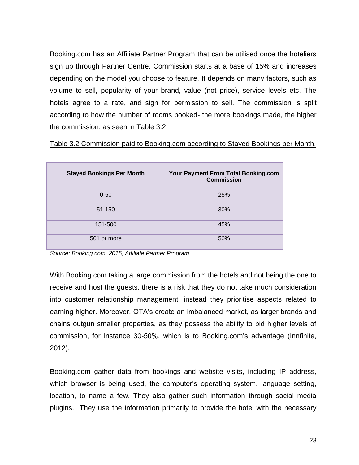Booking.com has an Affiliate Partner Program that can be utilised once the hoteliers sign up through Partner Centre. Commission starts at a base of 15% and increases depending on the model you choose to feature. It depends on many factors, such as volume to sell, popularity of your brand, value (not price), service levels etc. The hotels agree to a rate, and sign for permission to sell. The commission is split according to how the number of rooms booked- the more bookings made, the higher the commission, as seen in Table 3.2.

| Table 3.2 Commission paid to Booking.com according to Stayed Bookings per Month. |
|----------------------------------------------------------------------------------|
|----------------------------------------------------------------------------------|

| <b>Stayed Bookings Per Month</b> | Your Payment From Total Booking.com<br><b>Commission</b> |
|----------------------------------|----------------------------------------------------------|
| $0 - 50$                         | 25%                                                      |
| 51-150                           | 30%                                                      |
| 151-500                          | 45%                                                      |
| 501 or more                      | 50%                                                      |

*Source: Booking.com, 2015, Affiliate Partner Program*

With Booking.com taking a large commission from the hotels and not being the one to receive and host the guests, there is a risk that they do not take much consideration into customer relationship management, instead they prioritise aspects related to earning higher. Moreover, OTA's create an imbalanced market, as larger brands and chains outgun smaller properties, as they possess the ability to bid higher levels of commission, for instance 30-50%, which is to Booking.com's advantage (Innfinite, 2012).

Booking.com gather data from bookings and website visits, including IP address, which browser is being used, the computer's operating system, language setting, location, to name a few. They also gather such information through social media plugins. They use the information primarily to provide the hotel with the necessary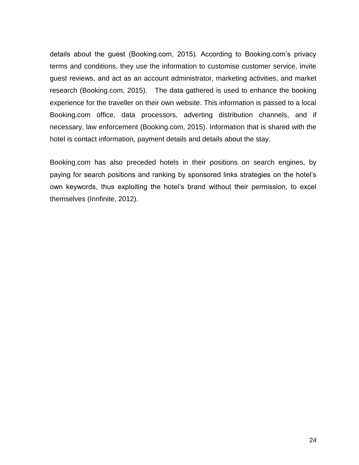details about the guest (Booking.com, 2015). According to Booking.com's privacy terms and conditions, they use the information to customise customer service, invite guest reviews, and act as an account administrator, marketing activities, and market research (Booking.com, 2015). The data gathered is used to enhance the booking experience for the traveller on their own website. This information is passed to a local Booking.com office, data processors, adverting distribution channels, and if necessary, law enforcement (Booking.com, 2015). Information that is shared with the hotel is contact information, payment details and details about the stay.

Booking.com has also preceded hotels in their positions on search engines, by paying for search positions and ranking by sponsored links strategies on the hotel's own keywords, thus exploiting the hotel's brand without their permission, to excel themselves (Innfinite, 2012).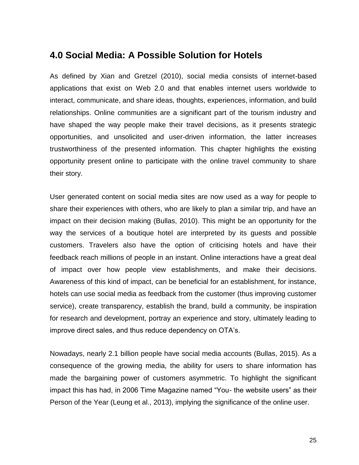## <span id="page-25-0"></span>**4.0 Social Media: A Possible Solution for Hotels**

As defined by Xian and Gretzel (2010), social media consists of internet-based applications that exist on Web 2.0 and that enables internet users worldwide to interact, communicate, and share ideas, thoughts, experiences, information, and build relationships. Online communities are a significant part of the tourism industry and have shaped the way people make their travel decisions, as it presents strategic opportunities, and unsolicited and user-driven information, the latter increases trustworthiness of the presented information. This chapter highlights the existing opportunity present online to participate with the online travel community to share their story.

User generated content on social media sites are now used as a way for people to share their experiences with others, who are likely to plan a similar trip, and have an impact on their decision making (Bullas, 2010). This might be an opportunity for the way the services of a boutique hotel are interpreted by its guests and possible customers. Travelers also have the option of criticising hotels and have their feedback reach millions of people in an instant. Online interactions have a great deal of impact over how people view establishments, and make their decisions. Awareness of this kind of impact, can be beneficial for an establishment, for instance, hotels can use social media as feedback from the customer (thus improving customer service), create transparency, establish the brand, build a community, be inspiration for research and development, portray an experience and story, ultimately leading to improve direct sales, and thus reduce dependency on OTA's.

Nowadays, nearly 2.1 billion people have social media accounts (Bullas, 2015). As a consequence of the growing media, the ability for users to share information has made the bargaining power of customers asymmetric. To highlight the significant impact this has had, in 2006 Time Magazine named "You- the website users" as their Person of the Year (Leung et al., 2013), implying the significance of the online user.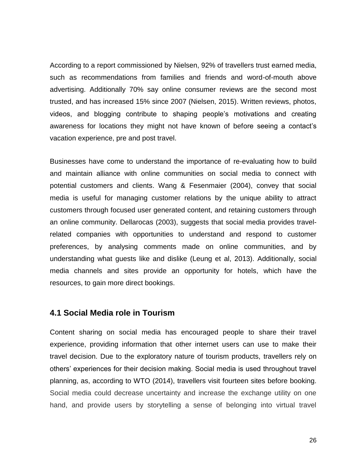According to a report commissioned by Nielsen, 92% of travellers trust earned media, such as recommendations from families and friends and word-of-mouth above advertising. Additionally 70% say online consumer reviews are the second most trusted, and has increased 15% since 2007 (Nielsen, 2015). Written reviews, photos, videos, and blogging contribute to shaping people's motivations and creating awareness for locations they might not have known of before seeing a contact's vacation experience, pre and post travel.

Businesses have come to understand the importance of re-evaluating how to build and maintain alliance with online communities on social media to connect with potential customers and clients. Wang & Fesenmaier (2004), convey that social media is useful for managing customer relations by the unique ability to attract customers through focused user generated content, and retaining customers through an online community. Dellarocas (2003), suggests that social media provides travelrelated companies with opportunities to understand and respond to customer preferences, by analysing comments made on online communities, and by understanding what guests like and dislike (Leung et al, 2013). Additionally, social media channels and sites provide an opportunity for hotels, which have the resources, to gain more direct bookings.

#### <span id="page-26-0"></span>**4.1 Social Media role in Tourism**

Content sharing on social media has encouraged people to share their travel experience, providing information that other internet users can use to make their travel decision. Due to the exploratory nature of tourism products, travellers rely on others' experiences for their decision making. Social media is used throughout travel planning, as, according to WTO (2014), travellers visit fourteen sites before booking. Social media could decrease uncertainty and increase the exchange utility on one hand, and provide users by storytelling a sense of belonging into virtual travel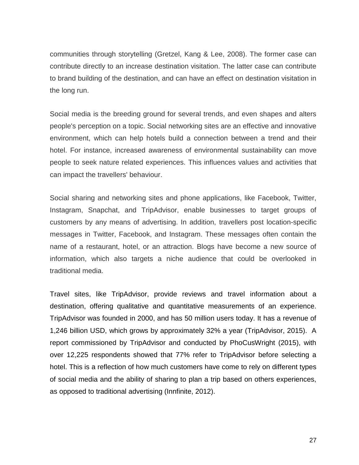communities through storytelling (Gretzel, Kang & Lee, 2008). The former case can contribute directly to an increase destination visitation. The latter case can contribute to brand building of the destination, and can have an effect on destination visitation in the long run.

Social media is the breeding ground for several trends, and even shapes and alters people's perception on a topic. Social networking sites are an effective and innovative environment, which can help hotels build a connection between a trend and their hotel. For instance, increased awareness of environmental sustainability can move people to seek nature related experiences. This influences values and activities that can impact the travellers' behaviour.

Social sharing and networking sites and phone applications, like Facebook, Twitter, Instagram, Snapchat, and TripAdvisor, enable businesses to target groups of customers by any means of advertising. In addition, travellers post location-specific messages in Twitter, Facebook, and Instagram. These messages often contain the name of a restaurant, hotel, or an attraction. Blogs have become a new source of information, which also targets a niche audience that could be overlooked in traditional media.

Travel sites, like TripAdvisor, provide reviews and travel information about a destination, offering qualitative and quantitative measurements of an experience. TripAdvisor was founded in 2000, and has 50 million users today. It has a revenue of 1,246 billion USD, which grows by approximately 32% a year (TripAdvisor, 2015). A report commissioned by TripAdvisor and conducted by PhoCusWright (2015), with over 12,225 respondents showed that 77% refer to TripAdvisor before selecting a hotel. This is a reflection of how much customers have come to rely on different types of social media and the ability of sharing to plan a trip based on others experiences, as opposed to traditional advertising (Innfinite, 2012).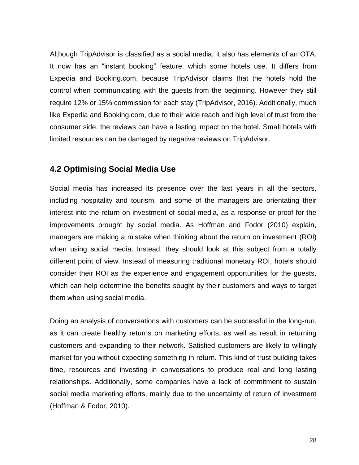Although TripAdvisor is classified as a social media, it also has elements of an OTA. It now has an "instant booking" feature, which some hotels use. It differs from Expedia and Booking.com, because TripAdvisor claims that the hotels hold the control when communicating with the guests from the beginning. However they still require 12% or 15% commission for each stay (TripAdvisor, 2016). Additionally, much like Expedia and Booking.com, due to their wide reach and high level of trust from the consumer side, the reviews can have a lasting impact on the hotel. Small hotels with limited resources can be damaged by negative reviews on TripAdvisor.

## <span id="page-28-0"></span>**4.2 Optimising Social Media Use**

Social media has increased its presence over the last years in all the sectors, including hospitality and tourism, and some of the managers are orientating their interest into the return on investment of social media, as a response or proof for the improvements brought by social media. As Hoffman and Fodor (2010) explain, managers are making a mistake when thinking about the return on investment (ROI) when using social media. Instead, they should look at this subject from a totally different point of view. Instead of measuring traditional monetary ROI, hotels should consider their ROI as the experience and engagement opportunities for the guests, which can help determine the benefits sought by their customers and ways to target them when using social media.

Doing an analysis of conversations with customers can be successful in the long-run, as it can create healthy returns on marketing efforts, as well as result in returning customers and expanding to their network. Satisfied customers are likely to willingly market for you without expecting something in return. This kind of trust building takes time, resources and investing in conversations to produce real and long lasting relationships. Additionally, some companies have a lack of commitment to sustain social media marketing efforts, mainly due to the uncertainty of return of investment (Hoffman & Fodor, 2010).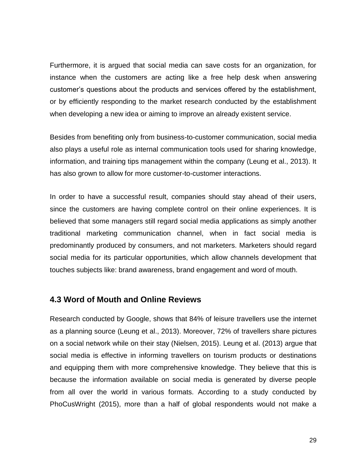Furthermore, it is argued that social media can save costs for an organization, for instance when the customers are acting like a free help desk when answering customer's questions about the products and services offered by the establishment, or by efficiently responding to the market research conducted by the establishment when developing a new idea or aiming to improve an already existent service.

Besides from benefiting only from business-to-customer communication, social media also plays a useful role as internal communication tools used for sharing knowledge, information, and training tips management within the company (Leung et al., 2013). It has also grown to allow for more customer-to-customer interactions.

In order to have a successful result, companies should stay ahead of their users, since the customers are having complete control on their online experiences. It is believed that some managers still regard social media applications as simply another traditional marketing communication channel, when in fact social media is predominantly produced by consumers, and not marketers. Marketers should regard social media for its particular opportunities, which allow channels development that touches subjects like: brand awareness, brand engagement and word of mouth.

#### <span id="page-29-0"></span>**4.3 Word of Mouth and Online Reviews**

Research conducted by Google, shows that 84% of leisure travellers use the internet as a planning source (Leung et al., 2013). Moreover, 72% of travellers share pictures on a social network while on their stay (Nielsen, 2015). Leung et al. (2013) argue that social media is effective in informing travellers on tourism products or destinations and equipping them with more comprehensive knowledge. They believe that this is because the information available on social media is generated by diverse people from all over the world in various formats. According to a study conducted by PhoCusWright (2015), more than a half of global respondents would not make a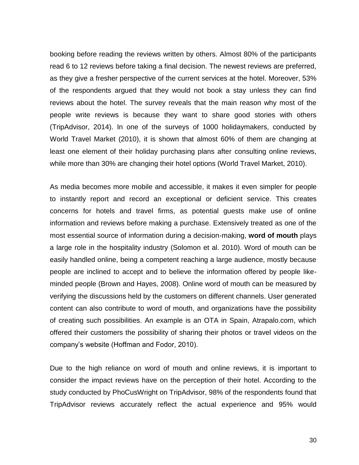booking before reading the reviews written by others. Almost 80% of the participants read 6 to 12 reviews before taking a final decision. The newest reviews are preferred, as they give a fresher perspective of the current services at the hotel. Moreover, 53% of the respondents argued that they would not book a stay unless they can find reviews about the hotel. The survey reveals that the main reason why most of the people write reviews is because they want to share good stories with others (TripAdvisor, 2014). In one of the surveys of 1000 holidaymakers, conducted by World Travel Market (2010), it is shown that almost 60% of them are changing at least one element of their holiday purchasing plans after consulting online reviews, while more than 30% are changing their hotel options (World Travel Market, 2010).

As media becomes more mobile and accessible, it makes it even simpler for people to instantly report and record an exceptional or deficient service. This creates concerns for hotels and travel firms, as potential guests make use of online information and reviews before making a purchase. Extensively treated as one of the most essential source of information during a decision-making, **word of mouth** plays a large role in the hospitality industry (Solomon et al. 2010). Word of mouth can be easily handled online, being a competent reaching a large audience, mostly because people are inclined to accept and to believe the information offered by people likeminded people (Brown and Hayes, 2008). Online word of mouth can be measured by verifying the discussions held by the customers on different channels. User generated content can also contribute to word of mouth, and organizations have the possibility of creating such possibilities. An example is an OTA in Spain, Atrapalo.com, which offered their customers the possibility of sharing their photos or travel videos on the company's website (Hoffman and Fodor, 2010).

Due to the high reliance on word of mouth and online reviews, it is important to consider the impact reviews have on the perception of their hotel. According to the study conducted by PhoCusWright on TripAdvisor, 98% of the respondents found that TripAdvisor reviews accurately reflect the actual experience and 95% would

30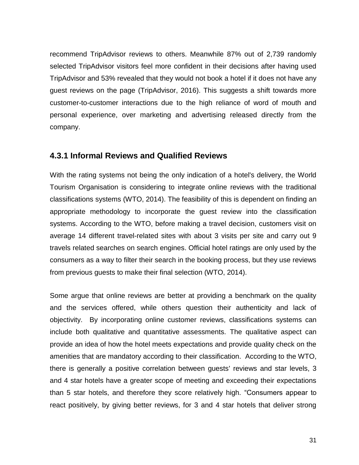recommend TripAdvisor reviews to others. Meanwhile 87% out of 2,739 randomly selected TripAdvisor visitors feel more confident in their decisions after having used TripAdvisor and 53% revealed that they would not book a hotel if it does not have any guest reviews on the page (TripAdvisor, 2016). This suggests a shift towards more customer-to-customer interactions due to the high reliance of word of mouth and personal experience, over marketing and advertising released directly from the company.

#### <span id="page-31-0"></span>**4.3.1 Informal Reviews and Qualified Reviews**

With the rating systems not being the only indication of a hotel's delivery, the World Tourism Organisation is considering to integrate online reviews with the traditional classifications systems (WTO, 2014). The feasibility of this is dependent on finding an appropriate methodology to incorporate the guest review into the classification systems. According to the WTO, before making a travel decision, customers visit on average 14 different travel-related sites with about 3 visits per site and carry out 9 travels related searches on search engines. Official hotel ratings are only used by the consumers as a way to filter their search in the booking process, but they use reviews from previous guests to make their final selection (WTO, 2014).

Some argue that online reviews are better at providing a benchmark on the quality and the services offered, while others question their authenticity and lack of objectivity. By incorporating online customer reviews, classifications systems can include both qualitative and quantitative assessments. The qualitative aspect can provide an idea of how the hotel meets expectations and provide quality check on the amenities that are mandatory according to their classification. According to the WTO, there is generally a positive correlation between guests' reviews and star levels, 3 and 4 star hotels have a greater scope of meeting and exceeding their expectations than 5 star hotels, and therefore they score relatively high. "Consumers appear to react positively, by giving better reviews, for 3 and 4 star hotels that deliver strong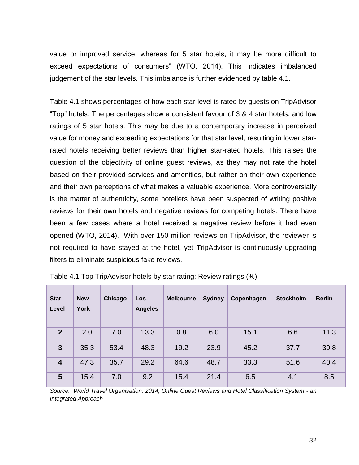value or improved service, whereas for 5 star hotels, it may be more difficult to exceed expectations of consumers" (WTO, 2014). This indicates imbalanced judgement of the star levels. This imbalance is further evidenced by table 4.1.

Table 4.1 shows percentages of how each star level is rated by guests on TripAdvisor "Top" hotels. The percentages show a consistent favour of 3 & 4 star hotels, and low ratings of 5 star hotels. This may be due to a contemporary increase in perceived value for money and exceeding expectations for that star level, resulting in lower starrated hotels receiving better reviews than higher star-rated hotels. This raises the question of the objectivity of online guest reviews, as they may not rate the hotel based on their provided services and amenities, but rather on their own experience and their own perceptions of what makes a valuable experience. More controversially is the matter of authenticity, some hoteliers have been suspected of writing positive reviews for their own hotels and negative reviews for competing hotels. There have been a few cases where a hotel received a negative review before it had even opened (WTO, 2014). With over 150 million reviews on TripAdvisor, the reviewer is not required to have stayed at the hotel, yet TripAdvisor is continuously upgrading filters to eliminate suspicious fake reviews.

| <b>Star</b><br>Level    | <b>New</b><br><b>York</b> | Chicago | Los<br><b>Angeles</b> | <b>Melbourne</b> | <b>Sydney</b> | Copenhagen | <b>Stockholm</b> | <b>Berlin</b> |
|-------------------------|---------------------------|---------|-----------------------|------------------|---------------|------------|------------------|---------------|
| $\overline{2}$          | 2.0                       | 7.0     | 13.3                  | 0.8              | 6.0           | 15.1       | 6.6              | 11.3          |
| 3                       | 35.3                      | 53.4    | 48.3                  | 19.2             | 23.9          | 45.2       | 37.7             | 39.8          |
| $\overline{\mathbf{4}}$ | 47.3                      | 35.7    | 29.2                  | 64.6             | 48.7          | 33.3       | 51.6             | 40.4          |
| 5                       | 15.4                      | 7.0     | 9.2                   | 15.4             | 21.4          | 6.5        | 4.1              | 8.5           |

Table 4.1 Top TripAdvisor hotels by star rating: Review ratings (%)

*Source: World Travel Organisation, 2014, Online Guest Reviews and Hotel Classification System - an Integrated Approach*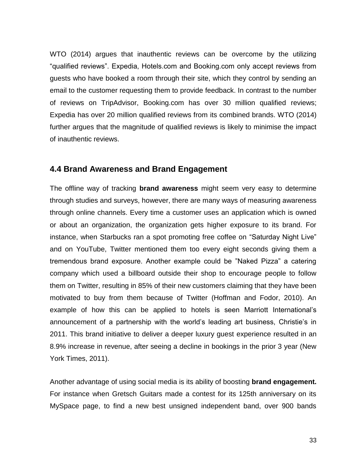WTO (2014) argues that inauthentic reviews can be overcome by the utilizing "qualified reviews". Expedia, Hotels.com and Booking.com only accept reviews from guests who have booked a room through their site, which they control by sending an email to the customer requesting them to provide feedback. In contrast to the number of reviews on TripAdvisor, Booking.com has over 30 million qualified reviews; Expedia has over 20 million qualified reviews from its combined brands. WTO (2014) further argues that the magnitude of qualified reviews is likely to minimise the impact of inauthentic reviews.

#### <span id="page-33-0"></span>**4.4 Brand Awareness and Brand Engagement**

The offline way of tracking **brand awareness** might seem very easy to determine through studies and surveys, however, there are many ways of measuring awareness through online channels. Every time a customer uses an application which is owned or about an organization, the organization gets higher exposure to its brand. For instance, when Starbucks ran a spot promoting free coffee on "Saturday Night Live" and on YouTube, Twitter mentioned them too every eight seconds giving them a tremendous brand exposure. Another example could be "Naked Pizza" a catering company which used a billboard outside their shop to encourage people to follow them on Twitter, resulting in 85% of their new customers claiming that they have been motivated to buy from them because of Twitter (Hoffman and Fodor, 2010). An example of how this can be applied to hotels is seen Marriott International's announcement of a partnership with the world's leading art business, Christie's in 2011. This brand initiative to deliver a deeper luxury guest experience resulted in an 8.9% increase in revenue, after seeing a decline in bookings in the prior 3 year (New York Times, 2011).

Another advantage of using social media is its ability of boosting **brand engagement.** For instance when Gretsch Guitars made a contest for its 125th anniversary on its MySpace page, to find a new best unsigned independent band, over 900 bands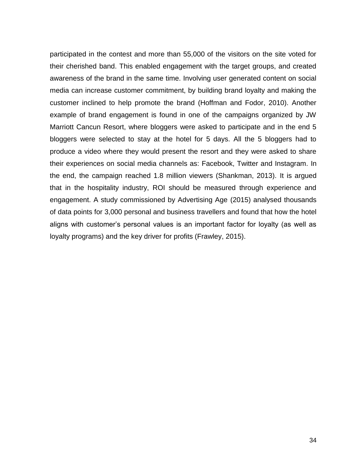participated in the contest and more than 55,000 of the visitors on the site voted for their cherished band. This enabled engagement with the target groups, and created awareness of the brand in the same time. Involving user generated content on social media can increase customer commitment, by building brand loyalty and making the customer inclined to help promote the brand (Hoffman and Fodor, 2010). Another example of brand engagement is found in one of the campaigns organized by JW Marriott Cancun Resort, where bloggers were asked to participate and in the end 5 bloggers were selected to stay at the hotel for 5 days. All the 5 bloggers had to produce a video where they would present the resort and they were asked to share their experiences on social media channels as: Facebook, Twitter and Instagram. In the end, the campaign reached 1.8 million viewers (Shankman, 2013). It is argued that in the hospitality industry, ROI should be measured through experience and engagement. A study commissioned by Advertising Age (2015) analysed thousands of data points for 3,000 personal and business travellers and found that how the hotel aligns with customer's personal values is an important factor for loyalty (as well as loyalty programs) and the key driver for profits (Frawley, 2015).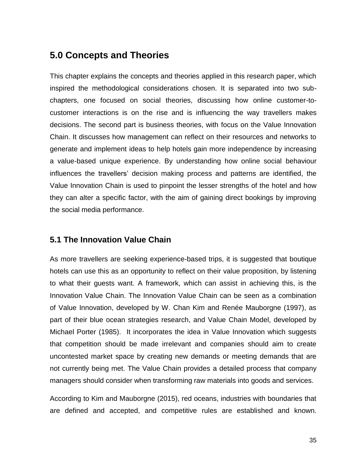# <span id="page-35-0"></span>**5.0 Concepts and Theories**

This chapter explains the concepts and theories applied in this research paper, which inspired the methodological considerations chosen. It is separated into two subchapters, one focused on social theories, discussing how online customer-tocustomer interactions is on the rise and is influencing the way travellers makes decisions. The second part is business theories, with focus on the Value Innovation Chain. It discusses how management can reflect on their resources and networks to generate and implement ideas to help hotels gain more independence by increasing a value-based unique experience. By understanding how online social behaviour influences the travellers' decision making process and patterns are identified, the Value Innovation Chain is used to pinpoint the lesser strengths of the hotel and how they can alter a specific factor, with the aim of gaining direct bookings by improving the social media performance.

### <span id="page-35-1"></span>**5.1 The Innovation Value Chain**

As more travellers are seeking experience-based trips, it is suggested that boutique hotels can use this as an opportunity to reflect on their value proposition, by listening to what their guests want. A framework, which can assist in achieving this, is the Innovation Value Chain. The Innovation Value Chain can be seen as a combination of Value Innovation, developed by W. Chan Kim and Renée Mauborgne (1997), as part of their blue ocean strategies research, and Value Chain Model, developed by Michael Porter (1985). It incorporates the idea in Value Innovation which suggests that competition should be made irrelevant and companies should aim to create uncontested market space by creating new demands or meeting demands that are not currently being met. The Value Chain provides a detailed process that company managers should consider when transforming raw materials into goods and services.

According to Kim and Mauborgne (2015), red oceans, industries with boundaries that are defined and accepted, and competitive rules are established and known.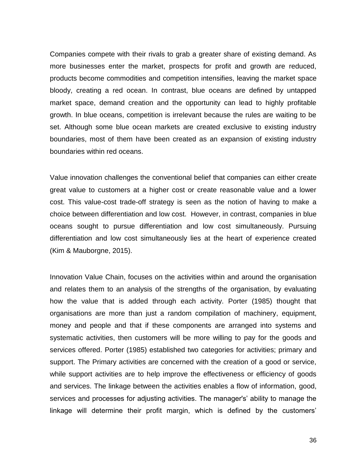Companies compete with their rivals to grab a greater share of existing demand. As more businesses enter the market, prospects for profit and growth are reduced, products become commodities and competition intensifies, leaving the market space bloody, creating a red ocean. In contrast, blue oceans are defined by untapped market space, demand creation and the opportunity can lead to highly profitable growth. In blue oceans, competition is irrelevant because the rules are waiting to be set. Although some blue ocean markets are created exclusive to existing industry boundaries, most of them have been created as an expansion of existing industry boundaries within red oceans.

Value innovation challenges the conventional belief that companies can either create great value to customers at a higher cost or create reasonable value and a lower cost. This value-cost trade-off strategy is seen as the notion of having to make a choice between differentiation and low cost. However, in contrast, companies in blue oceans sought to pursue differentiation and low cost simultaneously. Pursuing differentiation and low cost simultaneously lies at the heart of experience created (Kim & Mauborgne, 2015).

Innovation Value Chain, focuses on the activities within and around the organisation and relates them to an analysis of the strengths of the organisation, by evaluating how the value that is added through each activity. Porter (1985) thought that organisations are more than just a random compilation of machinery, equipment, money and people and that if these components are arranged into systems and systematic activities, then customers will be more willing to pay for the goods and services offered. Porter (1985) established two categories for activities; primary and support. The Primary activities are concerned with the creation of a good or service, while support activities are to help improve the effectiveness or efficiency of goods and services. The linkage between the activities enables a flow of information, good, services and processes for adjusting activities. The manager's' ability to manage the linkage will determine their profit margin, which is defined by the customers'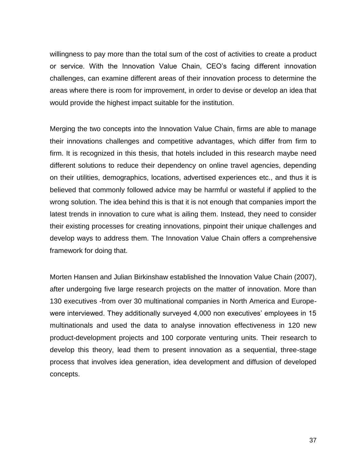willingness to pay more than the total sum of the cost of activities to create a product or service. With the Innovation Value Chain, CEO's facing different innovation challenges, can examine different areas of their innovation process to determine the areas where there is room for improvement, in order to devise or develop an idea that would provide the highest impact suitable for the institution.

Merging the two concepts into the Innovation Value Chain, firms are able to manage their innovations challenges and competitive advantages, which differ from firm to firm. It is recognized in this thesis, that hotels included in this research maybe need different solutions to reduce their dependency on online travel agencies, depending on their utilities, demographics, locations, advertised experiences etc., and thus it is believed that commonly followed advice may be harmful or wasteful if applied to the wrong solution. The idea behind this is that it is not enough that companies import the latest trends in innovation to cure what is ailing them. Instead, they need to consider their existing processes for creating innovations, pinpoint their unique challenges and develop ways to address them. The Innovation Value Chain offers a comprehensive framework for doing that.

Morten Hansen and Julian Birkinshaw established the Innovation Value Chain (2007), after undergoing five large research projects on the matter of innovation. More than 130 executives -from over 30 multinational companies in North America and Europewere interviewed. They additionally surveyed 4,000 non executives' employees in 15 multinationals and used the data to analyse innovation effectiveness in 120 new product-development projects and 100 corporate venturing units. Their research to develop this theory, lead them to present innovation as a sequential, three-stage process that involves idea generation, idea development and diffusion of developed concepts.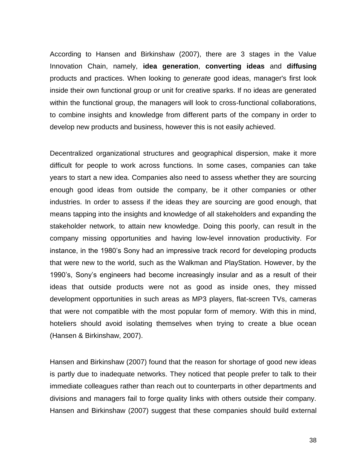According to Hansen and Birkinshaw (2007), there are 3 stages in the Value Innovation Chain, namely, **idea generation**, **converting ideas** and **diffusing** products and practices. When looking to *generate* good ideas, manager's first look inside their own functional group or unit for creative sparks. If no ideas are generated within the functional group, the managers will look to cross-functional collaborations, to combine insights and knowledge from different parts of the company in order to develop new products and business, however this is not easily achieved.

Decentralized organizational structures and geographical dispersion, make it more difficult for people to work across functions. In some cases, companies can take years to start a new idea. Companies also need to assess whether they are sourcing enough good ideas from outside the company, be it other companies or other industries. In order to assess if the ideas they are sourcing are good enough, that means tapping into the insights and knowledge of all stakeholders and expanding the stakeholder network, to attain new knowledge. Doing this poorly, can result in the company missing opportunities and having low-level innovation productivity. For instance, in the 1980's Sony had an impressive track record for developing products that were new to the world, such as the Walkman and PlayStation. However, by the 1990's, Sony's engineers had become increasingly insular and as a result of their ideas that outside products were not as good as inside ones, they missed development opportunities in such areas as MP3 players, flat-screen TVs, cameras that were not compatible with the most popular form of memory. With this in mind, hoteliers should avoid isolating themselves when trying to create a blue ocean (Hansen & Birkinshaw, 2007).

Hansen and Birkinshaw (2007) found that the reason for shortage of good new ideas is partly due to inadequate networks. They noticed that people prefer to talk to their immediate colleagues rather than reach out to counterparts in other departments and divisions and managers fail to forge quality links with others outside their company. Hansen and Birkinshaw (2007) suggest that these companies should build external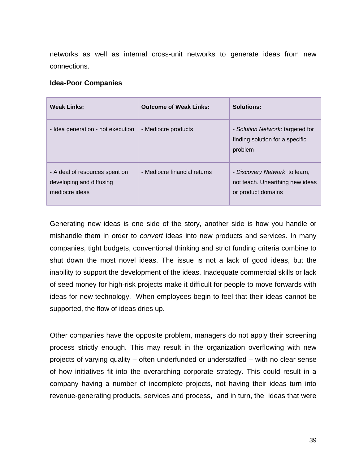networks as well as internal cross-unit networks to generate ideas from new connections.

#### **Idea-Poor Companies**

| <b>Weak Links:</b>                                                           | <b>Outcome of Weak Links:</b> | Solutions:                                                                              |
|------------------------------------------------------------------------------|-------------------------------|-----------------------------------------------------------------------------------------|
| - Idea generation - not execution                                            | - Mediocre products           | - Solution Network: targeted for<br>finding solution for a specific<br>problem          |
| - A deal of resources spent on<br>developing and diffusing<br>mediocre ideas | - Mediocre financial returns  | - Discovery Network: to learn,<br>not teach. Unearthing new ideas<br>or product domains |

Generating new ideas is one side of the story, another side is how you handle or mishandle them in order to *convert* ideas into new products and services. In many companies, tight budgets, conventional thinking and strict funding criteria combine to shut down the most novel ideas. The issue is not a lack of good ideas, but the inability to support the development of the ideas. Inadequate commercial skills or lack of seed money for high-risk projects make it difficult for people to move forwards with ideas for new technology. When employees begin to feel that their ideas cannot be supported, the flow of ideas dries up.

Other companies have the opposite problem, managers do not apply their screening process strictly enough. This may result in the organization overflowing with new projects of varying quality – often underfunded or understaffed – with no clear sense of how initiatives fit into the overarching corporate strategy. This could result in a company having a number of incomplete projects, not having their ideas turn into revenue-generating products, services and process, and in turn, the ideas that were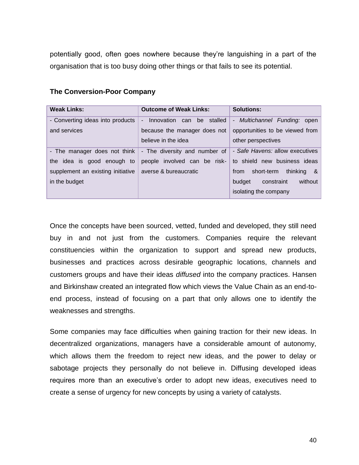potentially good, often goes nowhere because they're languishing in a part of the organisation that is too busy doing other things or that fails to see its potential.

| <b>Weak Links:</b>                                                                                               | <b>Outcome of Weak Links:</b>                                                                                | <b>Solutions:</b>                                                                                                                                               |  |  |
|------------------------------------------------------------------------------------------------------------------|--------------------------------------------------------------------------------------------------------------|-----------------------------------------------------------------------------------------------------------------------------------------------------------------|--|--|
| - Converting ideas into products<br>and services                                                                 | Innovation can be stalled<br>$\overline{\phantom{a}}$<br>because the manager does not<br>believe in the idea | - Multichannel Funding: open<br>opportunities to be viewed from<br>other perspectives                                                                           |  |  |
| - The manager does not think<br>the idea is good enough to<br>supplement an existing initiative<br>in the budget | - The diversity and number of<br>people involved can be risk-<br>averse & bureaucratic                       | - Safe Havens: allow executives<br>to shield new business ideas<br>short-term<br>thinking &<br>from<br>without<br>constraint<br>budget<br>isolating the company |  |  |

#### **The Conversion-Poor Company**

Once the concepts have been sourced, vetted, funded and developed, they still need buy in and not just from the customers. Companies require the relevant constituencies within the organization to support and spread new products, businesses and practices across desirable geographic locations, channels and customers groups and have their ideas *diffused* into the company practices. Hansen and Birkinshaw created an integrated flow which views the Value Chain as an end-toend process, instead of focusing on a part that only allows one to identify the weaknesses and strengths.

Some companies may face difficulties when gaining traction for their new ideas. In decentralized organizations, managers have a considerable amount of autonomy, which allows them the freedom to reject new ideas, and the power to delay or sabotage projects they personally do not believe in. Diffusing developed ideas requires more than an executive's order to adopt new ideas, executives need to create a sense of urgency for new concepts by using a variety of catalysts.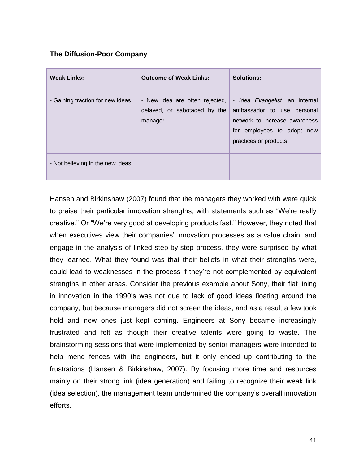## **The Diffusion-Poor Company**

| <b>Weak Links:</b>               | <b>Outcome of Weak Links:</b>                                               | <b>Solutions:</b>                                                                                                                                    |
|----------------------------------|-----------------------------------------------------------------------------|------------------------------------------------------------------------------------------------------------------------------------------------------|
| - Gaining traction for new ideas | - New idea are often rejected,  <br>delayed, or sabotaged by the<br>manager | - Idea Evangelist: an internal<br>ambassador to use personal<br>network to increase awareness<br>for employees to adopt new<br>practices or products |
| - Not believing in the new ideas |                                                                             |                                                                                                                                                      |

Hansen and Birkinshaw (2007) found that the managers they worked with were quick to praise their particular innovation strengths, with statements such as "We're really creative." Or "We're very good at developing products fast." However, they noted that when executives view their companies' innovation processes as a value chain, and engage in the analysis of linked step-by-step process, they were surprised by what they learned. What they found was that their beliefs in what their strengths were, could lead to weaknesses in the process if they're not complemented by equivalent strengths in other areas. Consider the previous example about Sony, their flat lining in innovation in the 1990's was not due to lack of good ideas floating around the company, but because managers did not screen the ideas, and as a result a few took hold and new ones just kept coming. Engineers at Sony became increasingly frustrated and felt as though their creative talents were going to waste. The brainstorming sessions that were implemented by senior managers were intended to help mend fences with the engineers, but it only ended up contributing to the frustrations (Hansen & Birkinshaw, 2007). By focusing more time and resources mainly on their strong link (idea generation) and failing to recognize their weak link (idea selection), the management team undermined the company's overall innovation efforts.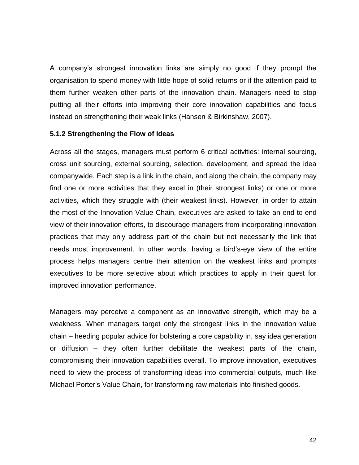A company's strongest innovation links are simply no good if they prompt the organisation to spend money with little hope of solid returns or if the attention paid to them further weaken other parts of the innovation chain. Managers need to stop putting all their efforts into improving their core innovation capabilities and focus instead on strengthening their weak links (Hansen & Birkinshaw, 2007).

#### **5.1.2 Strengthening the Flow of Ideas**

Across all the stages, managers must perform 6 critical activities: internal sourcing, cross unit sourcing, external sourcing, selection, development, and spread the idea companywide. Each step is a link in the chain, and along the chain, the company may find one or more activities that they excel in (their strongest links) or one or more activities, which they struggle with (their weakest links). However, in order to attain the most of the Innovation Value Chain, executives are asked to take an end-to-end view of their innovation efforts, to discourage managers from incorporating innovation practices that may only address part of the chain but not necessarily the link that needs most improvement. In other words, having a bird's-eye view of the entire process helps managers centre their attention on the weakest links and prompts executives to be more selective about which practices to apply in their quest for improved innovation performance.

Managers may perceive a component as an innovative strength, which may be a weakness. When managers target only the strongest links in the innovation value chain – heeding popular advice for bolstering a core capability in, say idea generation or diffusion – they often further debilitate the weakest parts of the chain, compromising their innovation capabilities overall. To improve innovation, executives need to view the process of transforming ideas into commercial outputs, much like Michael Porter's Value Chain, for transforming raw materials into finished goods.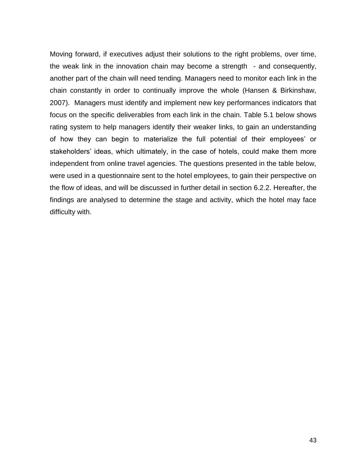Moving forward, if executives adjust their solutions to the right problems, over time, the weak link in the innovation chain may become a strength - and consequently, another part of the chain will need tending. Managers need to monitor each link in the chain constantly in order to continually improve the whole (Hansen & Birkinshaw, 2007). Managers must identify and implement new key performances indicators that focus on the specific deliverables from each link in the chain. Table 5.1 below shows rating system to help managers identify their weaker links, to gain an understanding of how they can begin to materialize the full potential of their employees' or stakeholders' ideas, which ultimately, in the case of hotels, could make them more independent from online travel agencies. The questions presented in the table below, were used in a questionnaire sent to the hotel employees, to gain their perspective on the flow of ideas, and will be discussed in further detail in section 6.2.2. Hereafter, the findings are analysed to determine the stage and activity, which the hotel may face difficulty with.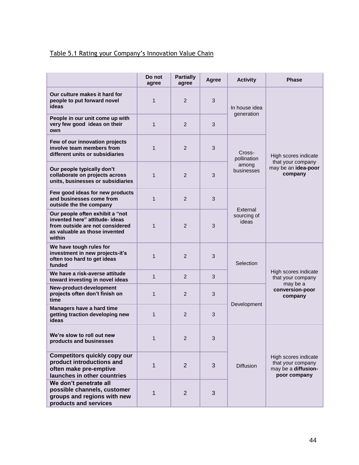# Table 5.1 Rating your Company's Innovation Value Chain

|                                                                                                                                                 | Do not<br>agree | <b>Partially</b><br>agree | Agree | <b>Activity</b>                              | <b>Phase</b>                                                                        |
|-------------------------------------------------------------------------------------------------------------------------------------------------|-----------------|---------------------------|-------|----------------------------------------------|-------------------------------------------------------------------------------------|
| Our culture makes it hard for<br>people to put forward novel<br>ideas                                                                           | $\mathbf 1$     | 2                         | 3     | In house idea<br>generation                  | High scores indicate<br>that your company<br>may be an idea-poor<br>company         |
| People in our unit come up with<br>very few good ideas on their<br>own                                                                          | $\mathbf{1}$    | $\overline{2}$            | 3     |                                              |                                                                                     |
| Few of our innovation projects<br>involve team members from<br>different units or subsidiaries                                                  | $\mathbf 1$     | 2                         | 3     | Cross-<br>pollination<br>among<br>businesses |                                                                                     |
| Our people typically don't<br>collaborate on projects across<br>units, businesses or subsidiaries                                               | 1               | 2                         | 3     |                                              |                                                                                     |
| Few good ideas for new products<br>and businesses come from<br>outside the the company                                                          | $\mathbf 1$     | 2                         | 3     | External<br>sourcing of<br>ideas             |                                                                                     |
| Our people often exhibit a "not<br>invented here" attitude- ideas<br>from outside are not considered<br>as valuable as those invented<br>within | $\mathbf{1}$    | $\overline{2}$            | 3     |                                              |                                                                                     |
| We have tough rules for<br>investment in new projects-it's<br>often too hard to get ideas<br>funded                                             | 1               | $\overline{2}$            | 3     | Selection<br>Development                     | High scores indicate<br>that your company<br>may be a<br>conversion-poor<br>company |
| We have a risk-averse attitude<br>toward investing in novel ideas                                                                               | $\mathbf{1}$    | 2                         | 3     |                                              |                                                                                     |
| New-product-development<br>projects often don't finish on<br>time                                                                               | $\mathbf 1$     | 2                         | 3     |                                              |                                                                                     |
| Managers have a hard time<br>getting traction developing new<br>ideas                                                                           | $\mathbf{1}$    | 2                         | 3     |                                              |                                                                                     |
| We're slow to roll out new<br>products and businesses                                                                                           | 1               | 2                         | 3     | <b>Diffusion</b>                             | High scores indicate<br>that your company<br>may be a diffusion-<br>poor company    |
| <b>Competitors quickly copy our</b><br>product introductions and<br>often make pre-emptive<br>launches in other countries                       | 1               | $\overline{2}$            | 3     |                                              |                                                                                     |
| We don't penetrate all<br>possible channels, customer<br>groups and regions with new<br>products and services                                   | 1               | $\overline{2}$            | 3     |                                              |                                                                                     |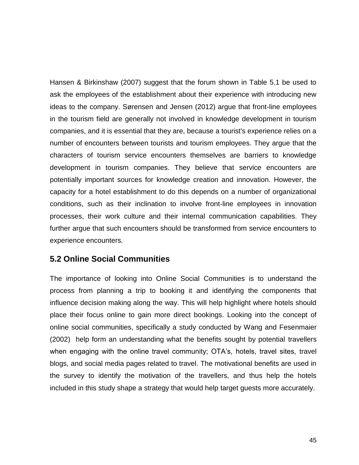Hansen & Birkinshaw (2007) suggest that the forum shown in Table 5.1 be used to ask the employees of the establishment about their experience with introducing new ideas to the company. Sørensen and Jensen (2012) argue that front-line employees in the tourism field are generally not involved in knowledge development in tourism companies, and it is essential that they are, because a tourist's experience relies on a number of encounters between tourists and tourism employees. They argue that the characters of tourism service encounters themselves are barriers to knowledge development in tourism companies. They believe that service encounters are potentially important sources for knowledge creation and innovation. However, the capacity for a hotel establishment to do this depends on a number of organizational conditions, such as their inclination to involve front-line employees in innovation processes, their work culture and their internal communication capabilities. They further argue that such encounters should be transformed from service encounters to experience encounters.

# **5.2 Online Social Communities**

The importance of looking into Online Social Communities is to understand the process from planning a trip to booking it and identifying the components that influence decision making along the way. This will help highlight where hotels should place their focus online to gain more direct bookings. Looking into the concept of online social communities, specifically a study conducted by Wang and Fesenmaier (2002) help form an understanding what the benefits sought by potential travellers when engaging with the online travel community; OTA's, hotels, travel sites, travel blogs, and social media pages related to travel. The motivational benefits are used in the survey to identify the motivation of the travellers, and thus help the hotels included in this study shape a strategy that would help target guests more accurately.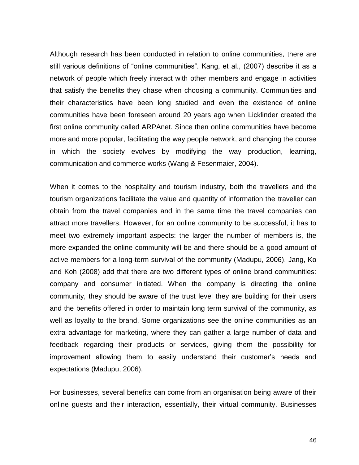Although research has been conducted in relation to online communities, there are still various definitions of "online communities". Kang, et al., (2007) describe it as a network of people which freely interact with other members and engage in activities that satisfy the benefits they chase when choosing a community. Communities and their characteristics have been long studied and even the existence of online communities have been foreseen around 20 years ago when Licklinder created the first online community called ARPAnet. Since then online communities have become more and more popular, facilitating the way people network, and changing the course in which the society evolves by modifying the way production, learning, communication and commerce works (Wang & Fesenmaier, 2004).

When it comes to the hospitality and tourism industry, both the travellers and the tourism organizations facilitate the value and quantity of information the traveller can obtain from the travel companies and in the same time the travel companies can attract more travellers. However, for an online community to be successful, it has to meet two extremely important aspects: the larger the number of members is, the more expanded the online community will be and there should be a good amount of active members for a long-term survival of the community (Madupu, 2006). Jang, Ko and Koh (2008) add that there are two different types of online brand communities: company and consumer initiated. When the company is directing the online community, they should be aware of the trust level they are building for their users and the benefits offered in order to maintain long term survival of the community, as well as loyalty to the brand. Some organizations see the online communities as an extra advantage for marketing, where they can gather a large number of data and feedback regarding their products or services, giving them the possibility for improvement allowing them to easily understand their customer's needs and expectations (Madupu, 2006).

For businesses, several benefits can come from an organisation being aware of their online guests and their interaction, essentially, their virtual community. Businesses

46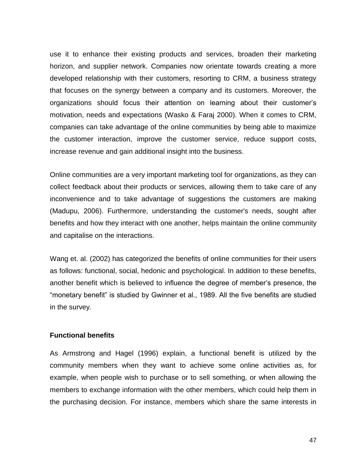use it to enhance their existing products and services, broaden their marketing horizon, and supplier network. Companies now orientate towards creating a more developed relationship with their customers, resorting to CRM, a business strategy that focuses on the synergy between a company and its customers. Moreover, the organizations should focus their attention on learning about their customer's motivation, needs and expectations (Wasko & Faraj 2000). When it comes to CRM, companies can take advantage of the online communities by being able to maximize the customer interaction, improve the customer service, reduce support costs, increase revenue and gain additional insight into the business.

Online communities are a very important marketing tool for organizations, as they can collect feedback about their products or services, allowing them to take care of any inconvenience and to take advantage of suggestions the customers are making (Madupu, 2006). Furthermore, understanding the customer's needs, sought after benefits and how they interact with one another, helps maintain the online community and capitalise on the interactions.

Wang et. al. (2002) has categorized the benefits of online communities for their users as follows: functional, social, hedonic and psychological. In addition to these benefits, another benefit which is believed to influence the degree of member's presence, the "monetary benefit" is studied by Gwinner et al., 1989. All the five benefits are studied in the survey.

#### **Functional benefits**

As Armstrong and Hagel (1996) explain, a functional benefit is utilized by the community members when they want to achieve some online activities as, for example, when people wish to purchase or to sell something, or when allowing the members to exchange information with the other members, which could help them in the purchasing decision. For instance, members which share the same interests in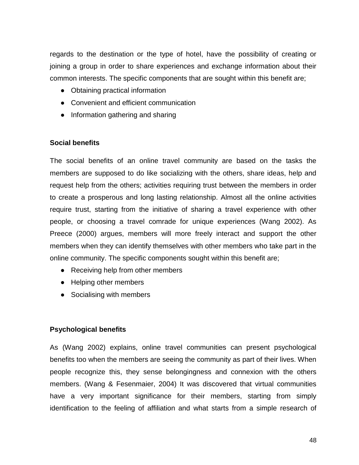regards to the destination or the type of hotel, have the possibility of creating or joining a group in order to share experiences and exchange information about their common interests. The specific components that are sought within this benefit are;

- Obtaining practical information
- Convenient and efficient communication
- Information gathering and sharing

# **Social benefits**

The social benefits of an online travel community are based on the tasks the members are supposed to do like socializing with the others, share ideas, help and request help from the others; activities requiring trust between the members in order to create a prosperous and long lasting relationship. Almost all the online activities require trust, starting from the initiative of sharing a travel experience with other people, or choosing a travel comrade for unique experiences (Wang 2002). As Preece (2000) argues, members will more freely interact and support the other members when they can identify themselves with other members who take part in the online community. The specific components sought within this benefit are;

- Receiving help from other members
- Helping other members
- Socialising with members

# **Psychological benefits**

As (Wang 2002) explains, online travel communities can present psychological benefits too when the members are seeing the community as part of their lives. When people recognize this, they sense belongingness and connexion with the others members. (Wang & Fesenmaier, 2004) It was discovered that virtual communities have a very important significance for their members, starting from simply identification to the feeling of affiliation and what starts from a simple research of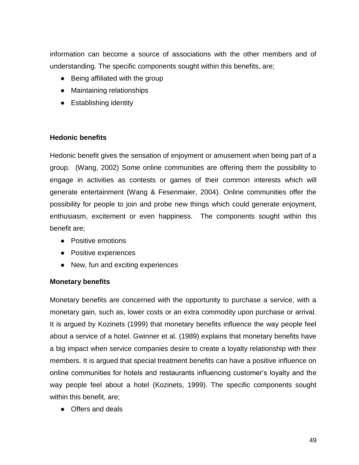information can become a source of associations with the other members and of understanding. The specific components sought within this benefits, are;

- Being affiliated with the group
- Maintaining relationships
- Establishing identity

## **Hedonic benefits**

Hedonic benefit gives the sensation of enjoyment or amusement when being part of a group. (Wang, 2002) Some online communities are offering them the possibility to engage in activities as contests or games of their common interests which will generate entertainment (Wang & Fesenmaier, 2004). Online communities offer the possibility for people to join and probe new things which could generate enjoyment, enthusiasm, excitement or even happiness. The components sought within this benefit are;

- Positive emotions
- Positive experiences
- New, fun and exciting experiences

## **Monetary benefits**

Monetary benefits are concerned with the opportunity to purchase a service, with a monetary gain, such as, lower costs or an extra commodity upon purchase or arrival. It is argued by Kozinets (1999) that monetary benefits influence the way people feel about a service of a hotel. Gwinner et al. (1989) explains that monetary benefits have a big impact when service companies desire to create a loyalty relationship with their members. It is argued that special treatment benefits can have a positive influence on online communities for hotels and restaurants influencing customer's loyalty and the way people feel about a hotel (Kozinets, 1999). The specific components sought within this benefit, are;

● Offers and deals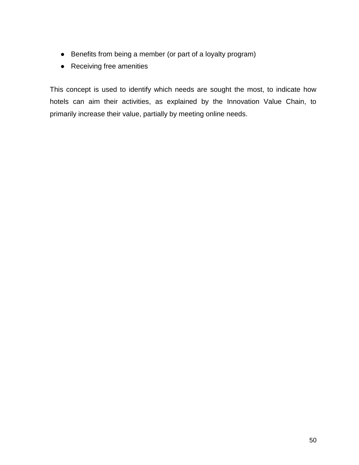- Benefits from being a member (or part of a loyalty program)
- Receiving free amenities

This concept is used to identify which needs are sought the most, to indicate how hotels can aim their activities, as explained by the Innovation Value Chain, to primarily increase their value, partially by meeting online needs.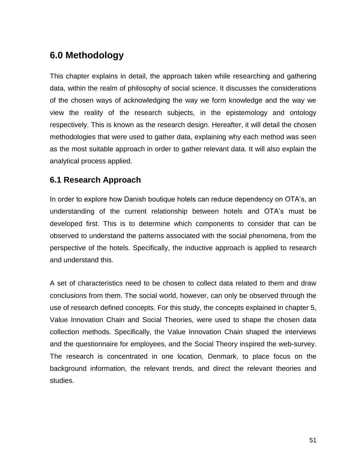# **6.0 Methodology**

This chapter explains in detail, the approach taken while researching and gathering data, within the realm of philosophy of social science. It discusses the considerations of the chosen ways of acknowledging the way we form knowledge and the way we view the reality of the research subjects, in the epistemology and ontology respectively. This is known as the research design. Hereafter, it will detail the chosen methodologies that were used to gather data, explaining why each method was seen as the most suitable approach in order to gather relevant data. It will also explain the analytical process applied.

# **6.1 Research Approach**

In order to explore how Danish boutique hotels can reduce dependency on OTA's, an understanding of the current relationship between hotels and OTA's must be developed first. This is to determine which components to consider that can be observed to understand the patterns associated with the social phenomena, from the perspective of the hotels. Specifically, the inductive approach is applied to research and understand this.

A set of characteristics need to be chosen to collect data related to them and draw conclusions from them. The social world, however, can only be observed through the use of research defined concepts. For this study, the concepts explained in chapter 5, Value Innovation Chain and Social Theories, were used to shape the chosen data collection methods. Specifically, the Value Innovation Chain shaped the interviews and the questionnaire for employees, and the Social Theory inspired the web-survey. The research is concentrated in one location, Denmark, to place focus on the background information, the relevant trends, and direct the relevant theories and studies.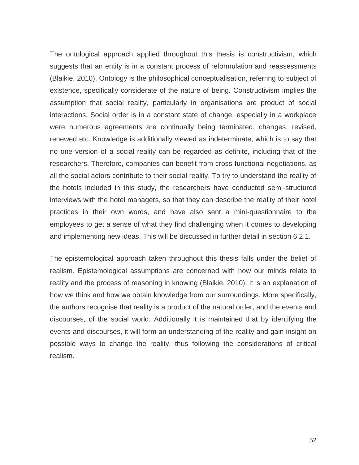The ontological approach applied throughout this thesis is constructivism, which suggests that an entity is in a constant process of reformulation and reassessments (Blaikie, 2010). Ontology is the philosophical conceptualisation, referring to subject of existence, specifically considerate of the nature of being. Constructivism implies the assumption that social reality, particularly in organisations are product of social interactions. Social order is in a constant state of change, especially in a workplace were numerous agreements are continually being terminated, changes, revised, renewed etc. Knowledge is additionally viewed as indeterminate, which is to say that no one version of a social reality can be regarded as definite, including that of the researchers. Therefore, companies can benefit from cross-functional negotiations, as all the social actors contribute to their social reality. To try to understand the reality of the hotels included in this study, the researchers have conducted semi-structured interviews with the hotel managers, so that they can describe the reality of their hotel practices in their own words, and have also sent a mini-questionnaire to the employees to get a sense of what they find challenging when it comes to developing and implementing new ideas. This will be discussed in further detail in section 6.2.1.

The epistemological approach taken throughout this thesis falls under the belief of realism. Epistemological assumptions are concerned with how our minds relate to reality and the process of reasoning in knowing (Blaikie, 2010). It is an explanation of how we think and how we obtain knowledge from our surroundings. More specifically, the authors recognise that reality is a product of the natural order, and the events and discourses, of the social world. Additionally it is maintained that by identifying the events and discourses, it will form an understanding of the reality and gain insight on possible ways to change the reality, thus following the considerations of critical realism.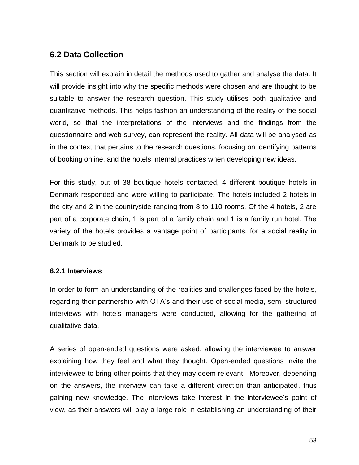# **6.2 Data Collection**

This section will explain in detail the methods used to gather and analyse the data. It will provide insight into why the specific methods were chosen and are thought to be suitable to answer the research question. This study utilises both qualitative and quantitative methods. This helps fashion an understanding of the reality of the social world, so that the interpretations of the interviews and the findings from the questionnaire and web-survey, can represent the reality. All data will be analysed as in the context that pertains to the research questions, focusing on identifying patterns of booking online, and the hotels internal practices when developing new ideas.

For this study, out of 38 boutique hotels contacted, 4 different boutique hotels in Denmark responded and were willing to participate. The hotels included 2 hotels in the city and 2 in the countryside ranging from 8 to 110 rooms. Of the 4 hotels, 2 are part of a corporate chain, 1 is part of a family chain and 1 is a family run hotel. The variety of the hotels provides a vantage point of participants, for a social reality in Denmark to be studied.

## **6.2.1 Interviews**

In order to form an understanding of the realities and challenges faced by the hotels, regarding their partnership with OTA's and their use of social media, semi-structured interviews with hotels managers were conducted, allowing for the gathering of qualitative data.

A series of open-ended questions were asked, allowing the interviewee to answer explaining how they feel and what they thought. Open-ended questions invite the interviewee to bring other points that they may deem relevant. Moreover, depending on the answers, the interview can take a different direction than anticipated, thus gaining new knowledge. The interviews take interest in the interviewee's point of view, as their answers will play a large role in establishing an understanding of their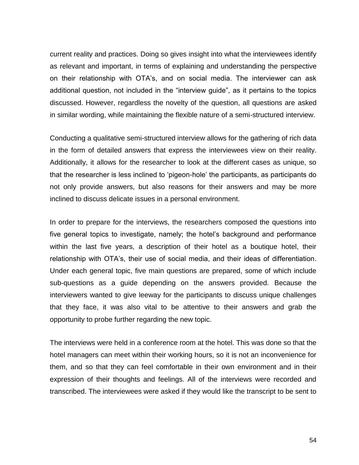current reality and practices. Doing so gives insight into what the interviewees identify as relevant and important, in terms of explaining and understanding the perspective on their relationship with OTA's, and on social media. The interviewer can ask additional question, not included in the "interview guide", as it pertains to the topics discussed. However, regardless the novelty of the question, all questions are asked in similar wording, while maintaining the flexible nature of a semi-structured interview.

Conducting a qualitative semi-structured interview allows for the gathering of rich data in the form of detailed answers that express the interviewees view on their reality. Additionally, it allows for the researcher to look at the different cases as unique, so that the researcher is less inclined to 'pigeon-hole' the participants, as participants do not only provide answers, but also reasons for their answers and may be more inclined to discuss delicate issues in a personal environment.

In order to prepare for the interviews, the researchers composed the questions into five general topics to investigate, namely; the hotel's background and performance within the last five years, a description of their hotel as a boutique hotel, their relationship with OTA's, their use of social media, and their ideas of differentiation. Under each general topic, five main questions are prepared, some of which include sub-questions as a guide depending on the answers provided. Because the interviewers wanted to give leeway for the participants to discuss unique challenges that they face, it was also vital to be attentive to their answers and grab the opportunity to probe further regarding the new topic.

The interviews were held in a conference room at the hotel. This was done so that the hotel managers can meet within their working hours, so it is not an inconvenience for them, and so that they can feel comfortable in their own environment and in their expression of their thoughts and feelings. All of the interviews were recorded and transcribed. The interviewees were asked if they would like the transcript to be sent to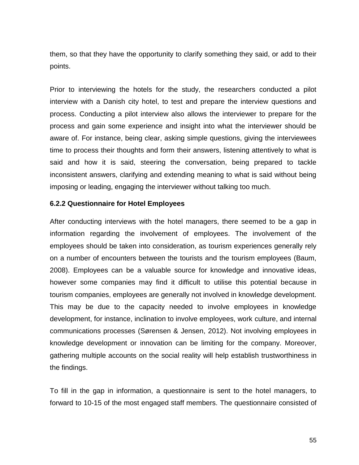them, so that they have the opportunity to clarify something they said, or add to their points.

Prior to interviewing the hotels for the study, the researchers conducted a pilot interview with a Danish city hotel, to test and prepare the interview questions and process. Conducting a pilot interview also allows the interviewer to prepare for the process and gain some experience and insight into what the interviewer should be aware of. For instance, being clear, asking simple questions, giving the interviewees time to process their thoughts and form their answers, listening attentively to what is said and how it is said, steering the conversation, being prepared to tackle inconsistent answers, clarifying and extending meaning to what is said without being imposing or leading, engaging the interviewer without talking too much.

#### **6.2.2 Questionnaire for Hotel Employees**

After conducting interviews with the hotel managers, there seemed to be a gap in information regarding the involvement of employees. The involvement of the employees should be taken into consideration, as tourism experiences generally rely on a number of encounters between the tourists and the tourism employees (Baum, 2008). Employees can be a valuable source for knowledge and innovative ideas, however some companies may find it difficult to utilise this potential because in tourism companies, employees are generally not involved in knowledge development. This may be due to the capacity needed to involve employees in knowledge development, for instance, inclination to involve employees, work culture, and internal communications processes (Sørensen & Jensen, 2012). Not involving employees in knowledge development or innovation can be limiting for the company. Moreover, gathering multiple accounts on the social reality will help establish trustworthiness in the findings.

To fill in the gap in information, a questionnaire is sent to the hotel managers, to forward to 10-15 of the most engaged staff members. The questionnaire consisted of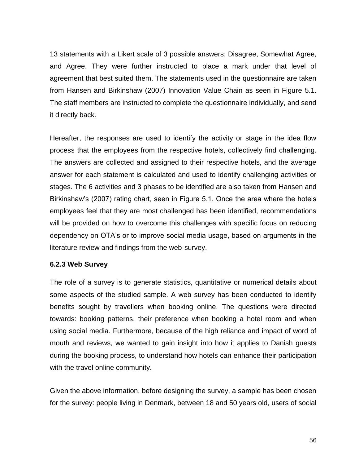13 statements with a Likert scale of 3 possible answers; Disagree, Somewhat Agree, and Agree. They were further instructed to place a mark under that level of agreement that best suited them. The statements used in the questionnaire are taken from Hansen and Birkinshaw (2007) Innovation Value Chain as seen in Figure 5.1. The staff members are instructed to complete the questionnaire individually, and send it directly back.

Hereafter, the responses are used to identify the activity or stage in the idea flow process that the employees from the respective hotels, collectively find challenging. The answers are collected and assigned to their respective hotels, and the average answer for each statement is calculated and used to identify challenging activities or stages. The 6 activities and 3 phases to be identified are also taken from Hansen and Birkinshaw's (2007) rating chart, seen in Figure 5.1. Once the area where the hotels employees feel that they are most challenged has been identified, recommendations will be provided on how to overcome this challenges with specific focus on reducing dependency on OTA's or to improve social media usage, based on arguments in the literature review and findings from the web-survey.

## **6.2.3 Web Survey**

The role of a survey is to generate statistics, quantitative or numerical details about some aspects of the studied sample. A web survey has been conducted to identify benefits sought by travellers when booking online. The questions were directed towards: booking patterns, their preference when booking a hotel room and when using social media. Furthermore, because of the high reliance and impact of word of mouth and reviews, we wanted to gain insight into how it applies to Danish guests during the booking process, to understand how hotels can enhance their participation with the travel online community.

Given the above information, before designing the survey, a sample has been chosen for the survey: people living in Denmark, between 18 and 50 years old, users of social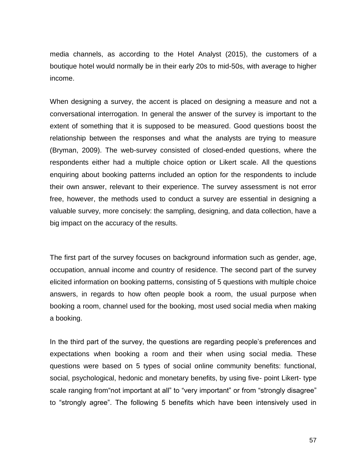media channels, as according to the Hotel Analyst (2015), the customers of a boutique hotel would normally be in their early 20s to mid-50s, with average to higher income.

When designing a survey, the accent is placed on designing a measure and not a conversational interrogation. In general the answer of the survey is important to the extent of something that it is supposed to be measured. Good questions boost the relationship between the responses and what the analysts are trying to measure (Bryman, 2009). The web-survey consisted of closed-ended questions, where the respondents either had a multiple choice option or Likert scale. All the questions enquiring about booking patterns included an option for the respondents to include their own answer, relevant to their experience. The survey assessment is not error free, however, the methods used to conduct a survey are essential in designing a valuable survey, more concisely: the sampling, designing, and data collection, have a big impact on the accuracy of the results.

The first part of the survey focuses on background information such as gender, age, occupation, annual income and country of residence. The second part of the survey elicited information on booking patterns, consisting of 5 questions with multiple choice answers, in regards to how often people book a room, the usual purpose when booking a room, channel used for the booking, most used social media when making a booking.

In the third part of the survey, the questions are regarding people's preferences and expectations when booking a room and their when using social media. These questions were based on 5 types of social online community benefits: functional, social, psychological, hedonic and monetary benefits, by using five- point Likert- type scale ranging from not important at all" to "very important" or from "strongly disagree" to "strongly agree". The following 5 benefits which have been intensively used in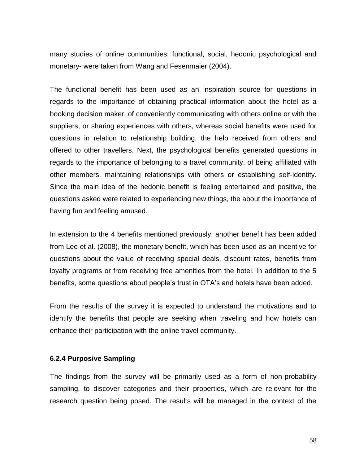many studies of online communities: functional, social, hedonic psychological and monetary- were taken from Wang and Fesenmaier (2004).

The functional benefit has been used as an inspiration source for questions in regards to the importance of obtaining practical information about the hotel as a booking decision maker, of conveniently communicating with others online or with the suppliers, or sharing experiences with others, whereas social benefits were used for questions in relation to relationship building, the help received from others and offered to other travellers. Next, the psychological benefits generated questions in regards to the importance of belonging to a travel community, of being affiliated with other members, maintaining relationships with others or establishing self-identity. Since the main idea of the hedonic benefit is feeling entertained and positive, the questions asked were related to experiencing new things, the about the importance of having fun and feeling amused.

In extension to the 4 benefits mentioned previously, another benefit has been added from Lee et al. (2008), the monetary benefit, which has been used as an incentive for questions about the value of receiving special deals, discount rates, benefits from loyalty programs or from receiving free amenities from the hotel. In addition to the 5 benefits, some questions about people's trust in OTA's and hotels have been added.

From the results of the survey it is expected to understand the motivations and to identify the benefits that people are seeking when traveling and how hotels can enhance their participation with the online travel community.

#### **6.2.4 Purposive Sampling**

The findings from the survey will be primarily used as a form of non-probability sampling, to discover categories and their properties, which are relevant for the research question being posed. The results will be managed in the context of the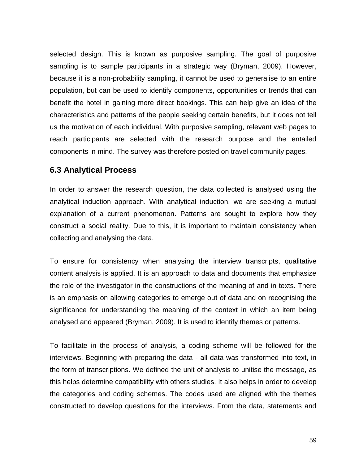selected design. This is known as purposive sampling. The goal of purposive sampling is to sample participants in a strategic way (Bryman, 2009). However, because it is a non-probability sampling, it cannot be used to generalise to an entire population, but can be used to identify components, opportunities or trends that can benefit the hotel in gaining more direct bookings. This can help give an idea of the characteristics and patterns of the people seeking certain benefits, but it does not tell us the motivation of each individual. With purposive sampling, relevant web pages to reach participants are selected with the research purpose and the entailed components in mind. The survey was therefore posted on travel community pages.

# **6.3 Analytical Process**

In order to answer the research question, the data collected is analysed using the analytical induction approach. With analytical induction, we are seeking a mutual explanation of a current phenomenon. Patterns are sought to explore how they construct a social reality. Due to this, it is important to maintain consistency when collecting and analysing the data.

To ensure for consistency when analysing the interview transcripts, qualitative content analysis is applied. It is an approach to data and documents that emphasize the role of the investigator in the constructions of the meaning of and in texts. There is an emphasis on allowing categories to emerge out of data and on recognising the significance for understanding the meaning of the context in which an item being analysed and appeared (Bryman, 2009). It is used to identify themes or patterns.

To facilitate in the process of analysis, a coding scheme will be followed for the interviews. Beginning with preparing the data - all data was transformed into text, in the form of transcriptions. We defined the unit of analysis to unitise the message, as this helps determine compatibility with others studies. It also helps in order to develop the categories and coding schemes. The codes used are aligned with the themes constructed to develop questions for the interviews. From the data, statements and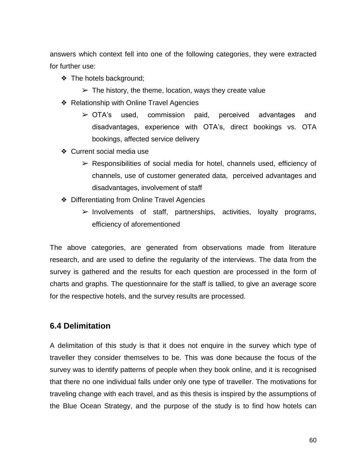answers which context fell into one of the following categories, they were extracted for further use:

- ❖ The hotels background;
	- $\triangleright$  The history, the theme, location, ways they create value
- ❖ Relationship with Online Travel Agencies
	- ➢ OTA's used, commission paid, perceived advantages and disadvantages, experience with OTA's, direct bookings vs. OTA bookings, affected service delivery
- ❖ Current social media use
	- $\triangleright$  Responsibilities of social media for hotel, channels used, efficiency of channels, use of customer generated data, perceived advantages and disadvantages, involvement of staff
- ❖ Differentiating from Online Travel Agencies
	- $\triangleright$  Involvements of staff, partnerships, activities, loyalty programs, efficiency of aforementioned

The above categories, are generated from observations made from literature research, and are used to define the regularity of the interviews. The data from the survey is gathered and the results for each question are processed in the form of charts and graphs. The questionnaire for the staff is tallied, to give an average score for the respective hotels, and the survey results are processed.

## **6.4 Delimitation**

A delimitation of this study is that it does not enquire in the survey which type of traveller they consider themselves to be. This was done because the focus of the survey was to identify patterns of people when they book online, and it is recognised that there no one individual falls under only one type of traveller. The motivations for traveling change with each travel, and as this thesis is inspired by the assumptions of the Blue Ocean Strategy, and the purpose of the study is to find how hotels can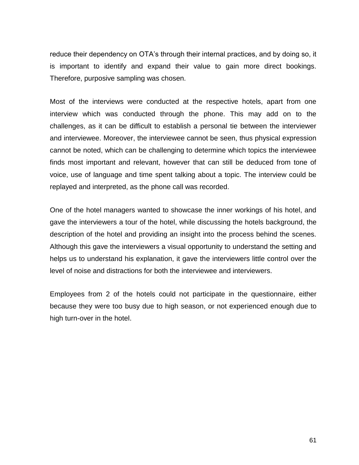reduce their dependency on OTA's through their internal practices, and by doing so, it is important to identify and expand their value to gain more direct bookings. Therefore, purposive sampling was chosen.

Most of the interviews were conducted at the respective hotels, apart from one interview which was conducted through the phone. This may add on to the challenges, as it can be difficult to establish a personal tie between the interviewer and interviewee. Moreover, the interviewee cannot be seen, thus physical expression cannot be noted, which can be challenging to determine which topics the interviewee finds most important and relevant, however that can still be deduced from tone of voice, use of language and time spent talking about a topic. The interview could be replayed and interpreted, as the phone call was recorded.

One of the hotel managers wanted to showcase the inner workings of his hotel, and gave the interviewers a tour of the hotel, while discussing the hotels background, the description of the hotel and providing an insight into the process behind the scenes. Although this gave the interviewers a visual opportunity to understand the setting and helps us to understand his explanation, it gave the interviewers little control over the level of noise and distractions for both the interviewee and interviewers.

Employees from 2 of the hotels could not participate in the questionnaire, either because they were too busy due to high season, or not experienced enough due to high turn-over in the hotel.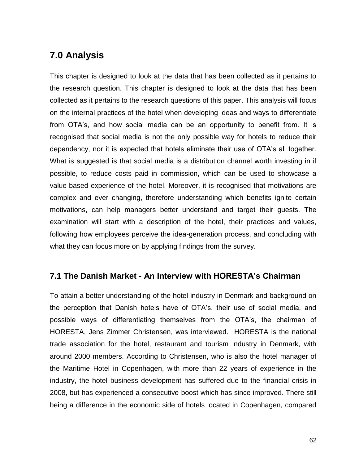# **7.0 Analysis**

This chapter is designed to look at the data that has been collected as it pertains to the research question. This chapter is designed to look at the data that has been collected as it pertains to the research questions of this paper. This analysis will focus on the internal practices of the hotel when developing ideas and ways to differentiate from OTA's, and how social media can be an opportunity to benefit from. It is recognised that social media is not the only possible way for hotels to reduce their dependency, nor it is expected that hotels eliminate their use of OTA's all together. What is suggested is that social media is a distribution channel worth investing in if possible, to reduce costs paid in commission, which can be used to showcase a value-based experience of the hotel. Moreover, it is recognised that motivations are complex and ever changing, therefore understanding which benefits ignite certain motivations, can help managers better understand and target their guests. The examination will start with a description of the hotel, their practices and values, following how employees perceive the idea-generation process, and concluding with what they can focus more on by applying findings from the survey.

# **7.1 The Danish Market - An Interview with HORESTA's Chairman**

To attain a better understanding of the hotel industry in Denmark and background on the perception that Danish hotels have of OTA's, their use of social media, and possible ways of differentiating themselves from the OTA's, the chairman of HORESTA, Jens Zimmer Christensen, was interviewed. HORESTA is the national trade association for the hotel, restaurant and tourism industry in Denmark, with around 2000 members. According to Christensen, who is also the hotel manager of the Maritime Hotel in Copenhagen, with more than 22 years of experience in the industry, the hotel business development has suffered due to the financial crisis in 2008, but has experienced a consecutive boost which has since improved. There still being a difference in the economic side of hotels located in Copenhagen, compared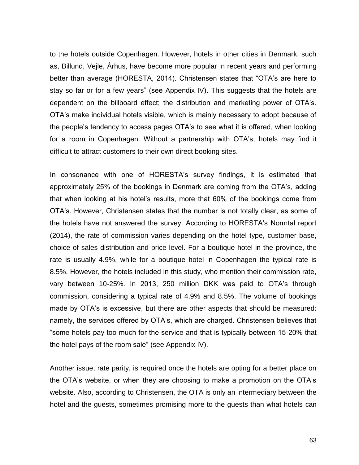to the hotels outside Copenhagen. However, hotels in other cities in Denmark, such as, Billund, Vejle, Århus, have become more popular in recent years and performing better than average (HORESTA, 2014). Christensen states that "OTA's are here to stay so far or for a few years" (see Appendix IV). This suggests that the hotels are dependent on the billboard effect; the distribution and marketing power of OTA's. OTA's make individual hotels visible, which is mainly necessary to adopt because of the people's tendency to access pages OTA's to see what it is offered, when looking for a room in Copenhagen. Without a partnership with OTA's, hotels may find it difficult to attract customers to their own direct booking sites.

In consonance with one of HORESTA's survey findings, it is estimated that approximately 25% of the bookings in Denmark are coming from the OTA's, adding that when looking at his hotel's results, more that 60% of the bookings come from OTA's. However, Christensen states that the number is not totally clear, as some of the hotels have not answered the survey. According to HORESTA's Normtal report (2014), the rate of commission varies depending on the hotel type, customer base, choice of sales distribution and price level. For a boutique hotel in the province, the rate is usually 4.9%, while for a boutique hotel in Copenhagen the typical rate is 8.5%. However, the hotels included in this study, who mention their commission rate, vary between 10-25%. In 2013, 250 million DKK was paid to OTA's through commission, considering a typical rate of 4.9% and 8.5%. The volume of bookings made by OTA's is excessive, but there are other aspects that should be measured: namely, the services offered by OTA's, which are charged. Christensen believes that "some hotels pay too much for the service and that is typically between 15-20% that the hotel pays of the room sale" (see Appendix IV).

Another issue, rate parity, is required once the hotels are opting for a better place on the OTA's website, or when they are choosing to make a promotion on the OTA's website. Also, according to Christensen, the OTA is only an intermediary between the hotel and the guests, sometimes promising more to the guests than what hotels can

63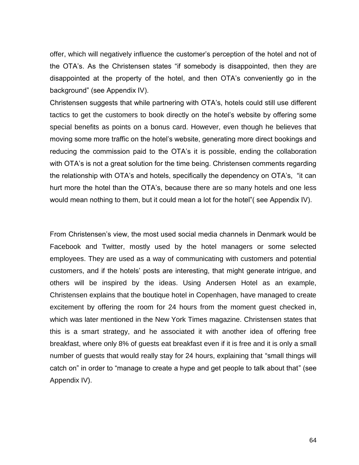offer, which will negatively influence the customer's perception of the hotel and not of the OTA's. As the Christensen states "if somebody is disappointed, then they are disappointed at the property of the hotel, and then OTA's conveniently go in the background" (see Appendix IV).

Christensen suggests that while partnering with OTA's, hotels could still use different tactics to get the customers to book directly on the hotel's website by offering some special benefits as points on a bonus card. However, even though he believes that moving some more traffic on the hotel's website, generating more direct bookings and reducing the commission paid to the OTA's it is possible, ending the collaboration with OTA's is not a great solution for the time being. Christensen comments regarding the relationship with OTA's and hotels, specifically the dependency on OTA's, "it can hurt more the hotel than the OTA's, because there are so many hotels and one less would mean nothing to them, but it could mean a lot for the hotel"( see Appendix IV).

From Christensen's view, the most used social media channels in Denmark would be Facebook and Twitter, mostly used by the hotel managers or some selected employees. They are used as a way of communicating with customers and potential customers, and if the hotels' posts are interesting, that might generate intrigue, and others will be inspired by the ideas. Using Andersen Hotel as an example, Christensen explains that the boutique hotel in Copenhagen, have managed to create excitement by offering the room for 24 hours from the moment guest checked in, which was later mentioned in the New York Times magazine. Christensen states that this is a smart strategy, and he associated it with another idea of offering free breakfast, where only 8% of guests eat breakfast even if it is free and it is only a small number of guests that would really stay for 24 hours, explaining that "small things will catch on" in order to "manage to create a hype and get people to talk about that" (see Appendix IV).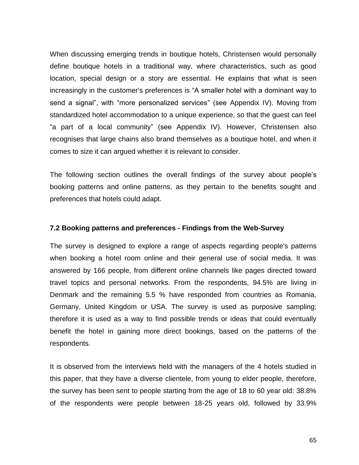When discussing emerging trends in boutique hotels, Christensen would personally define boutique hotels in a traditional way, where characteristics, such as good location, special design or a story are essential. He explains that what is seen increasingly in the customer's preferences is "A smaller hotel with a dominant way to send a signal", with "more personalized services" (see Appendix IV). Moving from standardized hotel accommodation to a unique experience, so that the guest can feel "a part of a local community" (see Appendix IV). However, Christensen also recognises that large chains also brand themselves as a boutique hotel, and when it comes to size it can argued whether it is relevant to consider.

The following section outlines the overall findings of the survey about people's booking patterns and online patterns, as they pertain to the benefits sought and preferences that hotels could adapt.

#### **7.2 Booking patterns and preferences - Findings from the Web-Survey**

The survey is designed to explore a range of aspects regarding people's patterns when booking a hotel room online and their general use of social media. It was answered by 166 people, from different online channels like pages directed toward travel topics and personal networks. From the respondents, 94.5% are living in Denmark and the remaining 5.5 % have responded from countries as Romania, Germany, United Kingdom or USA. The survey is used as purposive sampling; therefore it is used as a way to find possible trends or ideas that could eventually benefit the hotel in gaining more direct bookings, based on the patterns of the respondents.

It is observed from the interviews held with the managers of the 4 hotels studied in this paper, that they have a diverse clientele, from young to elder people, therefore, the survey has been sent to people starting from the age of 18 to 60 year old: 38.8% of the respondents were people between 18-25 years old, followed by 33.9%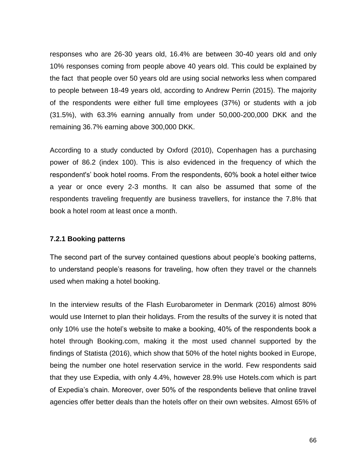responses who are 26-30 years old, 16.4% are between 30-40 years old and only 10% responses coming from people above 40 years old. This could be explained by the fact that people over 50 years old are using social networks less when compared to people between 18-49 years old, according to Andrew Perrin (2015). The majority of the respondents were either full time employees (37%) or students with a job (31.5%), with 63.3% earning annually from under 50,000-200,000 DKK and the remaining 36.7% earning above 300,000 DKK.

According to a study conducted by Oxford (2010), Copenhagen has a purchasing power of 86.2 (index 100). This is also evidenced in the frequency of which the respondent's' book hotel rooms. From the respondents, 60% book a hotel either twice a year or once every 2-3 months. It can also be assumed that some of the respondents traveling frequently are business travellers, for instance the 7.8% that book a hotel room at least once a month.

## **7.2.1 Booking patterns**

The second part of the survey contained questions about people's booking patterns, to understand people's reasons for traveling, how often they travel or the channels used when making a hotel booking.

In the interview results of the Flash Eurobarometer in Denmark (2016) almost 80% would use Internet to plan their holidays. From the results of the survey it is noted that only 10% use the hotel's website to make a booking, 40% of the respondents book a hotel through Booking.com, making it the most used channel supported by the findings of Statista (2016), which show that 50% of the hotel nights booked in Europe, being the number one hotel reservation service in the world. Few respondents said that they use Expedia, with only 4.4%, however 28.9% use Hotels.com which is part of Expedia's chain. Moreover, over 50% of the respondents believe that online travel agencies offer better deals than the hotels offer on their own websites. Almost 65% of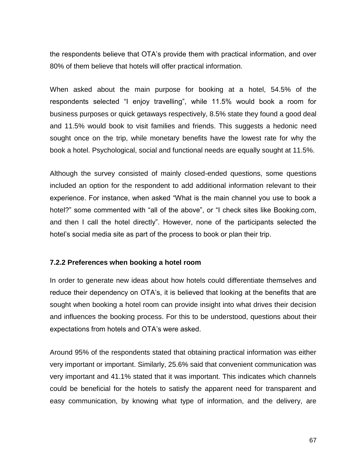the respondents believe that OTA's provide them with practical information, and over 80% of them believe that hotels will offer practical information.

When asked about the main purpose for booking at a hotel, 54.5% of the respondents selected "I enjoy travelling", while 11.5% would book a room for business purposes or quick getaways respectively, 8.5% state they found a good deal and 11.5% would book to visit families and friends. This suggests a hedonic need sought once on the trip, while monetary benefits have the lowest rate for why the book a hotel. Psychological, social and functional needs are equally sought at 11.5%.

Although the survey consisted of mainly closed-ended questions, some questions included an option for the respondent to add additional information relevant to their experience. For instance, when asked "What is the main channel you use to book a hotel?" some commented with "all of the above", or "I check sites like Booking.com, and then I call the hotel directly". However, none of the participants selected the hotel's social media site as part of the process to book or plan their trip.

#### **7.2.2 Preferences when booking a hotel room**

In order to generate new ideas about how hotels could differentiate themselves and reduce their dependency on OTA's, it is believed that looking at the benefits that are sought when booking a hotel room can provide insight into what drives their decision and influences the booking process. For this to be understood, questions about their expectations from hotels and OTA's were asked.

Around 95% of the respondents stated that obtaining practical information was either very important or important. Similarly, 25.6% said that convenient communication was very important and 41.1% stated that it was important. This indicates which channels could be beneficial for the hotels to satisfy the apparent need for transparent and easy communication, by knowing what type of information, and the delivery, are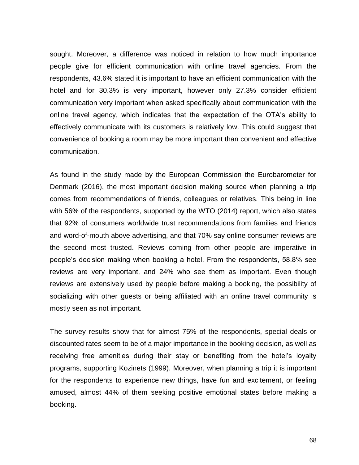sought. Moreover, a difference was noticed in relation to how much importance people give for efficient communication with online travel agencies. From the respondents, 43.6% stated it is important to have an efficient communication with the hotel and for 30.3% is very important, however only 27.3% consider efficient communication very important when asked specifically about communication with the online travel agency, which indicates that the expectation of the OTA's ability to effectively communicate with its customers is relatively low. This could suggest that convenience of booking a room may be more important than convenient and effective communication.

As found in the study made by the European Commission the Eurobarometer for Denmark (2016), the most important decision making source when planning a trip comes from recommendations of friends, colleagues or relatives. This being in line with 56% of the respondents, supported by the WTO (2014) report, which also states that 92% of consumers worldwide trust recommendations from families and friends and word-of-mouth above advertising, and that 70% say online consumer reviews are the second most trusted. Reviews coming from other people are imperative in people's decision making when booking a hotel. From the respondents, 58.8% see reviews are very important, and 24% who see them as important. Even though reviews are extensively used by people before making a booking, the possibility of socializing with other guests or being affiliated with an online travel community is mostly seen as not important.

The survey results show that for almost 75% of the respondents, special deals or discounted rates seem to be of a major importance in the booking decision, as well as receiving free amenities during their stay or benefiting from the hotel's loyalty programs, supporting Kozinets (1999). Moreover, when planning a trip it is important for the respondents to experience new things, have fun and excitement, or feeling amused, almost 44% of them seeking positive emotional states before making a booking.

68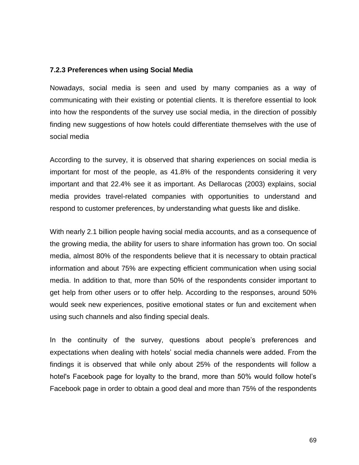#### **7.2.3 Preferences when using Social Media**

Nowadays, social media is seen and used by many companies as a way of communicating with their existing or potential clients. It is therefore essential to look into how the respondents of the survey use social media, in the direction of possibly finding new suggestions of how hotels could differentiate themselves with the use of social media

According to the survey, it is observed that sharing experiences on social media is important for most of the people, as 41.8% of the respondents considering it very important and that 22.4% see it as important. As Dellarocas (2003) explains, social media provides travel-related companies with opportunities to understand and respond to customer preferences, by understanding what guests like and dislike.

With nearly 2.1 billion people having social media accounts, and as a consequence of the growing media, the ability for users to share information has grown too. On social media, almost 80% of the respondents believe that it is necessary to obtain practical information and about 75% are expecting efficient communication when using social media. In addition to that, more than 50% of the respondents consider important to get help from other users or to offer help. According to the responses, around 50% would seek new experiences, positive emotional states or fun and excitement when using such channels and also finding special deals.

In the continuity of the survey, questions about people's preferences and expectations when dealing with hotels' social media channels were added. From the findings it is observed that while only about 25% of the respondents will follow a hotel's Facebook page for loyalty to the brand, more than 50% would follow hotel's Facebook page in order to obtain a good deal and more than 75% of the respondents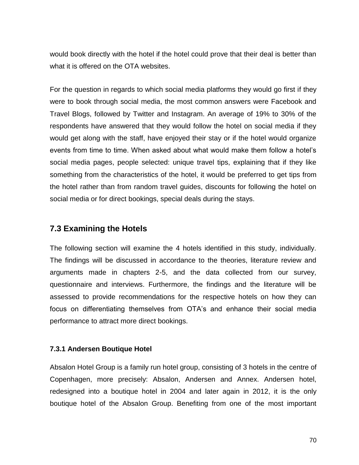would book directly with the hotel if the hotel could prove that their deal is better than what it is offered on the OTA websites.

For the question in regards to which social media platforms they would go first if they were to book through social media, the most common answers were Facebook and Travel Blogs, followed by Twitter and Instagram. An average of 19% to 30% of the respondents have answered that they would follow the hotel on social media if they would get along with the staff, have enjoyed their stay or if the hotel would organize events from time to time. When asked about what would make them follow a hotel's social media pages, people selected: unique travel tips, explaining that if they like something from the characteristics of the hotel, it would be preferred to get tips from the hotel rather than from random travel guides, discounts for following the hotel on social media or for direct bookings, special deals during the stays.

# **7.3 Examining the Hotels**

The following section will examine the 4 hotels identified in this study, individually. The findings will be discussed in accordance to the theories, literature review and arguments made in chapters 2-5, and the data collected from our survey, questionnaire and interviews. Furthermore, the findings and the literature will be assessed to provide recommendations for the respective hotels on how they can focus on differentiating themselves from OTA's and enhance their social media performance to attract more direct bookings.

## **7.3.1 Andersen Boutique Hotel**

Absalon Hotel Group is a family run hotel group, consisting of 3 hotels in the centre of Copenhagen, more precisely: Absalon, Andersen and Annex. Andersen hotel, redesigned into a boutique hotel in 2004 and later again in 2012, it is the only boutique hotel of the Absalon Group. Benefiting from one of the most important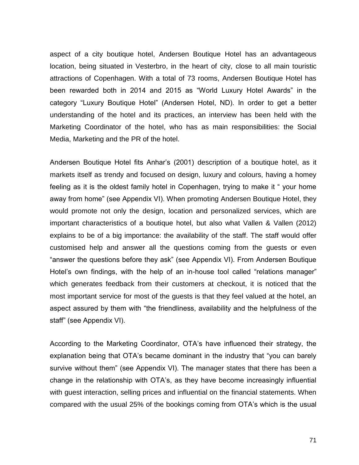aspect of a city boutique hotel, Andersen Boutique Hotel has an advantageous location, being situated in Vesterbro, in the heart of city, close to all main touristic attractions of Copenhagen. With a total of 73 rooms, Andersen Boutique Hotel has been rewarded both in 2014 and 2015 as "World Luxury Hotel Awards" in the category "Luxury Boutique Hotel" (Andersen Hotel, ND). In order to get a better understanding of the hotel and its practices, an interview has been held with the Marketing Coordinator of the hotel, who has as main responsibilities: the Social Media, Marketing and the PR of the hotel.

Andersen Boutique Hotel fits Anhar's (2001) description of a boutique hotel, as it markets itself as trendy and focused on design, luxury and colours, having a homey feeling as it is the oldest family hotel in Copenhagen, trying to make it " your home away from home" (see Appendix VI). When promoting Andersen Boutique Hotel, they would promote not only the design, location and personalized services, which are important characteristics of a boutique hotel, but also what Vallen & Vallen (2012) explains to be of a big importance: the availability of the staff. The staff would offer customised help and answer all the questions coming from the guests or even "answer the questions before they ask" (see Appendix VI). From Andersen Boutique Hotel's own findings, with the help of an in-house tool called "relations manager" which generates feedback from their customers at checkout, it is noticed that the most important service for most of the guests is that they feel valued at the hotel, an aspect assured by them with "the friendliness, availability and the helpfulness of the staff" (see Appendix VI).

According to the Marketing Coordinator, OTA's have influenced their strategy, the explanation being that OTA's became dominant in the industry that "you can barely survive without them" (see Appendix VI). The manager states that there has been a change in the relationship with OTA's, as they have become increasingly influential with guest interaction, selling prices and influential on the financial statements. When compared with the usual 25% of the bookings coming from OTA's which is the usual

71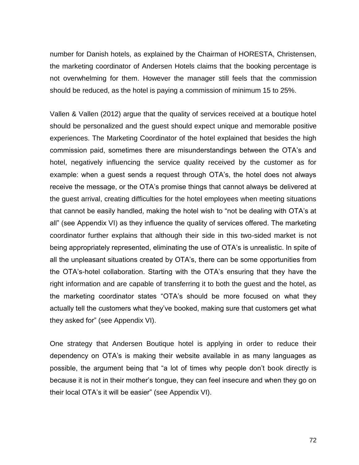number for Danish hotels, as explained by the Chairman of HORESTA, Christensen, the marketing coordinator of Andersen Hotels claims that the booking percentage is not overwhelming for them. However the manager still feels that the commission should be reduced, as the hotel is paying a commission of minimum 15 to 25%.

Vallen & Vallen (2012) argue that the quality of services received at a boutique hotel should be personalized and the guest should expect unique and memorable positive experiences. The Marketing Coordinator of the hotel explained that besides the high commission paid, sometimes there are misunderstandings between the OTA's and hotel, negatively influencing the service quality received by the customer as for example: when a guest sends a request through OTA's, the hotel does not always receive the message, or the OTA's promise things that cannot always be delivered at the guest arrival, creating difficulties for the hotel employees when meeting situations that cannot be easily handled, making the hotel wish to "not be dealing with OTA's at all" (see Appendix VI) as they influence the quality of services offered. The marketing coordinator further explains that although their side in this two-sided market is not being appropriately represented, eliminating the use of OTA's is unrealistic. In spite of all the unpleasant situations created by OTA's, there can be some opportunities from the OTA's-hotel collaboration. Starting with the OTA's ensuring that they have the right information and are capable of transferring it to both the guest and the hotel, as the marketing coordinator states "OTA's should be more focused on what they actually tell the customers what they've booked, making sure that customers get what they asked for" (see Appendix VI).

One strategy that Andersen Boutique hotel is applying in order to reduce their dependency on OTA's is making their website available in as many languages as possible, the argument being that "a lot of times why people don't book directly is because it is not in their mother's tongue, they can feel insecure and when they go on their local OTA's it will be easier" (see Appendix VI).

72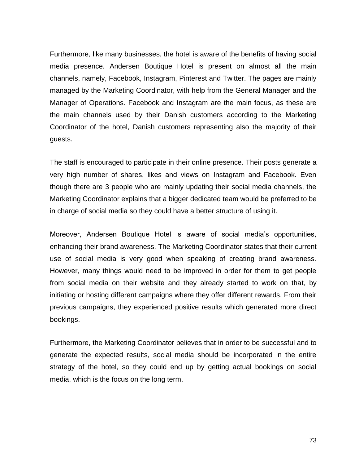Furthermore, like many businesses, the hotel is aware of the benefits of having social media presence. Andersen Boutique Hotel is present on almost all the main channels, namely, Facebook, Instagram, Pinterest and Twitter. The pages are mainly managed by the Marketing Coordinator, with help from the General Manager and the Manager of Operations. Facebook and Instagram are the main focus, as these are the main channels used by their Danish customers according to the Marketing Coordinator of the hotel, Danish customers representing also the majority of their guests.

The staff is encouraged to participate in their online presence. Their posts generate a very high number of shares, likes and views on Instagram and Facebook. Even though there are 3 people who are mainly updating their social media channels, the Marketing Coordinator explains that a bigger dedicated team would be preferred to be in charge of social media so they could have a better structure of using it.

Moreover, Andersen Boutique Hotel is aware of social media's opportunities, enhancing their brand awareness. The Marketing Coordinator states that their current use of social media is very good when speaking of creating brand awareness. However, many things would need to be improved in order for them to get people from social media on their website and they already started to work on that, by initiating or hosting different campaigns where they offer different rewards. From their previous campaigns, they experienced positive results which generated more direct bookings.

Furthermore, the Marketing Coordinator believes that in order to be successful and to generate the expected results, social media should be incorporated in the entire strategy of the hotel, so they could end up by getting actual bookings on social media, which is the focus on the long term.

73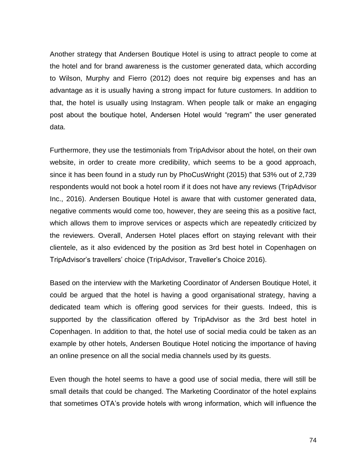Another strategy that Andersen Boutique Hotel is using to attract people to come at the hotel and for brand awareness is the customer generated data, which according to Wilson, Murphy and Fierro (2012) does not require big expenses and has an advantage as it is usually having a strong impact for future customers. In addition to that, the hotel is usually using Instagram. When people talk or make an engaging post about the boutique hotel, Andersen Hotel would "regram" the user generated data.

Furthermore, they use the testimonials from TripAdvisor about the hotel, on their own website, in order to create more credibility, which seems to be a good approach, since it has been found in a study run by PhoCusWright (2015) that 53% out of 2,739 respondents would not book a hotel room if it does not have any reviews (TripAdvisor Inc., 2016). Andersen Boutique Hotel is aware that with customer generated data, negative comments would come too, however, they are seeing this as a positive fact, which allows them to improve services or aspects which are repeatedly criticized by the reviewers. Overall, Andersen Hotel places effort on staying relevant with their clientele, as it also evidenced by the position as 3rd best hotel in Copenhagen on TripAdvisor's travellers' choice (TripAdvisor, Traveller's Choice 2016).

Based on the interview with the Marketing Coordinator of Andersen Boutique Hotel, it could be argued that the hotel is having a good organisational strategy, having a dedicated team which is offering good services for their guests. Indeed, this is supported by the classification offered by TripAdvisor as the 3rd best hotel in Copenhagen. In addition to that, the hotel use of social media could be taken as an example by other hotels, Andersen Boutique Hotel noticing the importance of having an online presence on all the social media channels used by its guests.

Even though the hotel seems to have a good use of social media, there will still be small details that could be changed. The Marketing Coordinator of the hotel explains that sometimes OTA's provide hotels with wrong information, which will influence the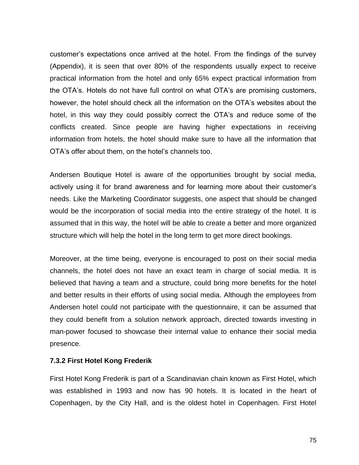customer's expectations once arrived at the hotel. From the findings of the survey (Appendix), it is seen that over 80% of the respondents usually expect to receive practical information from the hotel and only 65% expect practical information from the OTA's. Hotels do not have full control on what OTA's are promising customers, however, the hotel should check all the information on the OTA's websites about the hotel, in this way they could possibly correct the OTA's and reduce some of the conflicts created. Since people are having higher expectations in receiving information from hotels, the hotel should make sure to have all the information that OTA's offer about them, on the hotel's channels too.

Andersen Boutique Hotel is aware of the opportunities brought by social media, actively using it for brand awareness and for learning more about their customer's needs. Like the Marketing Coordinator suggests, one aspect that should be changed would be the incorporation of social media into the entire strategy of the hotel. It is assumed that in this way, the hotel will be able to create a better and more organized structure which will help the hotel in the long term to get more direct bookings.

Moreover, at the time being, everyone is encouraged to post on their social media channels, the hotel does not have an exact team in charge of social media. It is believed that having a team and a structure, could bring more benefits for the hotel and better results in their efforts of using social media. Although the employees from Andersen hotel could not participate with the questionnaire, it can be assumed that they could benefit from a solution network approach, directed towards investing in man-power focused to showcase their internal value to enhance their social media presence.

#### **7.3.2 First Hotel Kong Frederik**

First Hotel Kong Frederik is part of a Scandinavian chain known as First Hotel, which was established in 1993 and now has 90 hotels. It is located in the heart of Copenhagen, by the City Hall, and is the oldest hotel in Copenhagen. First Hotel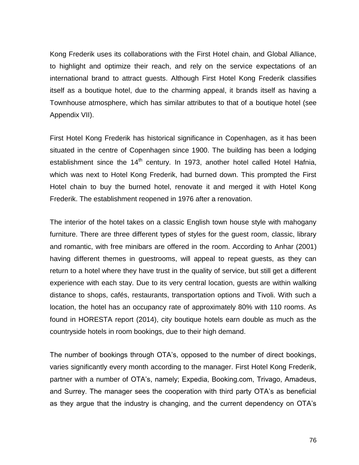Kong Frederik uses its collaborations with the First Hotel chain, and Global Alliance, to highlight and optimize their reach, and rely on the service expectations of an international brand to attract guests. Although First Hotel Kong Frederik classifies itself as a boutique hotel, due to the charming appeal, it brands itself as having a Townhouse atmosphere, which has similar attributes to that of a boutique hotel (see Appendix VII).

First Hotel Kong Frederik has historical significance in Copenhagen, as it has been situated in the centre of Copenhagen since 1900. The building has been a lodging establishment since the  $14<sup>th</sup>$  century. In 1973, another hotel called Hotel Hafnia, which was next to Hotel Kong Frederik, had burned down. This prompted the First Hotel chain to buy the burned hotel, renovate it and merged it with Hotel Kong Frederik. The establishment reopened in 1976 after a renovation.

The interior of the hotel takes on a classic English town house style with mahogany furniture. There are three different types of styles for the guest room, classic, library and romantic, with free minibars are offered in the room. According to Anhar (2001) having different themes in guestrooms, will appeal to repeat guests, as they can return to a hotel where they have trust in the quality of service, but still get a different experience with each stay. Due to its very central location, guests are within walking distance to shops, cafés, restaurants, transportation options and Tivoli. With such a location, the hotel has an occupancy rate of approximately 80% with 110 rooms. As found in HORESTA report (2014), city boutique hotels earn double as much as the countryside hotels in room bookings, due to their high demand.

The number of bookings through OTA's, opposed to the number of direct bookings, varies significantly every month according to the manager. First Hotel Kong Frederik, partner with a number of OTA's, namely; Expedia, Booking.com, Trivago, Amadeus, and Surrey. The manager sees the cooperation with third party OTA's as beneficial as they argue that the industry is changing, and the current dependency on OTA's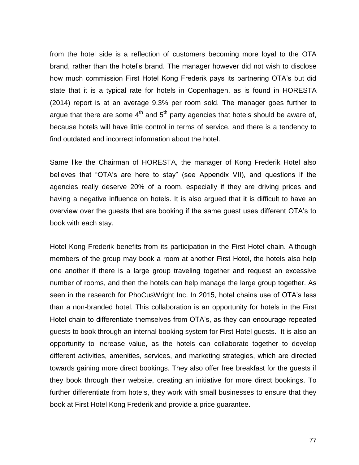from the hotel side is a reflection of customers becoming more loyal to the OTA brand, rather than the hotel's brand. The manager however did not wish to disclose how much commission First Hotel Kong Frederik pays its partnering OTA's but did state that it is a typical rate for hotels in Copenhagen, as is found in HORESTA (2014) report is at an average 9.3% per room sold. The manager goes further to argue that there are some  $4<sup>th</sup>$  and  $5<sup>th</sup>$  party agencies that hotels should be aware of, because hotels will have little control in terms of service, and there is a tendency to find outdated and incorrect information about the hotel.

Same like the Chairman of HORESTA, the manager of Kong Frederik Hotel also believes that "OTA's are here to stay" (see Appendix VII), and questions if the agencies really deserve 20% of a room, especially if they are driving prices and having a negative influence on hotels. It is also argued that it is difficult to have an overview over the guests that are booking if the same guest uses different OTA's to book with each stay.

Hotel Kong Frederik benefits from its participation in the First Hotel chain. Although members of the group may book a room at another First Hotel, the hotels also help one another if there is a large group traveling together and request an excessive number of rooms, and then the hotels can help manage the large group together. As seen in the research for [PhoCusWright Inc.](http://www.phocuswright.com/) In 2015, hotel chains use of OTA's less than a non-branded hotel. This collaboration is an opportunity for hotels in the First Hotel chain to differentiate themselves from OTA's, as they can encourage repeated guests to book through an internal booking system for First Hotel guests. It is also an opportunity to increase value, as the hotels can collaborate together to develop different activities, amenities, services, and marketing strategies, which are directed towards gaining more direct bookings. They also offer free breakfast for the guests if they book through their website, creating an initiative for more direct bookings. To further differentiate from hotels, they work with small businesses to ensure that they book at First Hotel Kong Frederik and provide a price guarantee.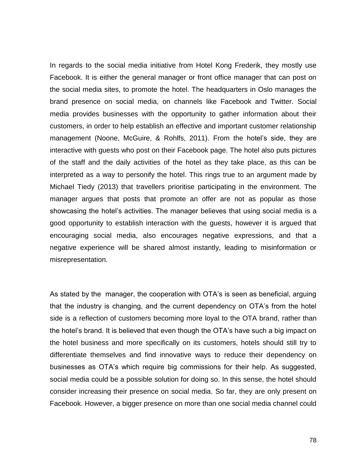In regards to the social media initiative from Hotel Kong Frederik, they mostly use Facebook. It is either the general manager or front office manager that can post on the social media sites, to promote the hotel. The headquarters in Oslo manages the brand presence on social media, on channels like Facebook and Twitter. Social media provides businesses with the opportunity to gather information about their customers, in order to help establish an effective and important customer relationship management (Noone, McGuire, & Rohlfs, 2011). From the hotel's side, they are interactive with guests who post on their Facebook page. The hotel also puts pictures of the staff and the daily activities of the hotel as they take place, as this can be interpreted as a way to personify the hotel. This rings true to an argument made by Michael Tiedy (2013) that travellers prioritise participating in the environment. The manager argues that posts that promote an offer are not as popular as those showcasing the hotel's activities. The manager believes that using social media is a good opportunity to establish interaction with the guests, however it is argued that encouraging social media, also encourages negative expressions, and that a negative experience will be shared almost instantly, leading to misinformation or misrepresentation.

As stated by the manager, the cooperation with OTA's is seen as beneficial, arguing that the industry is changing, and the current dependency on OTA's from the hotel side is a reflection of customers becoming more loyal to the OTA brand, rather than the hotel's brand. It is believed that even though the OTA's have such a big impact on the hotel business and more specifically on its customers, hotels should still try to differentiate themselves and find innovative ways to reduce their dependency on businesses as OTA's which require big commissions for their help. As suggested, social media could be a possible solution for doing so. In this sense, the hotel should consider increasing their presence on social media. So far, they are only present on Facebook. However, a bigger presence on more than one social media channel could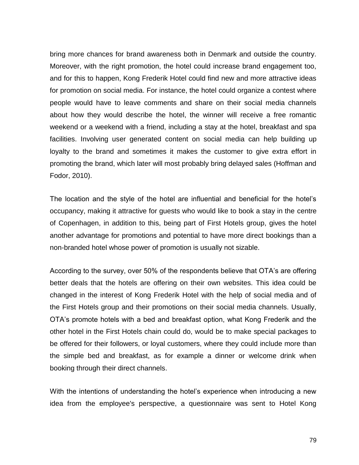bring more chances for brand awareness both in Denmark and outside the country. Moreover, with the right promotion, the hotel could increase brand engagement too, and for this to happen, Kong Frederik Hotel could find new and more attractive ideas for promotion on social media. For instance, the hotel could organize a contest where people would have to leave comments and share on their social media channels about how they would describe the hotel, the winner will receive a free romantic weekend or a weekend with a friend, including a stay at the hotel, breakfast and spa facilities. Involving user generated content on social media can help building up loyalty to the brand and sometimes it makes the customer to give extra effort in promoting the brand, which later will most probably bring delayed sales (Hoffman and Fodor, 2010).

The location and the style of the hotel are influential and beneficial for the hotel's occupancy, making it attractive for guests who would like to book a stay in the centre of Copenhagen, in addition to this, being part of First Hotels group, gives the hotel another advantage for promotions and potential to have more direct bookings than a non-branded hotel whose power of promotion is usually not sizable.

According to the survey, over 50% of the respondents believe that OTA's are offering better deals that the hotels are offering on their own websites. This idea could be changed in the interest of Kong Frederik Hotel with the help of social media and of the First Hotels group and their promotions on their social media channels. Usually, OTA's promote hotels with a bed and breakfast option, what Kong Frederik and the other hotel in the First Hotels chain could do, would be to make special packages to be offered for their followers, or loyal customers, where they could include more than the simple bed and breakfast, as for example a dinner or welcome drink when booking through their direct channels.

With the intentions of understanding the hotel's experience when introducing a new idea from the employee's perspective, a questionnaire was sent to Hotel Kong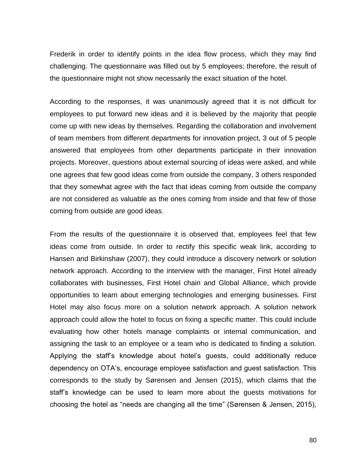Frederik in order to identify points in the idea flow process, which they may find challenging. The questionnaire was filled out by 5 employees; therefore, the result of the questionnaire might not show necessarily the exact situation of the hotel.

According to the responses, it was unanimously agreed that it is not difficult for employees to put forward new ideas and it is believed by the majority that people come up with new ideas by themselves. Regarding the collaboration and involvement of team members from different departments for innovation project, 3 out of 5 people answered that employees from other departments participate in their innovation projects. Moreover, questions about external sourcing of ideas were asked, and while one agrees that few good ideas come from outside the company, 3 others responded that they somewhat agree with the fact that ideas coming from outside the company are not considered as valuable as the ones coming from inside and that few of those coming from outside are good ideas.

From the results of the questionnaire it is observed that, employees feel that few ideas come from outside. In order to rectify this specific weak link, according to Hansen and Birkinshaw (2007), they could introduce a discovery network or solution network approach. According to the interview with the manager, First Hotel already collaborates with businesses, First Hotel chain and Global Alliance, which provide opportunities to learn about emerging technologies and emerging businesses. First Hotel may also focus more on a solution network approach. A solution network approach could allow the hotel to focus on fixing a specific matter. This could include evaluating how other hotels manage complaints or internal communication, and assigning the task to an employee or a team who is dedicated to finding a solution. Applying the staff's knowledge about hotel's guests, could additionally reduce dependency on OTA's, encourage employee satisfaction and guest satisfaction. This corresponds to the study by Sørensen and Jensen (2015), which claims that the staff's knowledge can be used to learn more about the guests motivations for choosing the hotel as "needs are changing all the time" (Sørensen & Jensen, 2015),

80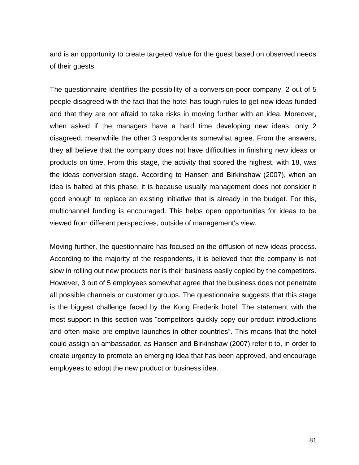and is an opportunity to create targeted value for the guest based on observed needs of their guests.

The questionnaire identifies the possibility of a conversion-poor company. 2 out of 5 people disagreed with the fact that the hotel has tough rules to get new ideas funded and that they are not afraid to take risks in moving further with an idea. Moreover, when asked if the managers have a hard time developing new ideas, only 2 disagreed, meanwhile the other 3 respondents somewhat agree. From the answers, they all believe that the company does not have difficulties in finishing new ideas or products on time. From this stage, the activity that scored the highest, with 18, was the ideas conversion stage. According to Hansen and Birkinshaw (2007), when an idea is halted at this phase, it is because usually management does not consider it good enough to replace an existing initiative that is already in the budget. For this, multichannel funding is encouraged. This helps open opportunities for ideas to be viewed from different perspectives, outside of management's view.

Moving further, the questionnaire has focused on the diffusion of new ideas process. According to the majority of the respondents, it is believed that the company is not slow in rolling out new products nor is their business easily copied by the competitors. However, 3 out of 5 employees somewhat agree that the business does not penetrate all possible channels or customer groups. The questionnaire suggests that this stage is the biggest challenge faced by the Kong Frederik hotel. The statement with the most support in this section was "competitors quickly copy our product introductions and often make pre-emptive launches in other countries". This means that the hotel could assign an ambassador, as Hansen and Birkinshaw (2007) refer it to, in order to create urgency to promote an emerging idea that has been approved, and encourage employees to adopt the new product or business idea.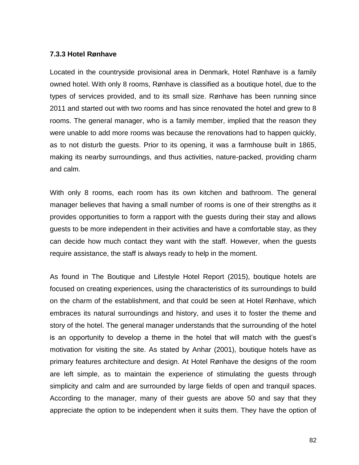### **7.3.3 Hotel Rønhave**

Located in the countryside provisional area in Denmark, Hotel Rønhave is a family owned hotel. With only 8 rooms, Rønhave is classified as a boutique hotel, due to the types of services provided, and to its small size. Rønhave has been running since 2011 and started out with two rooms and has since renovated the hotel and grew to 8 rooms. The general manager, who is a family member, implied that the reason they were unable to add more rooms was because the renovations had to happen quickly, as to not disturb the guests. Prior to its opening, it was a farmhouse built in 1865, making its nearby surroundings, and thus activities, nature-packed, providing charm and calm.

With only 8 rooms, each room has its own kitchen and bathroom. The general manager believes that having a small number of rooms is one of their strengths as it provides opportunities to form a rapport with the guests during their stay and allows guests to be more independent in their activities and have a comfortable stay, as they can decide how much contact they want with the staff. However, when the guests require assistance, the staff is always ready to help in the moment.

As found in The Boutique and Lifestyle Hotel Report (2015), boutique hotels are focused on creating experiences, using the characteristics of its surroundings to build on the charm of the establishment, and that could be seen at Hotel Rønhave, which embraces its natural surroundings and history, and uses it to foster the theme and story of the hotel. The general manager understands that the surrounding of the hotel is an opportunity to develop a theme in the hotel that will match with the guest's motivation for visiting the site. As stated by Anhar (2001), boutique hotels have as primary features architecture and design. At Hotel Rønhave the designs of the room are left simple, as to maintain the experience of stimulating the guests through simplicity and calm and are surrounded by large fields of open and tranquil spaces. According to the manager, many of their guests are above 50 and say that they appreciate the option to be independent when it suits them. They have the option of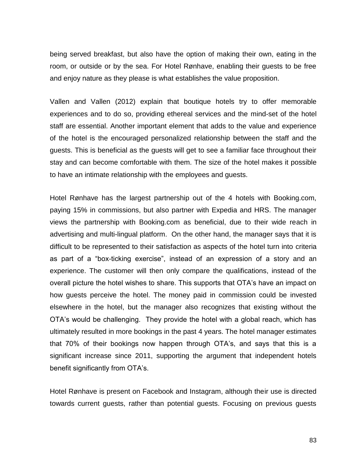being served breakfast, but also have the option of making their own, eating in the room, or outside or by the sea. For Hotel Rønhave, enabling their guests to be free and enjoy nature as they please is what establishes the value proposition.

Vallen and Vallen (2012) explain that boutique hotels try to offer memorable experiences and to do so, providing ethereal services and the mind-set of the hotel staff are essential. Another important element that adds to the value and experience of the hotel is the encouraged personalized relationship between the staff and the guests. This is beneficial as the guests will get to see a familiar face throughout their stay and can become comfortable with them. The size of the hotel makes it possible to have an intimate relationship with the employees and guests.

Hotel Rønhave has the largest partnership out of the 4 hotels with Booking.com, paying 15% in commissions, but also partner with Expedia and HRS. The manager views the partnership with Booking.com as beneficial, due to their wide reach in advertising and multi-lingual platform. On the other hand, the manager says that it is difficult to be represented to their satisfaction as aspects of the hotel turn into criteria as part of a "box-ticking exercise", instead of an expression of a story and an experience. The customer will then only compare the qualifications, instead of the overall picture the hotel wishes to share. This supports that OTA's have an impact on how guests perceive the hotel. The money paid in commission could be invested elsewhere in the hotel, but the manager also recognizes that existing without the OTA's would be challenging. They provide the hotel with a global reach, which has ultimately resulted in more bookings in the past 4 years. The hotel manager estimates that 70% of their bookings now happen through OTA's, and says that this is a significant increase since 2011, supporting the argument that independent hotels benefit significantly from OTA's.

Hotel Rønhave is present on Facebook and Instagram, although their use is directed towards current guests, rather than potential guests. Focusing on previous guests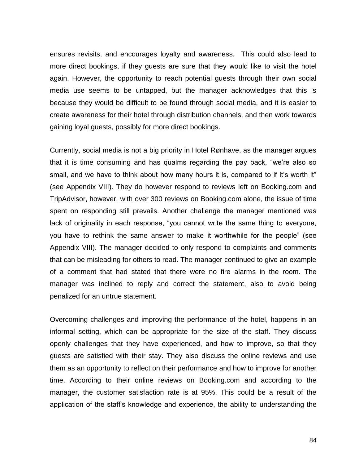ensures revisits, and encourages loyalty and awareness. This could also lead to more direct bookings, if they guests are sure that they would like to visit the hotel again. However, the opportunity to reach potential guests through their own social media use seems to be untapped, but the manager acknowledges that this is because they would be difficult to be found through social media, and it is easier to create awareness for their hotel through distribution channels, and then work towards gaining loyal guests, possibly for more direct bookings.

Currently, social media is not a big priority in Hotel Rønhave, as the manager argues that it is time consuming and has qualms regarding the pay back, "we're also so small, and we have to think about how many hours it is, compared to if it's worth it" (see Appendix VIII). They do however respond to reviews left on Booking.com and TripAdvisor, however, with over 300 reviews on Booking.com alone, the issue of time spent on responding still prevails. Another challenge the manager mentioned was lack of originality in each response, "you cannot write the same thing to everyone, you have to rethink the same answer to make it worthwhile for the people" (see Appendix VIII). The manager decided to only respond to complaints and comments that can be misleading for others to read. The manager continued to give an example of a comment that had stated that there were no fire alarms in the room. The manager was inclined to reply and correct the statement, also to avoid being penalized for an untrue statement.

Overcoming challenges and improving the performance of the hotel, happens in an informal setting, which can be appropriate for the size of the staff. They discuss openly challenges that they have experienced, and how to improve, so that they guests are satisfied with their stay. They also discuss the online reviews and use them as an opportunity to reflect on their performance and how to improve for another time. According to their online reviews on Booking.com and according to the manager, the customer satisfaction rate is at 95%. This could be a result of the application of the staff's knowledge and experience, the ability to understanding the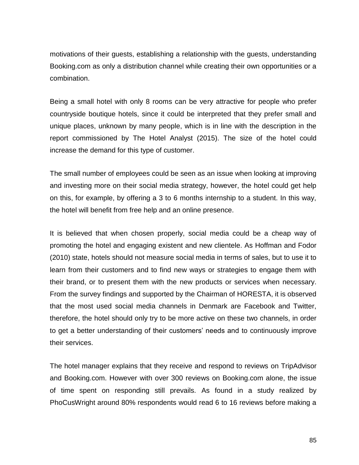motivations of their guests, establishing a relationship with the guests, understanding Booking.com as only a distribution channel while creating their own opportunities or a combination.

Being a small hotel with only 8 rooms can be very attractive for people who prefer countryside boutique hotels, since it could be interpreted that they prefer small and unique places, unknown by many people, which is in line with the description in the report commissioned by The Hotel Analyst (2015). The size of the hotel could increase the demand for this type of customer.

The small number of employees could be seen as an issue when looking at improving and investing more on their social media strategy, however, the hotel could get help on this, for example, by offering a 3 to 6 months internship to a student. In this way, the hotel will benefit from free help and an online presence.

It is believed that when chosen properly, social media could be a cheap way of promoting the hotel and engaging existent and new clientele. As Hoffman and Fodor (2010) state, hotels should not measure social media in terms of sales, but to use it to learn from their customers and to find new ways or strategies to engage them with their brand, or to present them with the new products or services when necessary. From the survey findings and supported by the Chairman of HORESTA, it is observed that the most used social media channels in Denmark are Facebook and Twitter, therefore, the hotel should only try to be more active on these two channels, in order to get a better understanding of their customers' needs and to continuously improve their services.

The hotel manager explains that they receive and respond to reviews on TripAdvisor and Booking.com. However with over 300 reviews on Booking.com alone, the issue of time spent on responding still prevails. As found in a study realized by PhoCusWright around 80% respondents would read 6 to 16 reviews before making a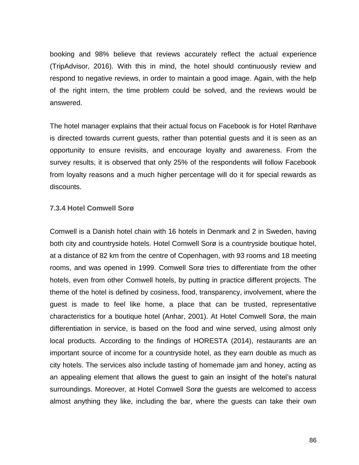booking and 98% believe that reviews accurately reflect the actual experience (TripAdvisor, 2016). With this in mind, the hotel should continuously review and respond to negative reviews, in order to maintain a good image. Again, with the help of the right intern, the time problem could be solved, and the reviews would be answered.

The hotel manager explains that their actual focus on Facebook is for Hotel Rønhave is directed towards current guests, rather than potential guests and it is seen as an opportunity to ensure revisits, and encourage loyalty and awareness. From the survey results, it is observed that only 25% of the respondents will follow Facebook from loyalty reasons and a much higher percentage will do it for special rewards as discounts.

#### **7.3.4 Hotel Comwell Sorø**

Comwell is a Danish hotel chain with 16 hotels in Denmark and 2 in Sweden, having both city and countryside hotels. Hotel Comwell Sorø is a countryside boutique hotel, at a distance of 82 km from the centre of Copenhagen, with 93 rooms and 18 meeting rooms, and was opened in 1999. Comwell Sorø tries to differentiate from the other hotels, even from other Comwell hotels, by putting in practice different projects. The theme of the hotel is defined by cosiness, food, transparency, involvement, where the guest is made to feel like home, a place that can be trusted, representative characteristics for a boutique hotel (Anhar, 2001). At Hotel Comwell Sorø, the main differentiation in service, is based on the food and wine served, using almost only local products. According to the findings of HORESTA (2014), restaurants are an important source of income for a countryside hotel, as they earn double as much as city hotels. The services also include tasting of homemade jam and honey, acting as an appealing element that allows the guest to gain an insight of the hotel's natural surroundings. Moreover, at Hotel Comwell Sorø the guests are welcomed to access almost anything they like, including the bar, where the guests can take their own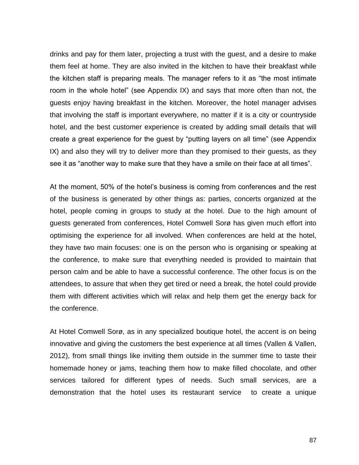drinks and pay for them later, projecting a trust with the guest, and a desire to make them feel at home. They are also invited in the kitchen to have their breakfast while the kitchen staff is preparing meals. The manager refers to it as "the most intimate room in the whole hotel" (see Appendix IX) and says that more often than not, the guests enjoy having breakfast in the kitchen. Moreover, the hotel manager advises that involving the staff is important everywhere, no matter if it is a city or countryside hotel, and the best customer experience is created by adding small details that will create a great experience for the guest by "putting layers on all time" (see Appendix IX) and also they will try to deliver more than they promised to their guests, as they see it as "another way to make sure that they have a smile on their face at all times".

At the moment, 50% of the hotel's business is coming from conferences and the rest of the business is generated by other things as: parties, concerts organized at the hotel, people coming in groups to study at the hotel. Due to the high amount of guests generated from conferences, Hotel Comwell Sorø has given much effort into optimising the experience for all involved. When conferences are held at the hotel, they have two main focuses: one is on the person who is organising or speaking at the conference, to make sure that everything needed is provided to maintain that person calm and be able to have a successful conference. The other focus is on the attendees, to assure that when they get tired or need a break, the hotel could provide them with different activities which will relax and help them get the energy back for the conference.

At Hotel Comwell Sorø, as in any specialized boutique hotel, the accent is on being innovative and giving the customers the best experience at all times (Vallen & Vallen, 2012), from small things like inviting them outside in the summer time to taste their homemade honey or jams, teaching them how to make filled chocolate, and other services tailored for different types of needs. Such small services, are a demonstration that the hotel uses its restaurant service to create a unique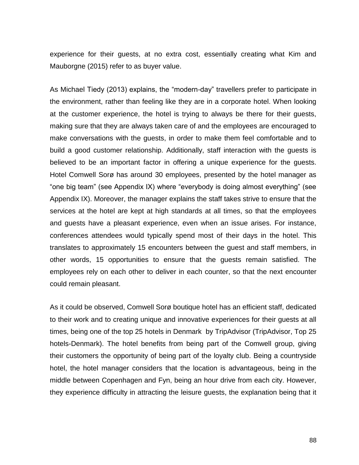experience for their guests, at no extra cost, essentially creating what Kim and Mauborgne (2015) refer to as buyer value.

As Michael Tiedy (2013) explains, the "modern-day" travellers prefer to participate in the environment, rather than feeling like they are in a corporate hotel. When looking at the customer experience, the hotel is trying to always be there for their guests, making sure that they are always taken care of and the employees are encouraged to make conversations with the guests, in order to make them feel comfortable and to build a good customer relationship. Additionally, staff interaction with the guests is believed to be an important factor in offering a unique experience for the guests. Hotel Comwell Sorø has around 30 employees, presented by the hotel manager as "one big team" (see Appendix IX) where "everybody is doing almost everything" (see Appendix IX). Moreover, the manager explains the staff takes strive to ensure that the services at the hotel are kept at high standards at all times, so that the employees and guests have a pleasant experience, even when an issue arises. For instance, conferences attendees would typically spend most of their days in the hotel. This translates to approximately 15 encounters between the guest and staff members, in other words, 15 opportunities to ensure that the guests remain satisfied. The employees rely on each other to deliver in each counter, so that the next encounter could remain pleasant.

As it could be observed, Comwell Sorø boutique hotel has an efficient staff, dedicated to their work and to creating unique and innovative experiences for their guests at all times, being one of the top 25 hotels in Denmark by TripAdvisor (TripAdvisor, Top 25 hotels-Denmark). The hotel benefits from being part of the Comwell group, giving their customers the opportunity of being part of the loyalty club. Being a countryside hotel, the hotel manager considers that the location is advantageous, being in the middle between Copenhagen and Fyn, being an hour drive from each city. However, they experience difficulty in attracting the leisure guests, the explanation being that it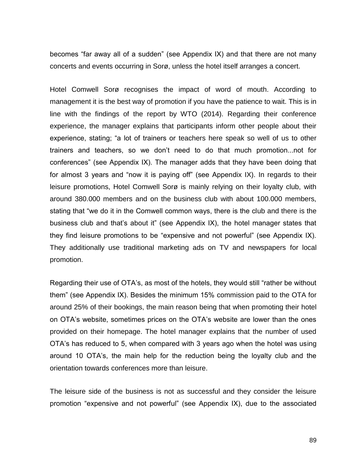becomes "far away all of a sudden" (see Appendix IX) and that there are not many concerts and events occurring in Sorø, unless the hotel itself arranges a concert.

Hotel Comwell Sorø recognises the impact of word of mouth. According to management it is the best way of promotion if you have the patience to wait. This is in line with the findings of the report by WTO (2014). Regarding their conference experience, the manager explains that participants inform other people about their experience, stating; "a lot of trainers or teachers here speak so well of us to other trainers and teachers, so we don't need to do that much promotion...not for conferences" (see Appendix IX). The manager adds that they have been doing that for almost 3 years and "now it is paying off" (see Appendix IX). In regards to their leisure promotions, Hotel Comwell Sorø is mainly relying on their loyalty club, with around 380.000 members and on the business club with about 100.000 members, stating that "we do it in the Comwell common ways, there is the club and there is the business club and that's about it" (see Appendix IX), the hotel manager states that they find leisure promotions to be "expensive and not powerful" (see Appendix IX). They additionally use traditional marketing ads on TV and newspapers for local promotion.

Regarding their use of OTA's, as most of the hotels, they would still "rather be without them" (see Appendix IX). Besides the minimum 15% commission paid to the OTA for around 25% of their bookings, the main reason being that when promoting their hotel on OTA's website, sometimes prices on the OTA's website are lower than the ones provided on their homepage. The hotel manager explains that the number of used OTA's has reduced to 5, when compared with 3 years ago when the hotel was using around 10 OTA's, the main help for the reduction being the loyalty club and the orientation towards conferences more than leisure.

The leisure side of the business is not as successful and they consider the leisure promotion "expensive and not powerful" (see Appendix IX), due to the associated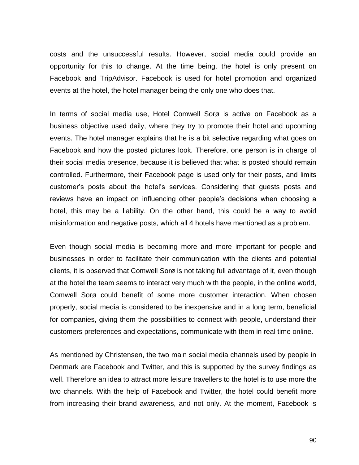costs and the unsuccessful results. However, social media could provide an opportunity for this to change. At the time being, the hotel is only present on Facebook and TripAdvisor. Facebook is used for hotel promotion and organized events at the hotel, the hotel manager being the only one who does that.

In terms of social media use, Hotel Comwell Sorø is active on Facebook as a business objective used daily, where they try to promote their hotel and upcoming events. The hotel manager explains that he is a bit selective regarding what goes on Facebook and how the posted pictures look. Therefore, one person is in charge of their social media presence, because it is believed that what is posted should remain controlled. Furthermore, their Facebook page is used only for their posts, and limits customer's posts about the hotel's services. Considering that guests posts and reviews have an impact on influencing other people's decisions when choosing a hotel, this may be a liability. On the other hand, this could be a way to avoid misinformation and negative posts, which all 4 hotels have mentioned as a problem.

Even though social media is becoming more and more important for people and businesses in order to facilitate their communication with the clients and potential clients, it is observed that Comwell Sorø is not taking full advantage of it, even though at the hotel the team seems to interact very much with the people, in the online world, Comwell Sorø could benefit of some more customer interaction. When chosen properly, social media is considered to be inexpensive and in a long term, beneficial for companies, giving them the possibilities to connect with people, understand their customers preferences and expectations, communicate with them in real time online.

As mentioned by Christensen, the two main social media channels used by people in Denmark are Facebook and Twitter, and this is supported by the survey findings as well. Therefore an idea to attract more leisure travellers to the hotel is to use more the two channels. With the help of Facebook and Twitter, the hotel could benefit more from increasing their brand awareness, and not only. At the moment, Facebook is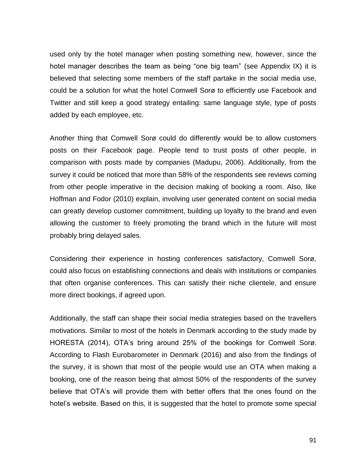used only by the hotel manager when posting something new, however, since the hotel manager describes the team as being "one big team" (see Appendix IX) it is believed that selecting some members of the staff partake in the social media use, could be a solution for what the hotel Comwell Sorø to efficiently use Facebook and Twitter and still keep a good strategy entailing: same language style, type of posts added by each employee, etc.

Another thing that Comwell Sorø could do differently would be to allow customers posts on their Facebook page. People tend to trust posts of other people, in comparison with posts made by companies (Madupu, 2006). Additionally, from the survey it could be noticed that more than 58% of the respondents see reviews coming from other people imperative in the decision making of booking a room. Also, like Hoffman and Fodor (2010) explain, involving user generated content on social media can greatly develop customer commitment, building up loyalty to the brand and even allowing the customer to freely promoting the brand which in the future will most probably bring delayed sales.

Considering their experience in hosting conferences satisfactory, Comwell Sorø, could also focus on establishing connections and deals with institutions or companies that often organise conferences. This can satisfy their niche clientele, and ensure more direct bookings, if agreed upon.

Additionally, the staff can shape their social media strategies based on the travellers motivations. Similar to most of the hotels in Denmark according to the study made by HORESTA (2014), OTA's bring around 25% of the bookings for Comwell Sorø. According to Flash Eurobarometer in Denmark (2016) and also from the findings of the survey, it is shown that most of the people would use an OTA when making a booking, one of the reason being that almost 50% of the respondents of the survey believe that OTA's will provide them with better offers that the ones found on the hotel's website. Based on this, it is suggested that the hotel to promote some special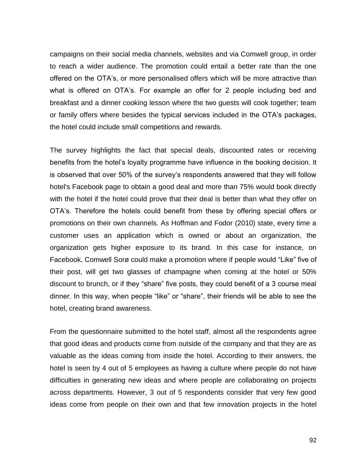campaigns on their social media channels, websites and via Comwell group, in order to reach a wider audience. The promotion could entail a better rate than the one offered on the OTA's, or more personalised offers which will be more attractive than what is offered on OTA's. For example an offer for 2 people including bed and breakfast and a dinner cooking lesson where the two guests will cook together; team or family offers where besides the typical services included in the OTA's packages, the hotel could include small competitions and rewards.

The survey highlights the fact that special deals, discounted rates or receiving benefits from the hotel's loyalty programme have influence in the booking decision. It is observed that over 50% of the survey's respondents answered that they will follow hotel's Facebook page to obtain a good deal and more than 75% would book directly with the hotel if the hotel could prove that their deal is better than what they offer on OTA's. Therefore the hotels could benefit from these by offering special offers or promotions on their own channels. As Hoffman and Fodor (2010) state, every time a customer uses an application which is owned or about an organization, the organization gets higher exposure to its brand. In this case for instance, on Facebook, Comwell Sorø could make a promotion where if people would "Like" five of their post, will get two glasses of champagne when coming at the hotel or 50% discount to brunch, or if they "share" five posts, they could benefit of a 3 course meal dinner. In this way, when people "like" or "share", their friends will be able to see the hotel, creating brand awareness.

From the questionnaire submitted to the hotel staff, almost all the respondents agree that good ideas and products come from outside of the company and that they are as valuable as the ideas coming from inside the hotel. According to their answers, the hotel is seen by 4 out of 5 employees as having a culture where people do not have difficulties in generating new ideas and where people are collaborating on projects across departments. However, 3 out of 5 respondents consider that very few good ideas come from people on their own and that few innovation projects in the hotel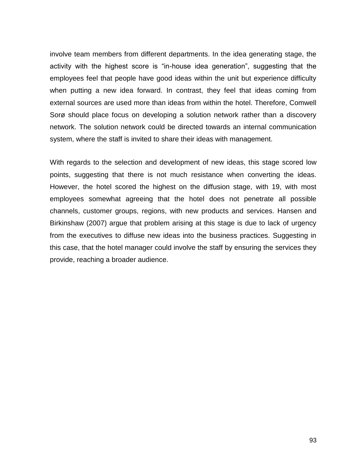involve team members from different departments. In the idea generating stage, the activity with the highest score is "in-house idea generation", suggesting that the employees feel that people have good ideas within the unit but experience difficulty when putting a new idea forward. In contrast, they feel that ideas coming from external sources are used more than ideas from within the hotel. Therefore, Comwell Sorø should place focus on developing a solution network rather than a discovery network. The solution network could be directed towards an internal communication system, where the staff is invited to share their ideas with management.

With regards to the selection and development of new ideas, this stage scored low points, suggesting that there is not much resistance when converting the ideas. However, the hotel scored the highest on the diffusion stage, with 19, with most employees somewhat agreeing that the hotel does not penetrate all possible channels, customer groups, regions, with new products and services. Hansen and Birkinshaw (2007) argue that problem arising at this stage is due to lack of urgency from the executives to diffuse new ideas into the business practices. Suggesting in this case, that the hotel manager could involve the staff by ensuring the services they provide, reaching a broader audience.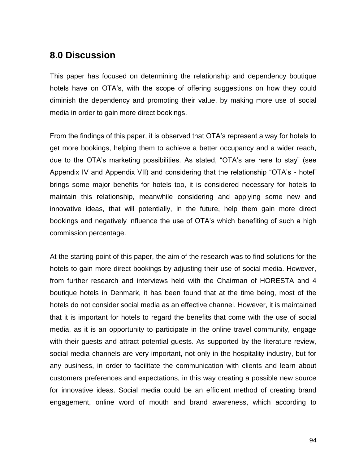# **8.0 Discussion**

This paper has focused on determining the relationship and dependency boutique hotels have on OTA's, with the scope of offering suggestions on how they could diminish the dependency and promoting their value, by making more use of social media in order to gain more direct bookings.

From the findings of this paper, it is observed that OTA's represent a way for hotels to get more bookings, helping them to achieve a better occupancy and a wider reach, due to the OTA's marketing possibilities. As stated, "OTA's are here to stay" (see Appendix IV and Appendix VII) and considering that the relationship "OTA's - hotel" brings some major benefits for hotels too, it is considered necessary for hotels to maintain this relationship, meanwhile considering and applying some new and innovative ideas, that will potentially, in the future, help them gain more direct bookings and negatively influence the use of OTA's which benefiting of such a high commission percentage.

At the starting point of this paper, the aim of the research was to find solutions for the hotels to gain more direct bookings by adjusting their use of social media. However, from further research and interviews held with the Chairman of HORESTA and 4 boutique hotels in Denmark, it has been found that at the time being, most of the hotels do not consider social media as an effective channel. However, it is maintained that it is important for hotels to regard the benefits that come with the use of social media, as it is an opportunity to participate in the online travel community, engage with their guests and attract potential guests. As supported by the literature review, social media channels are very important, not only in the hospitality industry, but for any business, in order to facilitate the communication with clients and learn about customers preferences and expectations, in this way creating a possible new source for innovative ideas. Social media could be an efficient method of creating brand engagement, online word of mouth and brand awareness, which according to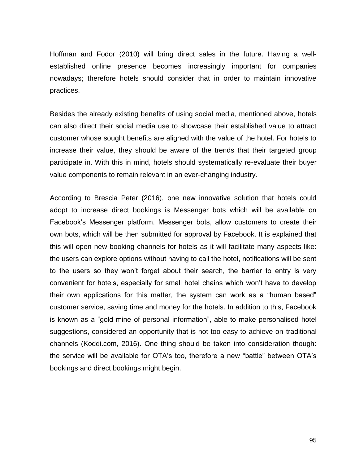Hoffman and Fodor (2010) will bring direct sales in the future. Having a wellestablished online presence becomes increasingly important for companies nowadays; therefore hotels should consider that in order to maintain innovative practices.

Besides the already existing benefits of using social media, mentioned above, hotels can also direct their social media use to showcase their established value to attract customer whose sought benefits are aligned with the value of the hotel. For hotels to increase their value, they should be aware of the trends that their targeted group participate in. With this in mind, hotels should systematically re-evaluate their buyer value components to remain relevant in an ever-changing industry.

According to Brescia Peter (2016), one new innovative solution that hotels could adopt to increase direct bookings is Messenger bots which will be available on Facebook's Messenger platform. Messenger bots, allow customers to create their own bots, which will be then submitted for approval by Facebook. It is explained that this will open new booking channels for hotels as it will facilitate many aspects like: the users can explore options without having to call the hotel, notifications will be sent to the users so they won't forget about their search, the barrier to entry is very convenient for hotels, especially for small hotel chains which won't have to develop their own applications for this matter, the system can work as a "human based" customer service, saving time and money for the hotels. In addition to this, Facebook is known as a "gold mine of personal information", able to make personalised hotel suggestions, considered an opportunity that is not too easy to achieve on traditional channels (Koddi.com, 2016). One thing should be taken into consideration though: the service will be available for OTA's too, therefore a new "battle" between OTA's bookings and direct bookings might begin.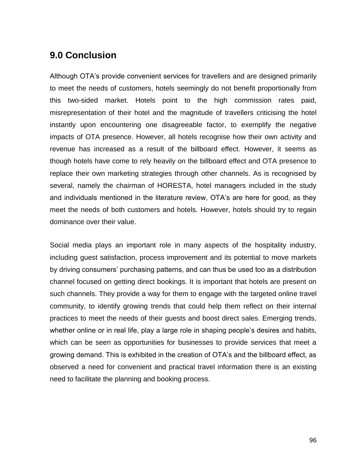# **9.0 Conclusion**

Although OTA's provide convenient services for travellers and are designed primarily to meet the needs of customers, hotels seemingly do not benefit proportionally from this two-sided market. Hotels point to the high commission rates paid, misrepresentation of their hotel and the magnitude of travellers criticising the hotel instantly upon encountering one disagreeable factor, to exemplify the negative impacts of OTA presence. However, all hotels recognise how their own activity and revenue has increased as a result of the billboard effect. However, it seems as though hotels have come to rely heavily on the billboard effect and OTA presence to replace their own marketing strategies through other channels. As is recognised by several, namely the chairman of HORESTA, hotel managers included in the study and individuals mentioned in the literature review, OTA's are here for good, as they meet the needs of both customers and hotels. However, hotels should try to regain dominance over their value.

Social media plays an important role in many aspects of the hospitality industry, including guest satisfaction, process improvement and its potential to move markets by driving consumers' purchasing patterns, and can thus be used too as a distribution channel focused on getting direct bookings. It is important that hotels are present on such channels. They provide a way for them to engage with the targeted online travel community, to identify growing trends that could help them reflect on their internal practices to meet the needs of their guests and boost direct sales. Emerging trends, whether online or in real life, play a large role in shaping people's desires and habits, which can be seen as opportunities for businesses to provide services that meet a growing demand. This is exhibited in the creation of OTA's and the billboard effect, as observed a need for convenient and practical travel information there is an existing need to facilitate the planning and booking process.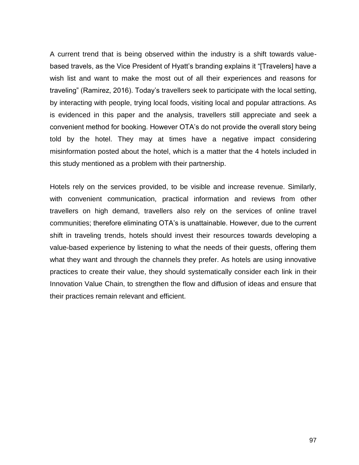A current trend that is being observed within the industry is a shift towards valuebased travels, as the Vice President of Hyatt's branding explains it "[Travelers] have a wish list and want to make the most out of all their experiences and reasons for traveling" (Ramirez, 2016). Today's travellers seek to participate with the local setting, by interacting with people, trying local foods, visiting local and popular attractions. As is evidenced in this paper and the analysis, travellers still appreciate and seek a convenient method for booking. However OTA's do not provide the overall story being told by the hotel. They may at times have a negative impact considering misinformation posted about the hotel, which is a matter that the 4 hotels included in this study mentioned as a problem with their partnership.

Hotels rely on the services provided, to be visible and increase revenue. Similarly, with convenient communication, practical information and reviews from other travellers on high demand, travellers also rely on the services of online travel communities; therefore eliminating OTA's is unattainable. However, due to the current shift in traveling trends, hotels should invest their resources towards developing a value-based experience by listening to what the needs of their guests, offering them what they want and through the channels they prefer. As hotels are using innovative practices to create their value, they should systematically consider each link in their Innovation Value Chain, to strengthen the flow and diffusion of ideas and ensure that their practices remain relevant and efficient.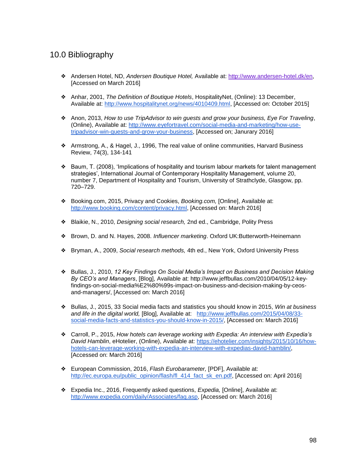### 10.0 Bibliography

- ❖ Andersen Hotel, ND, *Andersen Boutique Hotel,* Available at: [http://www.andersen-hotel.dk/en,](http://www.andersen-hotel.dk/en) [Accessed on March 2016]
- ❖ Anhar, 2001, *The Definition of Boutique Hotels*, HospitalityNet, (Online): 13 December, Available at: [http://www.hospitalitynet.org/news/4010409.html,](http://www.hospitalitynet.org/news/4010409.html) [Accessed on: October 2015]
- ❖ Anon, 2013, *How to use TripAdvisor to win guests and grow your business, Eye For Traveling*, (Online), Available at: [http://www.eyefortravel.com/social-media-and-marketing/how-use](http://www.eyefortravel.com/social-media-and-marketing/how-use-tripadvisor-win-guests-and-grow-your-business)[tripadvisor-win-guests-and-grow-your-business,](http://www.eyefortravel.com/social-media-and-marketing/how-use-tripadvisor-win-guests-and-grow-your-business) [Accessed on; Janurary 2016]
- ❖ Armstrong, A., & Hagel, J., 1996, The real value of online communities, Harvard Business Review, 74(3), 134-141
- ❖ Baum, T. (2008), 'Implications of hospitality and tourism labour markets for talent management strategies', International Journal of Contemporary Hospitality Management, volume 20, number 7, Department of Hospitality and Tourism, University of Strathclyde, Glasgow, pp. 720–729.
- ❖ Booking.com, 2015, Privacy and Cookies, *Booking.com,* [Online], Available at: [http://www.booking.com/content/privacy.html,](http://www.booking.com/content/privacy.html) [Accessed on: March 2016]
- ❖ Blaikie, N., 2010, *Designing social research,* 2nd ed., Cambridge, Polity Press
- ❖ Brown, D. and N. Hayes, 2008. *Influencer marketing*. Oxford UK:Butterworth-Heinemann
- ❖ [Bryman, A., 2009,](http://www.statista.com/statistics/459983/number-of-visits-to-travel-booking-sites-worldwide/) *[Social research methods,](http://www.statista.com/statistics/459983/number-of-visits-to-travel-booking-sites-worldwide/)* [4th ed., New York, Oxford University Press](http://www.statista.com/statistics/459983/number-of-visits-to-travel-booking-sites-worldwide/)
- ❖ Bullas, J., 2010, *12 Key Findings On Social Media's Impact on Business and Decision Making By CEO's and Managers*, [Blog], Available at: http://www.jeffbullas.com/2010/04/05/12-keyfindings-on-social-media%E2%80%99s-impact-on-business-and-decision-making-by-ceosand-managers/, [Accessed on: March 2016]
- ❖ Bullas, J., 2015, 33 Social media facts and statistics you should know in 2015, *Win at business and life in the digital world,* [Blog], Available at: [http://www.jeffbullas.com/2015/04/08/33](http://www.jeffbullas.com/2015/04/08/33-social-media-facts-and-statistics-you-should-know-in-2015/) [social-media-facts-and-statistics-you-should-know-in-2015/,](http://www.jeffbullas.com/2015/04/08/33-social-media-facts-and-statistics-you-should-know-in-2015/) [Accessed on: March 2016]
- ❖ Carroll, P., 2015, *How hotels can leverage working with Expedia: An interview with Expedia's David Hamblin*, eHotelier, (Online), Available at: [https://ehotelier.com/insights/2015/10/16/how](https://ehotelier.com/insights/2015/10/16/how-hotels-can-leverage-working-with-expedia-an-interview-with-expedias-david-hamblin/)[hotels-can-leverage-working-with-expedia-an-interview-with-expedias-david-hamblin/,](https://ehotelier.com/insights/2015/10/16/how-hotels-can-leverage-working-with-expedia-an-interview-with-expedias-david-hamblin/) [Accessed on: March 2016]
- ❖ European Commission, 2016, *Flash Eurobarameter,* [PDF], Available at: [http://ec.europa.eu/public\\_opinion/flash/fl\\_414\\_fact\\_sk\\_en.pdf,](http://ec.europa.eu/public_opinion/flash/fl_414_fact_sk_en.pdf) [Accessed on: April 2016]
- ❖ Expedia Inc., 2016, Frequently asked questions, *Expedia,* [Online], Available at: [http://www.expedia.com/daily/Associates/faq.asp,](http://www.expedia.com/daily/Associates/faq.asp) [Accessed on: March 2016]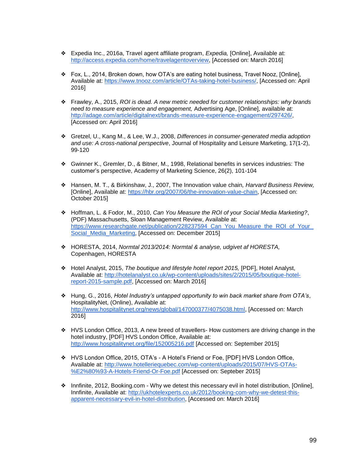- ❖ Expedia Inc., 2016a, Travel agent affiliate program, *Expedia,* [Online], Available at: [http://access.expedia.com/home/travelagentoverview,](http://access.expedia.com/home/travelagentoverview) [Accessed on: March 2016]
- ❖ Fox, L., 2014, Broken down, how OTA's are eating hotel business, Travel Nooz, [Online], Available at: [https://www.tnooz.com/article/OTAs-taking-hotel-business/,](https://www.tnooz.com/article/OTAs-taking-hotel-business/) [Accessed on: April 2016]
- ❖ Frawley, A., 2015, *ROI is dead. A new metric needed for customer relationships: why brands need to measure experience and engagement,* Advertising Age, [Online], available at: [http://adage.com/article/digitalnext/brands-measure-experience-engagement/297426/,](http://adage.com/article/digitalnext/brands-measure-experience-engagement/297426/) [Accessed on: April 2016]
- ❖ Gretzel, U., Kang M., & Lee, W.J., 2008, *Differences in consumer-generated media adoption and use: A cross-national perspective*, Journal of Hospitality and Leisure Marketing, 17(1-2), 99-120
- ❖ Gwinner K., Gremler, D., & Bitner, M., 1998, Relational benefits in services industries: The customer's perspective, Academy of Marketing Science, 26(2), 101-104
- ❖ Hansen, M. T., & Birkinshaw, J., 2007, The Innovation value chain*, Harvard Business Review,*  [Online], Available at: [https://hbr.org/2007/06/the-innovation-value-chain,](https://hbr.org/2007/06/the-innovation-value-chain) [Accessed on: October 2015]
- ❖ Hoffman, L. & Fodor, M., 2010, *Can You Measure the ROI of your Social Media Marketing?*, (PDF) Massachusetts, Sloan Management Review, Available at: https://www.researchgate.net/publication/228237594\_Can\_You\_Measure\_the\_ROI\_of\_Your [Social\\_Media\\_Marketing,](https://www.researchgate.net/publication/228237594_Can_You_Measure_the_ROI_of_Your_Social_Media_Marketing) [Accessed on: December 2015]
- ❖ HORESTA, 2014, *Normtal 2013/2014: Normtal & analyse, udgivet af HORESTA,*  Copenhagen, HORESTA
- ❖ Hotel Analyst, 2015, *The boutique and lifestyle hotel report 2015,* [PDF], Hotel Analyst, Available at: [http://hotelanalyst.co.uk/wp-content/uploads/sites/2/2015/05/boutique-hotel](http://hotelanalyst.co.uk/wp-content/uploads/sites/2/2015/05/boutique-hotel-report-2015-sample.pdf)[report-2015-sample.pdf,](http://hotelanalyst.co.uk/wp-content/uploads/sites/2/2015/05/boutique-hotel-report-2015-sample.pdf) [Accessed on: March 2016]
- ❖ Hung, G., 2016, *Hotel Industry's untapped opportunity to win back market share from OTA's*, HospitalityNet, (Online), Available at: [http://www.hospitalitynet.org/news/global/147000377/4075038.html,](http://www.hospitalitynet.org/news/global/147000377/4075038.html) [Accessed on: March 2016]
- ❖ HVS London Office, 2013, A new breed of travellers- How customers are driving change in the hotel industry, [PDF] HVS London Office, Available at: <http://www.hospitalitynet.org/file/152005216.pdf> [Accessed on: September 2015]
- ❖ HVS London Office, 2015, OTA's A Hotel's Friend or Foe, [PDF] HVS London Office, Available at: [http://www.hotelleriequebec.com/wp-content/uploads/2015/07/HVS-OTAs-](http://www.hotelleriequebec.com/wp-content/uploads/2015/07/HVS-OTAs-%E2%80%93-A-Hotels-Friend-Or-Foe.pdf) [%E2%80%93-A-Hotels-Friend-Or-Foe.pdf](http://www.hotelleriequebec.com/wp-content/uploads/2015/07/HVS-OTAs-%E2%80%93-A-Hotels-Friend-Or-Foe.pdf) [Accessed on: Septeber 2015]
- ❖ Innfinite, 2012, Booking.com Why we detest this necessary evil in hotel distribution, [Online], Innfinite, Available at: [http://ukhotelexperts.co.uk/2012/booking-com-why-we-detest-this](http://ukhotelexperts.co.uk/2012/booking-com-why-we-detest-this-apparent-necessary-evil-in-hotel-distribution)[apparent-necessary-evil-in-hotel-distribution,](http://ukhotelexperts.co.uk/2012/booking-com-why-we-detest-this-apparent-necessary-evil-in-hotel-distribution) [Accessed on: March 2016]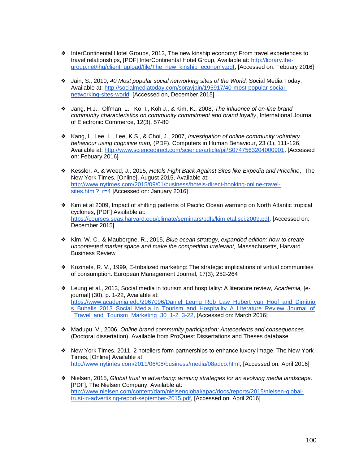- ❖ InterContinental Hotel Groups, 2013, The new kinship economy: From travel experiences to travel relationships, [PDF] InterContinental Hotel Group, Available at: [http://library.the](http://library.the-group.net/ihg/client_upload/file/The_new_kinship_economy.pdf)[group.net/ihg/client\\_upload/file/The\\_new\\_kinship\\_economy.pdf,](http://library.the-group.net/ihg/client_upload/file/The_new_kinship_economy.pdf) [Accessed on: Febuary 2016]
- ❖ Jain, S., 2010, *40 Most popular social networking sites of the World,* Social Media Today, Available at: [http://socialmediatoday.com/soravjain/195917/40-most-popular-social](http://socialmediatoday.com/soravjain/195917/40-most-popular-social-networking-sites-world)[networking-sites-world,](http://socialmediatoday.com/soravjain/195917/40-most-popular-social-networking-sites-world) [Accessed on, December 2015]
- ❖ Jang, H.J., Olfman, L., Ko, I., Koh J., & Kim, K., 2008, *The influence of on-line brand community characteristics on community commitment and brand loyalty*, International Journal of Electronic Commerce, 12(3), 57-80
- ❖ Kang, I., Lee, L., Lee, K.S., & Choi, J., 2007, *Investigation of online community voluntary behaviour using cognitive map,* (PDF). Computers in Human Behaviour, 23 (1), 111-126, Available at: [http://www.sciencedirect.com/science/article/pii/S0747563204000901,](http://www.sciencedirect.com/science/article/pii/S0747563204000901) [Accessed on: Febuary 2016]
- ❖ Kessler, A. & Weed, J., 2015, *Hotels Fight Back Against Sites like Expedia and Priceline*, The New York Times, [Online], August 2015, Available at: [http://www.nytimes.com/2015/09/01/business/hotels-direct-booking-online-travel](http://www.nytimes.com/2015/09/01/business/hotels-direct-booking-online-travel-sites.html?_r=4)[sites.html?\\_r=4](http://www.nytimes.com/2015/09/01/business/hotels-direct-booking-online-travel-sites.html?_r=4) [Accessed on: January 2016]
- ❖ Kim et al 2009, Impact of shifting patterns of Pacific Ocean warming on North Atlantic tropical cyclones, [PDF] Available at: [https://courses.seas.harvard.edu/climate/seminars/pdfs/kim.etal.sci.2009.pdf,](https://courses.seas.harvard.edu/climate/seminars/pdfs/kim.etal.sci.2009.pdf) [Accessed on: December 2015]
- ❖ Kim, W. C., & Mauborgne, R., 2015, *Blue ocean strategy, expanded edition: how to create uncontested market space and make the competition irrelevant,* Massachusetts, Harvard Business Review
- ❖ Kozinets, R. V., 1999, E-tribalized marketing: The strategic implications of virtual communities of consumption. European Management Journal, 17(3), 252-264
- ❖ Leung et al., 2013, Social media in tourism and hospitality: A literature review, *Academia,* [ejournal] (30), p. 1-22, Available at: [https://www.academia.edu/2967096/Daniel\\_Leung\\_Rob\\_Law\\_Hubert\\_van\\_Hoof\\_and\\_Dimitrio](https://www.academia.edu/2967096/Daniel_Leung_Rob_Law_Hubert_van_Hoof_and_Dimitrios_Buhalis_2013_Social_Media_in_Tourism_and_Hospitality_A_Literature_Review_Journal_of_Travel_and_Tourism_Marketing_30_1-2_3-22) s Buhalis 2013 Social Media in Tourism and Hospitality A Literature Review Journal of [\\_Travel\\_and\\_Tourism\\_Marketing\\_30\\_1-2\\_3-22,](https://www.academia.edu/2967096/Daniel_Leung_Rob_Law_Hubert_van_Hoof_and_Dimitrios_Buhalis_2013_Social_Media_in_Tourism_and_Hospitality_A_Literature_Review_Journal_of_Travel_and_Tourism_Marketing_30_1-2_3-22) [Accessed on: March 2016]
- ❖ Madupu, V., 2006, *Online brand community participation: Antecedents and consequences*. (Doctoral dissertation). Available from ProQuest Dissertations and Theses database
- ❖ New York Times, 2011, 2 hoteliers form partnerships to enhance luxory image, The New York Times, [Online] Available at: [http://www.nytimes.com/2011/06/08/business/media/08adco.html,](http://www.nytimes.com/2011/06/08/business/media/08adco.html) [Accessed on: April 2016]
- ❖ Nielsen, 2015, *Global trust in advertsing: winning strategies for an evolving media landscape,*  [PDF], The Nielsen Company, Available at: [http://www.nielsen.com/content/dam/nielsenglobal/apac/docs/reports/2015/nielsen-global](http://www.nielsen.com/content/dam/nielsenglobal/apac/docs/reports/2015/nielsen-global-trust-in-advertising-report-september-2015.pdf)[trust-in-advertising-report-september-2015.pdf,](http://www.nielsen.com/content/dam/nielsenglobal/apac/docs/reports/2015/nielsen-global-trust-in-advertising-report-september-2015.pdf) [Accessed on: April 2016]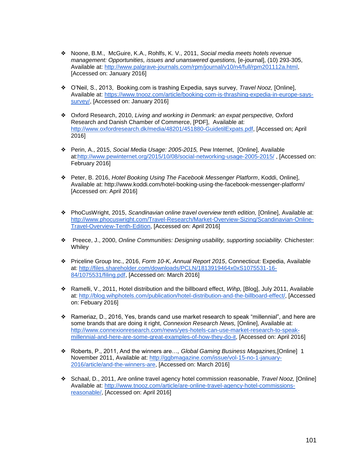- ❖ Noone, B.M., McGuire, K.A., Rohlfs, K. V., 2011, *Social media meets hotels revenue management: Opportunities, issues and unanswered questions,* [e-journal], (10) 293-305, Available at: [http://www.palgrave-journals.com/rpm/journal/v10/n4/full/rpm201112a.html,](http://www.palgrave-journals.com/rpm/journal/v10/n4/full/rpm201112a.html) [Accessed on: January 2016]
- ❖ O'Neil, S., 2013, Booking.com is trashing Expedia, says survey, *Travel Nooz,* [Online], Available at: [https://www.tnooz.com/article/booking-com-is-thrashing-expedia-in-europe-says](https://www.tnooz.com/article/booking-com-is-thrashing-expedia-in-europe-says-survey/)[survey/,](https://www.tnooz.com/article/booking-com-is-thrashing-expedia-in-europe-says-survey/) [Accessed on: January 2016]
- ❖ Oxford Research, 2010, *Living and working in Denmark: an expat perspective,* Oxford Research and Danish Chamber of Commerce, [PDF], Available at: [http://www.oxfordresearch.dk/media/48201/451880-GuidetilExpats.pdf,](http://www.oxfordresearch.dk/media/48201/451880-GuidetilExpats.pdf) [Accessed on; April 2016]
- ❖ Perin, A., 2015, *Social Media Usage: 2005-2015,* Pew Internet, [Online], Available at[:http://www.pewinternet.org/2015/10/08/social-networking-usage-2005-2015/](http://www.pewinternet.org/2015/10/08/social-networking-usage-2005-2015/) , [Accessed on: February 2016]
- ❖ Peter, B. 2016, *Hotel Booking Using The Facebook Messenger Platform*, Koddi, Online], Available at: http://www.koddi.com/hotel-booking-using-the-facebook-messenger-platform/ [Accessed on: April 2016]
- ❖ PhoCusWright, 2015, *Scandinavian online travel overview tenth edition,* [Online], Available at: [http://www.phocuswright.com/Travel-Research/Market-Overview-Sizing/Scandinavian-Online-](http://www.phocuswright.com/Travel-Research/Market-Overview-Sizing/Scandinavian-Online-Travel-Overview-Tenth-Edition)[Travel-Overview-Tenth-Edition,](http://www.phocuswright.com/Travel-Research/Market-Overview-Sizing/Scandinavian-Online-Travel-Overview-Tenth-Edition) [Accessed on: April 2016]
- ❖ Preece, J., 2000, *Online Communities: Designing usability, supporting sociability.* Chichester: **Whiley**
- ❖ Priceline Group Inc., 2016, *Form 10-K, Annual Report 2015*, Connecticut: Expedia, Available at: [http://files.shareholder.com/downloads/PCLN/1813919464x0xS1075531-16-](http://files.shareholder.com/downloads/PCLN/1813919464x0xS1075531-16-84/1075531/filing.pdf) [84/1075531/filing.pdf,](http://files.shareholder.com/downloads/PCLN/1813919464x0xS1075531-16-84/1075531/filing.pdf) [Accessed on: March 2016]
- ❖ Ramelli, V., 2011, Hotel distribution and the billboard effect, *Wihp,* [Blog], July 2011, Available at: [http://blog.wihphotels.com/publication/hotel-distribution-and-the-billboard-effect/,](http://blog.wihphotels.com/publication/hotel-distribution-and-the-billboard-effect/) [Accessed on: Febuary 2016]
- ❖ Rameriaz, D., 2016, Yes, brands cand use market research to speak "millennial", and here are some brands that are doing it right, *Connexion Research News,* [Online], Available at: [http://www.connexionresearch.com/news/yes-hotels-can-use-market-research-to-speak](http://www.connexionresearch.com/news/yes-hotels-can-use-market-research-to-speak-millennial-and-here-are-some-great-examples-of-how-they-do-it)[millennial-and-here-are-some-great-examples-of-how-they-do-it,](http://www.connexionresearch.com/news/yes-hotels-can-use-market-research-to-speak-millennial-and-here-are-some-great-examples-of-how-they-do-it) [Accessed on: April 2016]
- ❖ Roberts, P., 2011, And the winners are…*, Global Gaming Business Magazines,*[Online] 1 November 2011, Available at: [http://ggbmagazine.com/issue/vol-15-no-1-january-](http://ggbmagazine.com/issue/vol-15-no-1-january-2016/article/and-the-winners-are)[2016/article/and-the-winners-are,](http://ggbmagazine.com/issue/vol-15-no-1-january-2016/article/and-the-winners-are) [Accessed on: March 2016]
- ❖ Schaal, D., 2011, Are online travel agency hotel commission reasonable, *Travel Nooz,* [Online] Available at: [http://www.tnooz.com/article/are-online-travel-agency-hotel-commissions](http://www.tnooz.com/article/are-online-travel-agency-hotel-commissions-reasonable/)[reasonable/,](http://www.tnooz.com/article/are-online-travel-agency-hotel-commissions-reasonable/) [Accessed on: April 2016]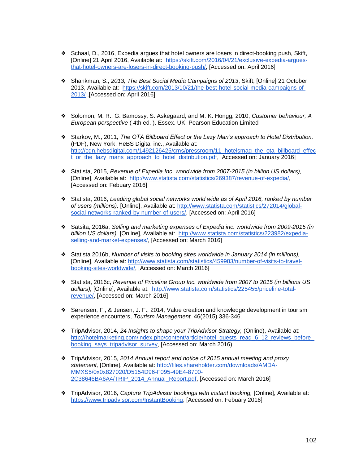- ❖ Schaal, D., 2016, Expedia argues that hotel owners are losers in direct-booking push, Skift, [Online] 21 April 2016, Available at: [https://skift.com/2016/04/21/exclusive-expedia-argues](https://skift.com/2016/04/21/exclusive-expedia-argues-that-hotel-owners-are-losers-in-direct-booking-push/)[that-hotel-owners-are-losers-in-direct-booking-push/,](https://skift.com/2016/04/21/exclusive-expedia-argues-that-hotel-owners-are-losers-in-direct-booking-push/) [Accessed on: April 2016]
- ❖ Shankman, S., *2013, The Best Social Media Campaigns of 2013*, Skift, [Online] 21 October 2013, Available at: [https://skift.com/2013/10/21/the-best-hotel-social-media-campaigns-of-](https://skift.com/2013/10/21/the-best-hotel-social-media-campaigns-of-2013/)[2013/](https://skift.com/2013/10/21/the-best-hotel-social-media-campaigns-of-2013/) ,[Accessed on: April 2016]
- ❖ Solomon, M. R., G. Bamossy, S. Askegaard, and M. K. Hongg, 2010, *Customer behaviour; A European perspective* ( 4th ed. ). Essex. UK: Pearson Education Limited
- ❖ Starkov, M., 2011, *The OTA Billboard Effect or the Lazy Man's approach to Hotel Distribution,* (PDF), New York, HeBS Digital inc., Available at: [http://cdn.hebsdigital.com/1492126425/cms/pressroom/11\\_hotelsmag\\_the\\_ota\\_billboard\\_effec](http://cdn.hebsdigital.com/1492126425/cms/pressroom/11_hotelsmag_the_ota_billboard_effect_or_the_lazy_mans_approach_to_hotel_distribution.pdf) [t\\_or\\_the\\_lazy\\_mans\\_approach\\_to\\_hotel\\_distribution.pdf,](http://cdn.hebsdigital.com/1492126425/cms/pressroom/11_hotelsmag_the_ota_billboard_effect_or_the_lazy_mans_approach_to_hotel_distribution.pdf) [Accessed on: January 2016]
- ❖ Statista, 2015, *Revenue of Expedia Inc. worldwide from 2007-2015 (in billion US dollars),*  [Online], Available at: [http://www.statista.com/statistics/269387/revenue-of-expedia/,](http://www.statista.com/statistics/269387/revenue-of-expedia/) [Accessed on: Febuary 2016]
- ❖ Statista, 2016, *Leading global social networks world wide as of April 2016, ranked by number of users (millions),* [Online], Available at: [http://www.statista.com/statistics/272014/global](http://www.statista.com/statistics/272014/global-social-networks-ranked-by-number-of-users/)[social-networks-ranked-by-number-of-users/,](http://www.statista.com/statistics/272014/global-social-networks-ranked-by-number-of-users/) [Accessed on: April 2016]
- ❖ Satsita, 2016a, *Selling and marketing expenses of Expedia inc. worldwide from 2009-2015 (in billion US dollars),* [Online], Available at: [http://www.statista.com/statistics/223982/expedia](http://www.statista.com/statistics/223982/expedia-selling-and-market-expenses/)[selling-and-market-expenses/,](http://www.statista.com/statistics/223982/expedia-selling-and-market-expenses/) [Accessed on: March 2016]
- ❖ Statista 2016b, *Number of visits to booking sites worldwide in January 2014 (in millions),*  [Online], Available at: [http://www.statista.com/statistics/459983/number-of-visits-to-travel](http://www.statista.com/statistics/459983/number-of-visits-to-travel-booking-sites-worldwide/)[booking-sites-worldwide/,](http://www.statista.com/statistics/459983/number-of-visits-to-travel-booking-sites-worldwide/) [Accessed on: March 2016]
- ❖ Statista, 2016c, *Revenue of Priceline Group Inc. worldwide from 2007 to 2015 (in billions US dollars),* [Online], Available at: [http://www.statista.com/statistics/225455/priceline-total](http://www.statista.com/statistics/225455/priceline-total-revenue/)[revenue/,](http://www.statista.com/statistics/225455/priceline-total-revenue/) [Accessed on: March 2016]
- ❖ Sørensen, F., & Jensen, J. F., 2014, Value creation and knowledge development in tourism experience encounters, *Tourism Management,* 46(2015) 336-346.
- ❖ TripAdvisor, 2014, *24 Insights to shape your TripAdvisor Strategy,* (Online), Available at: http://hotelmarketing.com/index.php/content/article/hotel\_quests\_read\_6\_12\_reviews\_before [booking\\_says\\_tripadvisor\\_survey,](http://hotelmarketing.com/index.php/content/article/hotel_guests_read_6_12_reviews_before_booking_says_tripadvisor_survey) [Accessed on: March 2016)
- ❖ TripAdvisor, 2015, *2014 Annual report and notice of 2015 annual meeting and proxy statement,* [Online], Available at: [http://files.shareholder.com/downloads/AMDA-](http://files.shareholder.com/downloads/AMDA-MMXS5/0x0x827020/D5154D96-F095-49E4-8700-2C38646BA6A4/TRIP_2014_Annual_Report.pdf)[MMXS5/0x0x827020/D5154D96-F095-49E4-8700-](http://files.shareholder.com/downloads/AMDA-MMXS5/0x0x827020/D5154D96-F095-49E4-8700-2C38646BA6A4/TRIP_2014_Annual_Report.pdf) [2C38646BA6A4/TRIP\\_2014\\_Annual\\_Report.pdf,](http://files.shareholder.com/downloads/AMDA-MMXS5/0x0x827020/D5154D96-F095-49E4-8700-2C38646BA6A4/TRIP_2014_Annual_Report.pdf) [Accessed on: March 2016]
- ❖ TripAdvisor, 2016, *Capture TripAdvisor bookings with instant booking,* [Online], Available at: [https://www.tripadvisor.com/InstantBooking,](https://www.tripadvisor.com/InstantBooking) [Accessed on: Febuary 2016]